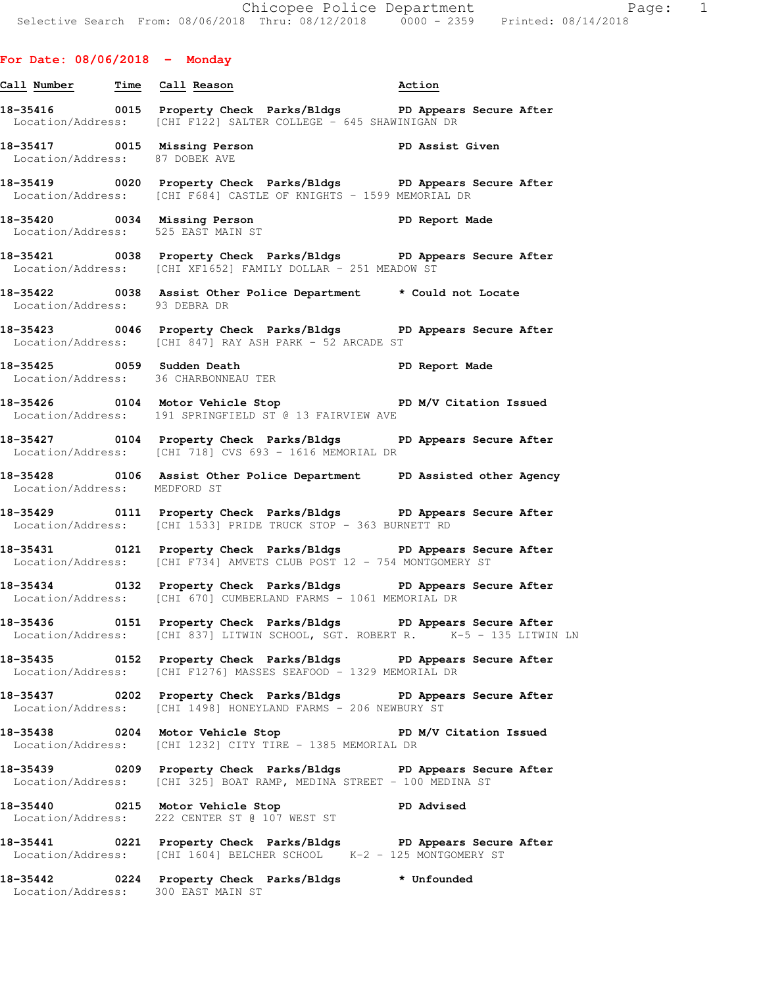# **For Date: 08/06/2018 - Monday**

- **Call Number Time Call Reason Action 18-35416 0015 Property Check Parks/Bldgs PD Appears Secure After**  Location/Address: [CHI F122] SALTER COLLEGE - 645 SHAWINIGAN DR
- 18-35417 **18-35417** 0015 Missing Person **PD Assist Given** Location/Address: 87 DOBEK AVE
- **18-35419 0020 Property Check Parks/Bldgs PD Appears Secure After**  Location/Address: [CHI F684] CASTLE OF KNIGHTS - 1599 MEMORIAL DR
- **18-35420 0034 Missing Person PD Report Made**  Location/Address: 525 EAST MAIN ST
- **18-35421 0038 Property Check Parks/Bldgs PD Appears Secure After**  Location/Address: [CHI XF1652] FAMILY DOLLAR - 251 MEADOW ST
- **18-35422 0038 Assist Other Police Department \* Could not Locate**  Location/Address: 93 DEBRA DR
- **18-35423 0046 Property Check Parks/Bldgs PD Appears Secure After**  Location/Address: [CHI 847] RAY ASH PARK - 52 ARCADE ST
- 18-35425 0059 Sudden Death **PD Report Made** Location/Address: 36 CHARBONNEAU TER
- 18-35426 **0104** Motor Vehicle Stop **PD M/V Citation Issued** Location/Address: 191 SPRINGFIELD ST @ 13 FAIRVIEW AVE
- **18-35427 0104 Property Check Parks/Bldgs PD Appears Secure After**  Location/Address: [CHI 718] CVS 693 - 1616 MEMORIAL DR
- **18-35428 0106 Assist Other Police Department PD Assisted other Agency**  Location/Address: MEDFORD ST
- **18-35429 0111 Property Check Parks/Bldgs PD Appears Secure After**  Location/Address: [CHI 1533] PRIDE TRUCK STOP - 363 BURNETT RD
- **18-35431 0121 Property Check Parks/Bldgs PD Appears Secure After**  Location/Address: [CHI F734] AMVETS CLUB POST 12 - 754 MONTGOMERY ST
- **18-35434 0132 Property Check Parks/Bldgs PD Appears Secure After**  Location/Address: [CHI 670] CUMBERLAND FARMS - 1061 MEMORIAL DR
- **18-35436 0151 Property Check Parks/Bldgs PD Appears Secure After**  Location/Address: [CHI 837] LITWIN SCHOOL, SGT. ROBERT R. K-5 - 135 LITWIN LN
- **18-35435 0152 Property Check Parks/Bldgs PD Appears Secure After**  Location/Address: [CHI F1276] MASSES SEAFOOD - 1329 MEMORIAL DR
- **18-35437 0202 Property Check Parks/Bldgs PD Appears Secure After**  Location/Address: [CHI 1498] HONEYLAND FARMS - 206 NEWBURY ST
- **18-35438 0204 Motor Vehicle Stop PD M/V Citation Issued**  Location/Address: [CHI 1232] CITY TIRE - 1385 MEMORIAL DR
- **18-35439 0209 Property Check Parks/Bldgs PD Appears Secure After**  Location/Address: [CHI 325] BOAT RAMP, MEDINA STREET - 100 MEDINA ST
- **18-35440 0215 Motor Vehicle Stop PD Advised**  Location/Address: 222 CENTER ST @ 107 WEST ST
- **18-35441 0221 Property Check Parks/Bldgs PD Appears Secure After**  Location/Address: [CHI 1604] BELCHER SCHOOL K-2 - 125 MONTGOMERY ST
- **18-35442 0224 Property Check Parks/Bldgs \* Unfounded**  Location/Address: 300 EAST MAIN ST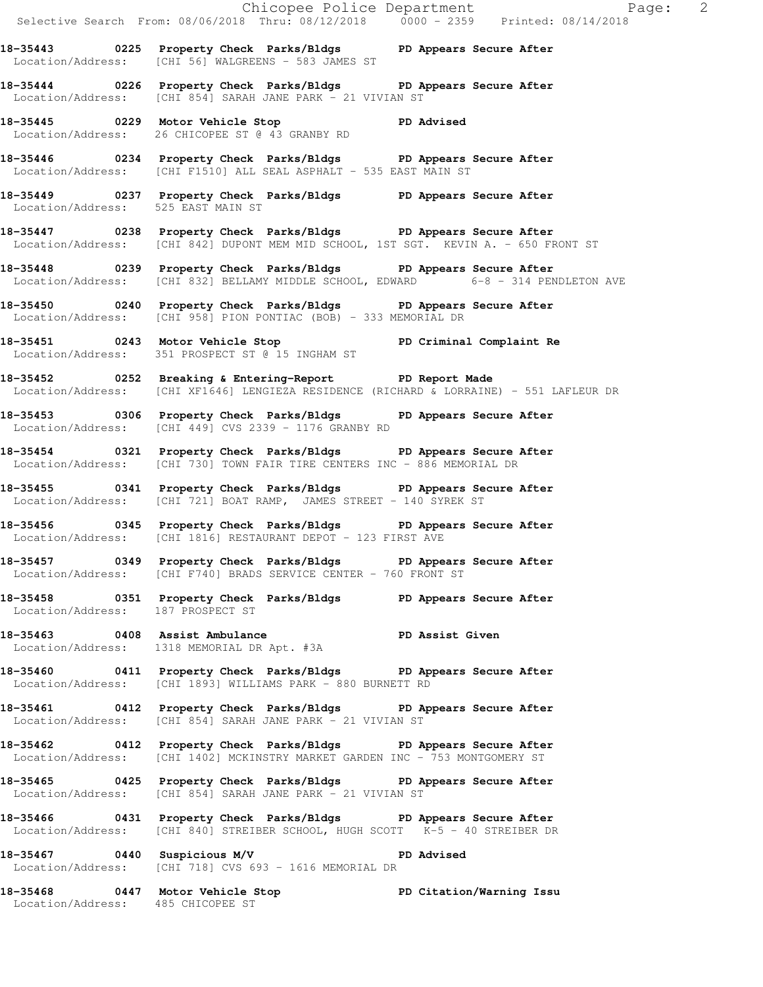|                                   | Chicopee Police Department<br>Selective Search From: 08/06/2018 Thru: 08/12/2018 0000 - 2359 Printed: 08/14/2018                                        |  |
|-----------------------------------|---------------------------------------------------------------------------------------------------------------------------------------------------------|--|
|                                   | 18-35443 0225 Property Check Parks/Bldgs PD Appears Secure After<br>Location/Address: [CHI 56] WALGREENS - 583 JAMES ST                                 |  |
|                                   | 18-35444 0226 Property Check Parks/Bldgs PD Appears Secure After<br>Location/Address: [CHI 854] SARAH JANE PARK - 21 VIVIAN ST                          |  |
|                                   | 18-35445 0229 Motor Vehicle Stop PD Advised<br>Location/Address: 26 CHICOPEE ST @ 43 GRANBY RD                                                          |  |
|                                   | 18-35446 0234 Property Check Parks/Bldgs PD Appears Secure After<br>Location/Address: [CHI F1510] ALL SEAL ASPHALT - 535 EAST MAIN ST                   |  |
|                                   | 18-35449 0237 Property Check Parks/Bldgs PD Appears Secure After<br>Location/Address: 525 EAST MAIN ST                                                  |  |
|                                   | 18-35447 0238 Property Check Parks/Bldgs PD Appears Secure After<br>Location/Address: [CHI 842] DUPONT MEM MID SCHOOL, 1ST SGT. KEVIN A. - 650 FRONT ST |  |
|                                   | 18-35448 0239 Property Check Parks/Bldgs PD Appears Secure After<br>Location/Address: [CHI 832] BELLAMY MIDDLE SCHOOL, EDWARD 6-8 - 314 PENDLETON AVE   |  |
|                                   | 18-35450 0240 Property Check Parks/Bldgs PD Appears Secure After<br>Location/Address: [CHI 958] PION PONTIAC (BOB) - 333 MEMORIAL DR                    |  |
|                                   | 18-35451 0243 Motor Vehicle Stop PD Criminal Complaint Re<br>Location/Address: 351 PROSPECT ST @ 15 INGHAM ST                                           |  |
|                                   | 18-35452 0252 Breaking & Entering-Report PD Report Made<br>Location/Address: [CHI XF1646] LENGIEZA RESIDENCE (RICHARD & LORRAINE) - 551 LAFLEUR DR      |  |
|                                   | 18-35453 0306 Property Check Parks/Bldgs PD Appears Secure After<br>Location/Address: [CHI 449] CVS 2339 - 1176 GRANBY RD                               |  |
|                                   | 18-35454 		 0321 Property Check Parks/Bldgs 		 PD Appears Secure After<br>Location/Address: [CHI 730] TOWN FAIR TIRE CENTERS INC - 886 MEMORIAL DR      |  |
|                                   | 18-35455 0341 Property Check Parks/Bldgs PD Appears Secure After<br>Location/Address: [CHI 721] BOAT RAMP, JAMES STREET - 140 SYREK ST                  |  |
|                                   | 18-35456 0345 Property Check Parks/Bldgs PD Appears Secure After<br>Location/Address: [CHI 1816] RESTAURANT DEPOT - 123 FIRST AVE                       |  |
|                                   | 18-35457 0349 Property Check Parks/Bldgs PD Appears Secure After<br>Location/Address: [CHI F740] BRADS SERVICE CENTER - 760 FRONT ST                    |  |
| Location/Address: 187 PROSPECT ST | 18-35458 0351 Property Check Parks/Bldgs PD Appears Secure After                                                                                        |  |
|                                   | 18-35463 0408 Assist Ambulance<br>Location/Address: 1318 MEMORIAL DR Apt. #3A<br>Location/Address: 1318 MEMORIAL DR Apt. #3A                            |  |
|                                   | 18-35460 0411 Property Check Parks/Bldgs PD Appears Secure After<br>Location/Address: [CHI 1893] WILLIAMS PARK - 880 BURNETT RD                         |  |
|                                   | 18-35461 0412 Property Check Parks/Bldgs PD Appears Secure After<br>Location/Address: [CHI 854] SARAH JANE PARK - 21 VIVIAN ST                          |  |
|                                   | 18-35462 0412 Property Check Parks/Bldgs PD Appears Secure After<br>Location/Address: [CHI 1402] MCKINSTRY MARKET GARDEN INC - 753 MONTGOMERY ST        |  |
|                                   | 18-35465 0425 Property Check Parks/Bldgs PD Appears Secure After<br>Location/Address: [CHI 854] SARAH JANE PARK - 21 VIVIAN ST                          |  |
|                                   | 18-35466 0431 Property Check Parks/Bldgs PD Appears Secure After<br>Location/Address: [CHI 840] STREIBER SCHOOL, HUGH SCOTT K-5 - 40 STREIBER DR        |  |
| 18-35467 0440 Suspicious M/V      | <b>PD Advised</b><br>Location/Address: [CHI 718] CVS 693 - 1616 MEMORIAL DR                                                                             |  |
| Location/Address: 485 CHICOPEE ST | 18-35468 0447 Motor Vehicle Stop North PD Citation/Warning Issu                                                                                         |  |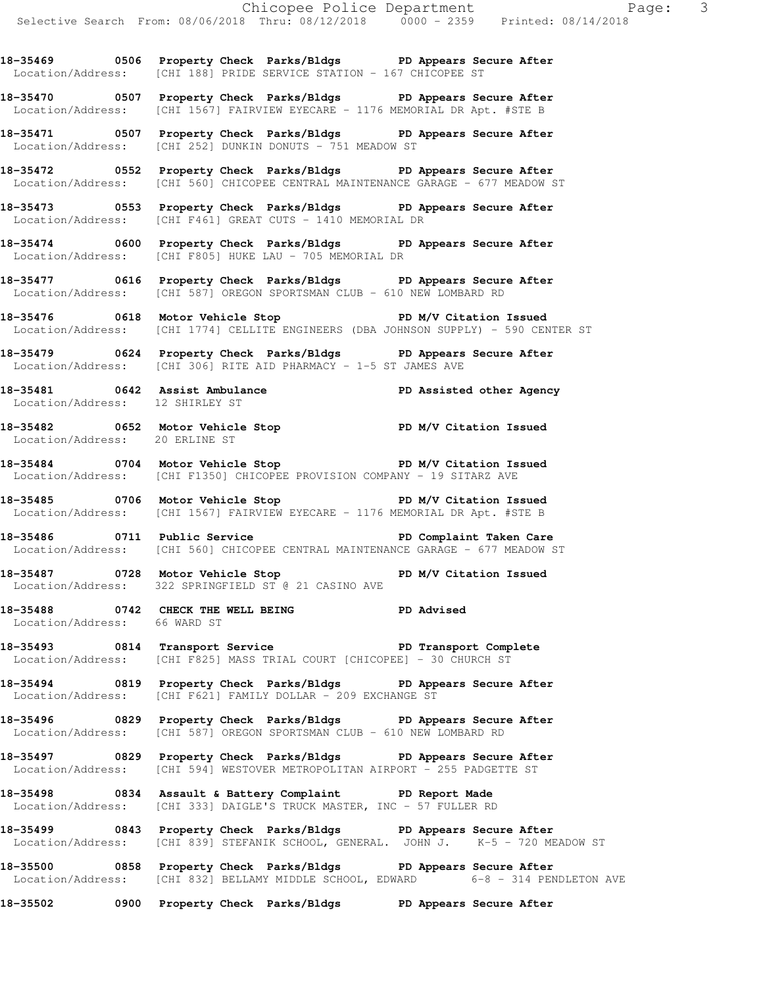**18-35469 0506 Property Check Parks/Bldgs PD Appears Secure After**  Location/Address: [CHI 188] PRIDE SERVICE STATION - 167 CHICOPEE ST

**18-35470 0507 Property Check Parks/Bldgs PD Appears Secure After**  Location/Address: [CHI 1567] FAIRVIEW EYECARE - 1176 MEMORIAL DR Apt. #STE B

**18-35471 0507 Property Check Parks/Bldgs PD Appears Secure After**  Location/Address: [CHI 252] DUNKIN DONUTS - 751 MEADOW ST

**18-35472 0552 Property Check Parks/Bldgs PD Appears Secure After**  Location/Address: [CHI 560] CHICOPEE CENTRAL MAINTENANCE GARAGE - 677 MEADOW ST

**18-35473 0553 Property Check Parks/Bldgs PD Appears Secure After**  Location/Address: [CHI F461] GREAT CUTS - 1410 MEMORIAL DR

**18-35474 0600 Property Check Parks/Bldgs PD Appears Secure After**  Location/Address: [CHI F805] HUKE LAU - 705 MEMORIAL DR

**18-35477 0616 Property Check Parks/Bldgs PD Appears Secure After**  Location/Address: [CHI 587] OREGON SPORTSMAN CLUB - 610 NEW LOMBARD RD

**18-35476 0618 Motor Vehicle Stop PD M/V Citation Issued**  Location/Address: [CHI 1774] CELLITE ENGINEERS (DBA JOHNSON SUPPLY) - 590 CENTER ST

**18-35479 0624 Property Check Parks/Bldgs PD Appears Secure After**  Location/Address: [CHI 306] RITE AID PHARMACY - 1-5 ST JAMES AVE

**18-35481 0642 Assist Ambulance PD Assisted other Agency**  Location/Address: 12 SHIRLEY ST

**18-35482 0652 Motor Vehicle Stop PD M/V Citation Issued**  Location/Address: 20 ERLINE ST

**18-35484 0704 Motor Vehicle Stop PD M/V Citation Issued**  Location/Address: [CHI F1350] CHICOPEE PROVISION COMPANY - 19 SITARZ AVE

18-35485 0706 Motor Vehicle Stop **PD M/V Citation Issued** Location/Address: [CHI 1567] FAIRVIEW EYECARE - 1176 MEMORIAL DR Apt. #STE B

**18-35486 0711 Public Service PD Complaint Taken Care**  Location/Address: [CHI 560] CHICOPEE CENTRAL MAINTENANCE GARAGE - 677 MEADOW ST

18-35487 **0728** Motor Vehicle Stop **PD M/V Citation Issued** Location/Address: 322 SPRINGFIELD ST @ 21 CASINO AVE

**18-35488 0742 CHECK THE WELL BEING PD Advised**  Location/Address: 66 WARD ST

**18-35493 0814 Transport Service PD Transport Complete**  Location/Address: [CHI F825] MASS TRIAL COURT [CHICOPEE] - 30 CHURCH ST

**18-35494 0819 Property Check Parks/Bldgs PD Appears Secure After**  Location/Address: [CHI F621] FAMILY DOLLAR - 209 EXCHANGE ST

**18-35496 0829 Property Check Parks/Bldgs PD Appears Secure After**  Location/Address: [CHI 587] OREGON SPORTSMAN CLUB - 610 NEW LOMBARD RD

**18-35497 0829 Property Check Parks/Bldgs PD Appears Secure After**  Location/Address: [CHI 594] WESTOVER METROPOLITAN AIRPORT - 255 PADGETTE ST

**18-35498 0834 Assault & Battery Complaint PD Report Made**  Location/Address: [CHI 333] DAIGLE'S TRUCK MASTER, INC - 57 FULLER RD

**18-35499 0843 Property Check Parks/Bldgs PD Appears Secure After**  Location/Address: [CHI 839] STEFANIK SCHOOL, GENERAL. JOHN J. K-5 - 720 MEADOW ST

**18-35500 0858 Property Check Parks/Bldgs PD Appears Secure After**  Location/Address: [CHI 832] BELLAMY MIDDLE SCHOOL, EDWARD 6-8 - 314 PENDLETON AVE

**18-35502 0900 Property Check Parks/Bldgs PD Appears Secure After**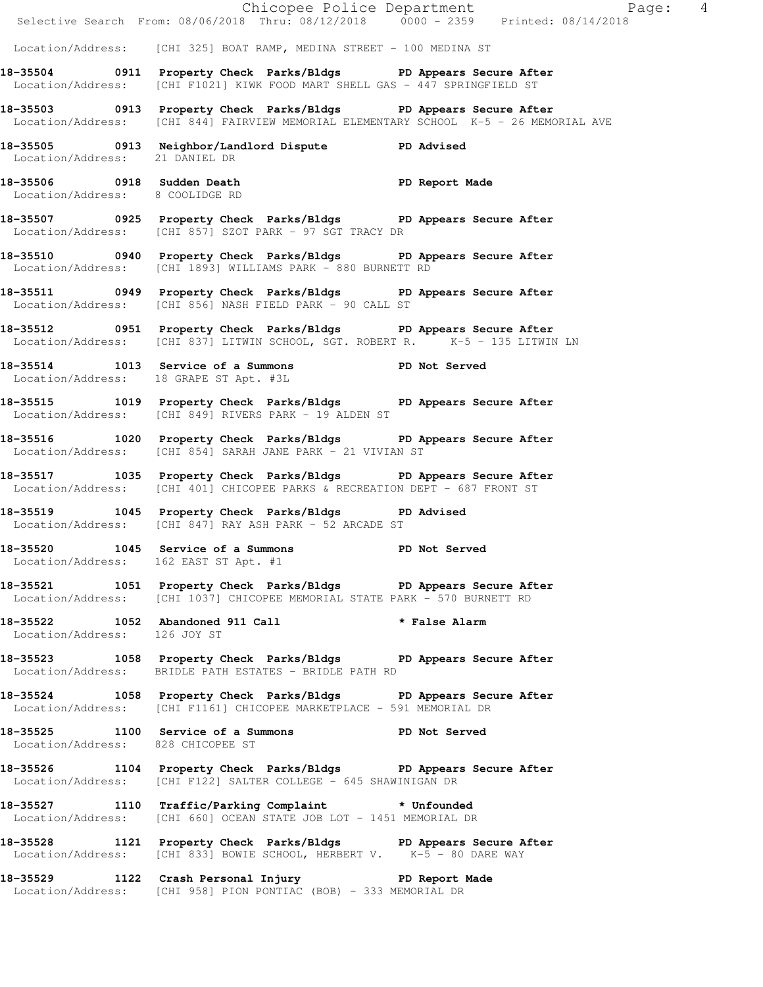|                                    |                                                                                                                                                                | Chicopee Police Department<br>Selective Search From: 08/06/2018 Thru: 08/12/2018 0000 - 2359 Printed: 08/14/2018 |  |
|------------------------------------|----------------------------------------------------------------------------------------------------------------------------------------------------------------|------------------------------------------------------------------------------------------------------------------|--|
|                                    | Location/Address: [CHI 325] BOAT RAMP, MEDINA STREET - 100 MEDINA ST                                                                                           |                                                                                                                  |  |
|                                    |                                                                                                                                                                |                                                                                                                  |  |
|                                    | 18-35504 0911 Property Check Parks/Bldgs PD Appears Secure After<br>Location/Address: [CHI F1021] KIWK FOOD MART SHELL GAS - $447$ SPRINGFIELD ST              |                                                                                                                  |  |
|                                    | 18-35503 0913 Property Check Parks/Bldgs PD Appears Secure After<br>Location/Address: [CHI 844] FAIRVIEW MEMORIAL ELEMENTARY SCHOOL K-5 - 26 MEMORIAL AVE      |                                                                                                                  |  |
| Location/Address: 21 DANIEL DR     | 18-35505 0913 Neighbor/Landlord Dispute PD Advised                                                                                                             |                                                                                                                  |  |
| Location/Address: 8 COOLIDGE RD    | 18-35506 0918 Sudden Death No PD Report Made                                                                                                                   |                                                                                                                  |  |
|                                    | 18-35507 0925 Property Check Parks/Bldgs PD Appears Secure After<br>Location/Address: [CHI 857] SZOT PARK - 97 SGT TRACY DR                                    |                                                                                                                  |  |
|                                    | 18-35510 0940 Property Check Parks/Bldgs PD Appears Secure After<br>Location/Address: [CHI 1893] WILLIAMS PARK - 880 BURNETT RD                                |                                                                                                                  |  |
|                                    | 18-35511 0949 Property Check Parks/Bldgs PD Appears Secure After<br>Location/Address: [CHI 856] NASH FIELD PARK - 90 CALL ST                                   |                                                                                                                  |  |
|                                    | 18-35512 0951 Property Check Parks/Bldgs PD Appears Secure After<br>Location/Address: [CHI 837] LITWIN SCHOOL, SGT. ROBERT R. <sup>-</sup> K-5 - 135 LITWIN LN |                                                                                                                  |  |
|                                    | 18-35514 1013 Service of a Summons PD Not Served<br>Location/Address: 18 GRAPE ST Apt. #3L                                                                     |                                                                                                                  |  |
|                                    | 18-35515 1019 Property Check Parks/Bldgs PD Appears Secure After<br>Location/Address: [CHI 849] RIVERS PARK - 19 ALDEN ST                                      |                                                                                                                  |  |
|                                    | 18-35516 1020 Property Check Parks/Bldgs PD Appears Secure After<br>Location/Address: [CHI 854] SARAH JANE PARK - 21 VIVIAN ST                                 |                                                                                                                  |  |
|                                    | 18-35517 1035 Property Check Parks/Bldgs PD Appears Secure After<br>Location/Address: [CHI 401] CHICOPEE PARKS & RECREATION DEPT - 687 FRONT ST                |                                                                                                                  |  |
|                                    | 18-35519 1045 Property Check Parks/Bldgs PD Advised<br>Location/Address: [CHI 847] RAY ASH PARK - 52 ARCADE ST                                                 |                                                                                                                  |  |
| 18-35520 1045 Service of a Summons | Location/Address: 162 EAST ST Apt. #1                                                                                                                          | <b>PD</b> Not Served                                                                                             |  |
|                                    | 18-35521 1051 Property Check Parks/Bldgs PD Appears Secure After<br>Location/Address: [CHI 1037] CHICOPEE MEMORIAL STATE PARK - 570 BURNETT RD                 |                                                                                                                  |  |
| Location/Address: 126 JOY ST       | 18-35522 1052 Abandoned 911 Call 2008 * False Alarm                                                                                                            |                                                                                                                  |  |
|                                    | 18-35523 1058 Property Check Parks/Bldgs PD Appears Secure After<br>Location/Address: BRIDLE PATH ESTATES - BRIDLE PATH RD                                     |                                                                                                                  |  |
|                                    | 18-35524 1058 Property Check Parks/Bldgs PD Appears Secure After<br>Location/Address: [CHI F1161] CHICOPEE MARKETPLACE - 591 MEMORIAL DR                       |                                                                                                                  |  |
| Location/Address: 828 CHICOPEE ST  | 18-35525 1100 Service of a Summons PD Not Served                                                                                                               |                                                                                                                  |  |
|                                    | 18-35526 1104 Property Check Parks/Bldgs PD Appears Secure After<br>Location/Address: [CHI F122] SALTER COLLEGE - 645 SHAWINIGAN DR                            |                                                                                                                  |  |
|                                    | 18-35527 1110 Traffic/Parking Complaint * Unfounded<br>Location/Address: [CHI 660] OCEAN STATE JOB LOT - 1451 MEMORIAL DR                                      |                                                                                                                  |  |
|                                    | 18-35528 1121 Property Check Parks/Bldgs PD Appears Secure After<br>Location/Address: [CHI 833] BOWIE SCHOOL, HERBERT V. K-5 - 80 DARE WAY                     |                                                                                                                  |  |
|                                    | 18-35529 1122 Crash Personal Injury 10 PD Report Made<br>Location/Address: [CHI 958] PION PONTIAC (BOB) - 333 MEMORIAL DR                                      |                                                                                                                  |  |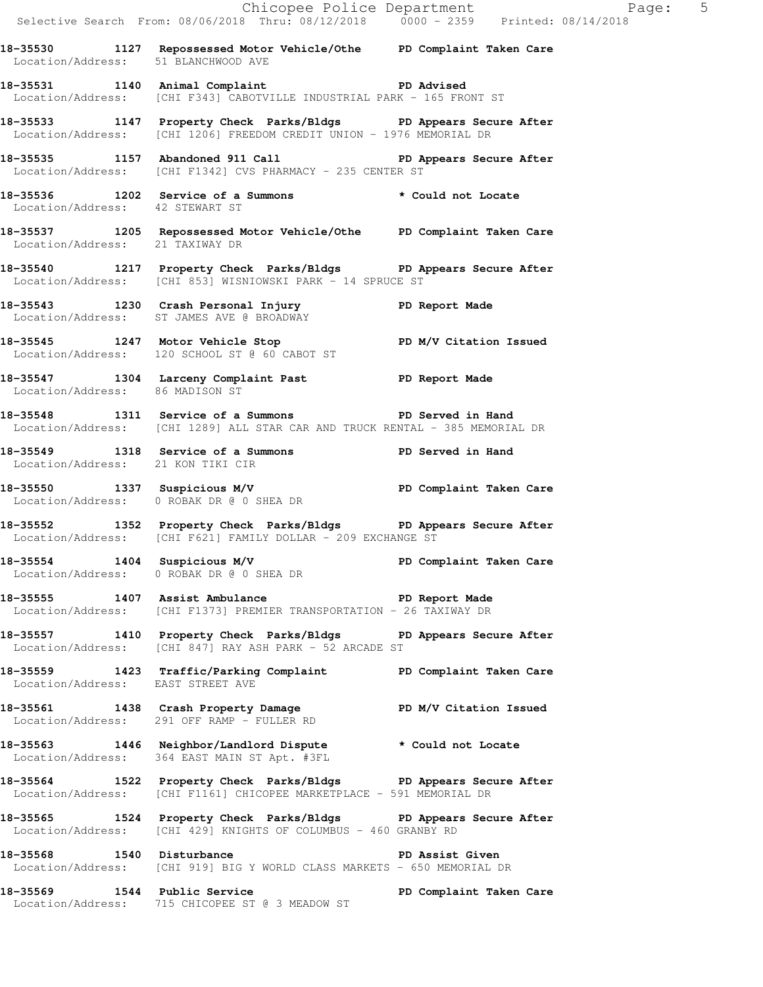Chicopee Police Department The Page: 5 Selective Search From: 08/06/2018 Thru: 08/12/2018 0000 - 2359 Printed: 08/14/2018 **18-35530 1127 Repossessed Motor Vehicle/Othe PD Complaint Taken Care**  Location/Address: 51 BLANCHWOOD AVE **18-35531 1140 Animal Complaint PD Advised**  Location/Address: [CHI F343] CABOTVILLE INDUSTRIAL PARK - 165 FRONT ST **18-35533 1147 Property Check Parks/Bldgs PD Appears Secure After**  Location/Address: [CHI 1206] FREEDOM CREDIT UNION - 1976 MEMORIAL DR **18-35535 1157 Abandoned 911 Call PD Appears Secure After**  Location/Address: [CHI F1342] CVS PHARMACY - 235 CENTER ST **18-35536 1202 Service of a Summons \* Could not Locate**  Location/Address: 42 STEWART ST **18-35537 1205 Repossessed Motor Vehicle/Othe PD Complaint Taken Care**  Location/Address: 21 TAXIWAY DR **18-35540 1217 Property Check Parks/Bldgs PD Appears Secure After**  Location/Address: [CHI 853] WISNIOWSKI PARK - 14 SPRUCE ST **18-35543 1230 Crash Personal Injury PD Report Made**  Location/Address: ST JAMES AVE @ BROADWAY **18-35545 1247 Motor Vehicle Stop PD M/V Citation Issued**  Location/Address: 120 SCHOOL ST @ 60 CABOT ST 18-35547 1304 Larceny Complaint Past PD Report Made Location/Address: 86 MADISON ST **18-35548 1311 Service of a Summons PD Served in Hand**  Location/Address: [CHI 1289] ALL STAR CAR AND TRUCK RENTAL - 385 MEMORIAL DR **18-35549 1318 Service of a Summons PD Served in Hand**  Location/Address: 21 KON TIKI CIR **18-35550 1337 Suspicious M/V PD Complaint Taken Care**  Location/Address: 0 ROBAK DR @ 0 SHEA DR **18-35552 1352 Property Check Parks/Bldgs PD Appears Secure After**  Location/Address: [CHI F621] FAMILY DOLLAR - 209 EXCHANGE ST **18-35554 1404 Suspicious M/V PD Complaint Taken Care**  Location/Address: 0 ROBAK DR @ 0 SHEA DR **18-35555 1407 Assist Ambulance PD Report Made**  Location/Address: [CHI F1373] PREMIER TRANSPORTATION - 26 TAXIWAY DR **18-35557 1410 Property Check Parks/Bldgs PD Appears Secure After**  Location/Address: [CHI 847] RAY ASH PARK - 52 ARCADE ST **18-35559 1423 Traffic/Parking Complaint PD Complaint Taken Care**  Location/Address: EAST STREET AVE **18-35561 1438 Crash Property Damage PD M/V Citation Issued**  Location/Address: 291 OFF RAMP - FULLER RD **18-35563 1446 Neighbor/Landlord Dispute \* Could not Locate**  Location/Address: 364 EAST MAIN ST Apt. #3FL **18-35564 1522 Property Check Parks/Bldgs PD Appears Secure After**  Location/Address: [CHI F1161] CHICOPEE MARKETPLACE - 591 MEMORIAL DR **18-35565 1524 Property Check Parks/Bldgs PD Appears Secure After**  Location/Address: [CHI 429] KNIGHTS OF COLUMBUS - 460 GRANBY RD **18-35568 1540 Disturbance PD Assist Given**  Location/Address: [CHI 919] BIG Y WORLD CLASS MARKETS - 650 MEMORIAL DR **18-35569 1544 Public Service PD Complaint Taken Care**  Location/Address: 715 CHICOPEE ST @ 3 MEADOW ST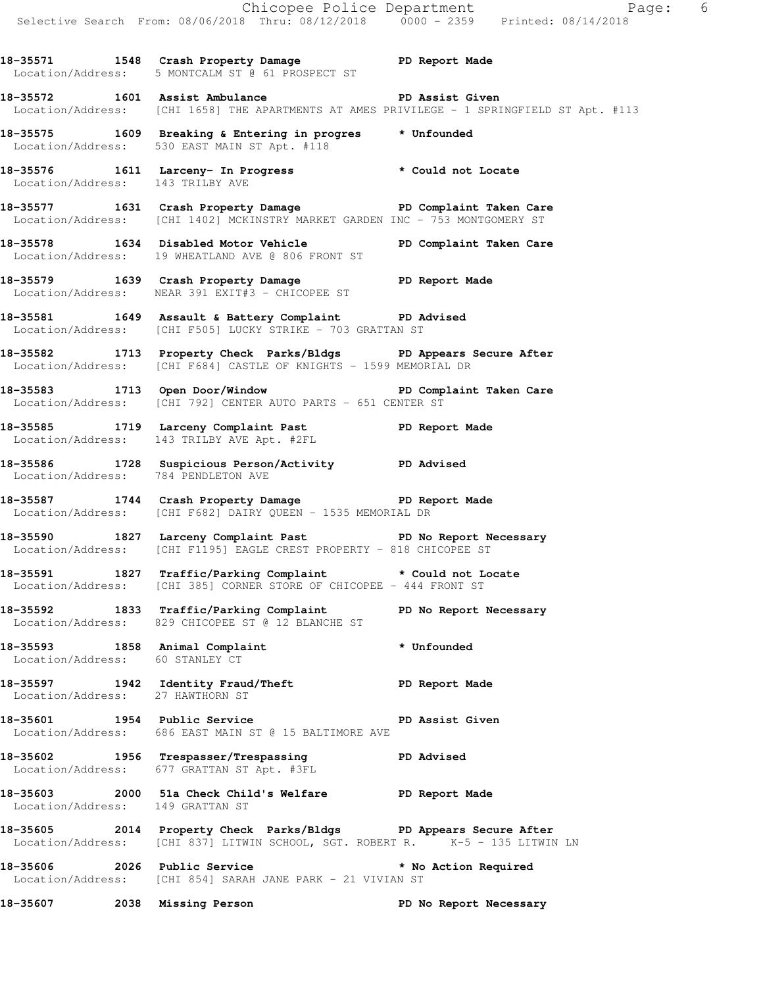Chicopee Police Department Faqe: 6 Selective Search From: 08/06/2018 Thru: 08/12/2018 0000 - 2359 Printed: 08/14/2018 **18-35571 1548 Crash Property Damage PD Report Made**  Location/Address: 5 MONTCALM ST @ 61 PROSPECT ST **18-35572 1601 Assist Ambulance PD Assist Given**  Location/Address: [CHI 1658] THE APARTMENTS AT AMES PRIVILEGE - 1 SPRINGFIELD ST Apt. #113 **18-35575 1609 Breaking & Entering in progres \* Unfounded**  Location/Address: 530 EAST MAIN ST Apt. #118 **18-35576 1611 Larceny- In Progress \* Could not Locate**  Location/Address: 143 TRILBY AVE **18-35577 1631 Crash Property Damage PD Complaint Taken Care**  Location/Address: [CHI 1402] MCKINSTRY MARKET GARDEN INC - 753 MONTGOMERY ST **18-35578 1634 Disabled Motor Vehicle PD Complaint Taken Care**  Location/Address: 19 WHEATLAND AVE @ 806 FRONT ST **18-35579 1639 Crash Property Damage PD Report Made**  Location/Address: NEAR 391 EXIT#3 - CHICOPEE ST **18-35581 1649 Assault & Battery Complaint PD Advised**  Location/Address: [CHI F505] LUCKY STRIKE - 703 GRATTAN ST **18-35582 1713 Property Check Parks/Bldgs PD Appears Secure After**  Location/Address: [CHI F684] CASTLE OF KNIGHTS - 1599 MEMORIAL DR **18-35583 1713 Open Door/Window PD Complaint Taken Care**  Location/Address: [CHI 792] CENTER AUTO PARTS - 651 CENTER ST **18-35585 1719 Larceny Complaint Past PD Report Made**  Location/Address: 143 TRILBY AVE Apt. #2FL **18-35586 1728 Suspicious Person/Activity PD Advised**  Location/Address: 784 PENDLETON AVE **18-35587 1744 Crash Property Damage PD Report Made**  Location/Address: [CHI F682] DAIRY QUEEN - 1535 MEMORIAL DR **18-35590 1827 Larceny Complaint Past PD No Report Necessary**  Location/Address: [CHI F1195] EAGLE CREST PROPERTY - 818 CHICOPEE ST **18-35591 1827 Traffic/Parking Complaint \* Could not Locate**  Location/Address: [CHI 385] CORNER STORE OF CHICOPEE - 444 FRONT ST **18-35592 1833 Traffic/Parking Complaint PD No Report Necessary**  Location/Address: 829 CHICOPEE ST @ 12 BLANCHE ST **18-35593 1858 Animal Complaint \* Unfounded**  Location/Address: 60 STANLEY CT **18-35597 1942 Identity Fraud/Theft PD Report Made**  Location/Address: 27 HAWTHORN ST **18-35601 1954 Public Service PD Assist Given**  Location/Address: 686 EAST MAIN ST @ 15 BALTIMORE AVE

**18-35602 1956 Trespasser/Trespassing PD Advised**  Location/Address: 677 GRATTAN ST Apt. #3FL

**18-35603 2000 51a Check Child's Welfare PD Report Made**  Location/Address: 149 GRATTAN ST

**18-35605 2014 Property Check Parks/Bldgs PD Appears Secure After**  Location/Address: [CHI 837] LITWIN SCHOOL, SGT. ROBERT R.  $K-5 - 135$  LITWIN LN

**18-35606 2026 Public Service \* No Action Required**  Location/Address: [CHI 854] SARAH JANE PARK - 21 VIVIAN ST

**18-35607 2038 Missing Person PD No Report Necessary**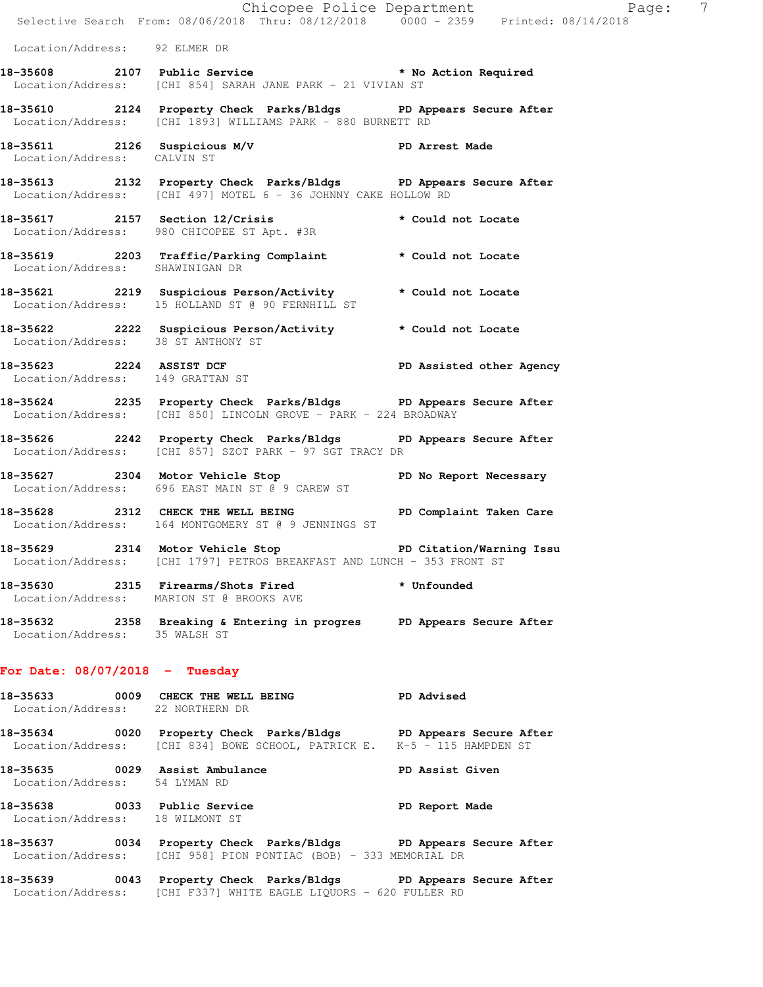|                                  |                                                                                                                                              | Chicopee Police Department<br>Selective Search From: 08/06/2018 Thru: 08/12/2018 0000 - 2359 Printed: 08/14/2018 |
|----------------------------------|----------------------------------------------------------------------------------------------------------------------------------------------|------------------------------------------------------------------------------------------------------------------|
| Location/Address: 92 ELMER DR    |                                                                                                                                              |                                                                                                                  |
|                                  | 18-35608 2107 Public Service * No Action Required                                                                                            |                                                                                                                  |
|                                  | Location/Address: [CHI 854] SARAH JANE PARK - 21 VIVIAN ST                                                                                   |                                                                                                                  |
|                                  | 18-35610 2124 Property Check Parks/Bldgs PD Appears Secure After<br>Location/Address: [CHI 1893] WILLIAMS PARK - 880 BURNETT RD              |                                                                                                                  |
| Location/Address: CALVIN ST      | 18-35611 2126 Suspicious M/V PD Arrest Made                                                                                                  |                                                                                                                  |
|                                  | 18-35613 2132 Property Check Parks/Bldgs PD Appears Secure After<br>Location/Address: [CHI 497] MOTEL 6 - 36 JOHNNY CAKE HOLLOW RD           |                                                                                                                  |
|                                  | 18-35617 2157 Section 12/Crisis<br>Location/Address: 980 CHICOPEE ST Apt. #3R                                                                | * Could not Locate                                                                                               |
|                                  | 18-35619 2203 Traffic/Parking Complaint * Could not Locate Location/Address: SHAWINIGAN DR                                                   |                                                                                                                  |
|                                  | 18-35621 2219 Suspicious Person/Activity * Could not Locate<br>Location/Address: 15 HOLLAND ST @ 90 FERNHILL ST                              |                                                                                                                  |
|                                  | 18-35622 2222 Suspicious Person/Activity * Could not Locate Location/Address: 38 ST ANTHONY ST                                               |                                                                                                                  |
| Location/Address: 149 GRATTAN ST | 18-35623 2224 ASSIST DCF PD Assisted other Agency                                                                                            |                                                                                                                  |
|                                  | 18-35624 2235 Property Check Parks/Bldgs PD Appears Secure After<br>Location/Address: [CHI 850] LINCOLN GROVE - PARK - 224 BROADWAY          |                                                                                                                  |
|                                  | 18-35626 2242 Property Check Parks/Bldgs PD Appears Secure After<br>Location/Address: [CHI 857] SZOT PARK - 97 SGT TRACY DR                  |                                                                                                                  |
|                                  | 18-35627 2304 Motor Vehicle Stop No Report Necessary<br>Location/Address: 696 EAST MAIN ST @ 9 CAREW ST                                      |                                                                                                                  |
|                                  | 18-35628 2312 CHECK THE WELL BEING PD Complaint Taken Care<br>Location/Address: 164 MONTGOMERY ST @ 9 JENNINGS ST                            |                                                                                                                  |
|                                  | 18-35629 2314 Motor Vehicle Stop 50 PD Citation/Warning Issu<br>Location/Address: [CHI 1797] PETROS BREAKFAST AND LUNCH - 353 FRONT ST       |                                                                                                                  |
|                                  | 18-35630 2315 Firearms/Shots Fired * Unfounded<br>Location/Address: MARION ST @ BROOKS AVE                                                   |                                                                                                                  |
|                                  | 18-35632 2358 Breaking & Entering in progres PD Appears Secure After<br>Location/Address: 35 WALSH ST                                        |                                                                                                                  |
| For Date: $08/07/2018$ - Tuesday |                                                                                                                                              |                                                                                                                  |
| Location/Address: 22 NORTHERN DR | 18-35633 0009 CHECK THE WELL BEING PD Advised                                                                                                |                                                                                                                  |
|                                  | 18-35634 0020 Property Check Parks/Bldgs PD Appears Secure After<br>Location/Address: [CHI 834] BOWE SCHOOL, PATRICK E. K-5 - 115 HAMPDEN ST |                                                                                                                  |
| Location/Address: 54 LYMAN RD    | 18-35635 0029 Assist Ambulance                                                                                                               | <b>PD Assist Given</b>                                                                                           |
| Location/Address: 18 WILMONT ST  | 18-35638 0033 Public Service 20 PD Report Made                                                                                               |                                                                                                                  |
|                                  | 18-35637 0034 Property Check Parks/Bldgs PD Appears Secure After<br>Location/Address: [CHI 958] PION PONTIAC (BOB) - 333 MEMORIAL DR         |                                                                                                                  |
|                                  | 18-35639 0043 Property Check Parks/Bldgs PD Appears Secure After<br>Location/Address: [CHI F337] WHITE EAGLE LIQUORS - 620 FULLER RD         |                                                                                                                  |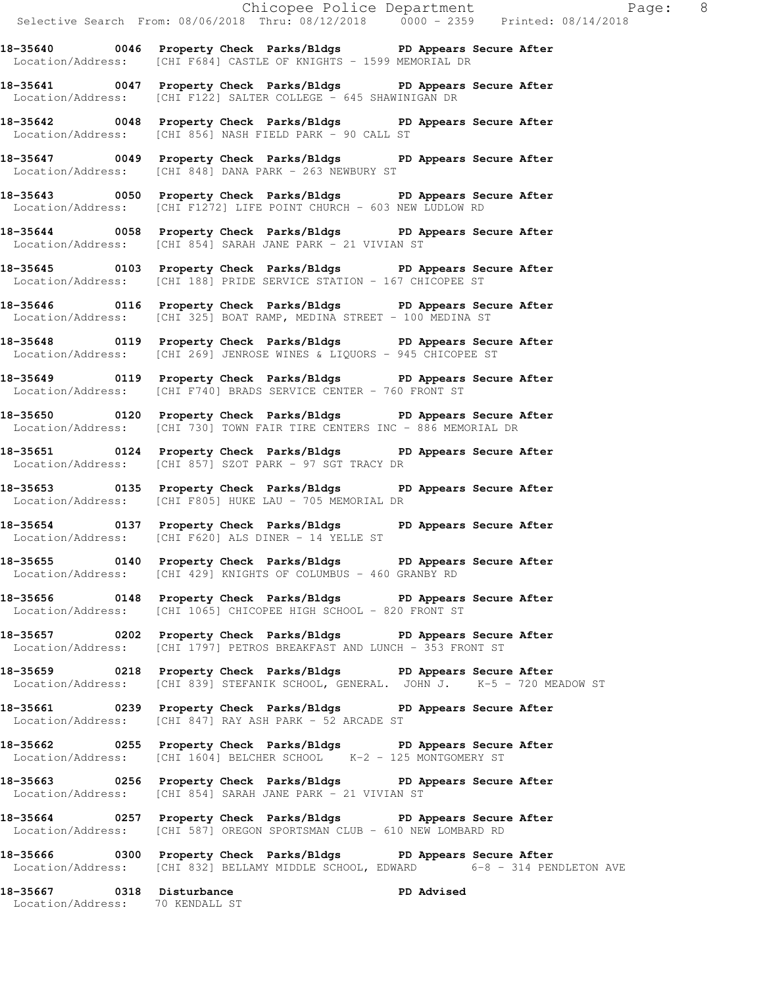**18-35640 0046 Property Check Parks/Bldgs PD Appears Secure After**  Location/Address: [CHI F684] CASTLE OF KNIGHTS - 1599 MEMORIAL DR

**18-35641 0047 Property Check Parks/Bldgs PD Appears Secure After**  Location/Address: [CHI F122] SALTER COLLEGE - 645 SHAWINIGAN DR

**18-35642 0048 Property Check Parks/Bldgs PD Appears Secure After**  Location/Address: [CHI 856] NASH FIELD PARK - 90 CALL ST

**18-35647 0049 Property Check Parks/Bldgs PD Appears Secure After**  Location/Address: [CHI 848] DANA PARK - 263 NEWBURY ST

**18-35643 0050 Property Check Parks/Bldgs PD Appears Secure After**  Location/Address: [CHI F1272] LIFE POINT CHURCH - 603 NEW LUDLOW RD

**18-35644 0058 Property Check Parks/Bldgs PD Appears Secure After**  Location/Address: [CHI 854] SARAH JANE PARK - 21 VIVIAN ST

**18-35645 0103 Property Check Parks/Bldgs PD Appears Secure After**  Location/Address: [CHI 188] PRIDE SERVICE STATION - 167 CHICOPEE ST

**18-35646 0116 Property Check Parks/Bldgs PD Appears Secure After**  Location/Address: [CHI 325] BOAT RAMP, MEDINA STREET - 100 MEDINA ST

**18-35648 0119 Property Check Parks/Bldgs PD Appears Secure After**  Location/Address: [CHI 269] JENROSE WINES & LIQUORS - 945 CHICOPEE ST

**18-35649 0119 Property Check Parks/Bldgs PD Appears Secure After**  Location/Address: [CHI F740] BRADS SERVICE CENTER - 760 FRONT ST

**18-35650 0120 Property Check Parks/Bldgs PD Appears Secure After**  Location/Address: [CHI 730] TOWN FAIR TIRE CENTERS INC - 886 MEMORIAL DR

**18-35651 0124 Property Check Parks/Bldgs PD Appears Secure After**  Location/Address: [CHI 857] SZOT PARK - 97 SGT TRACY DR

**18-35653 0135 Property Check Parks/Bldgs PD Appears Secure After**  Location/Address: [CHI F805] HUKE LAU - 705 MEMORIAL DR

**18-35654 0137 Property Check Parks/Bldgs PD Appears Secure After**  Location/Address: [CHI F620] ALS DINER - 14 YELLE ST

**18-35655 0140 Property Check Parks/Bldgs PD Appears Secure After**  Location/Address: [CHI 429] KNIGHTS OF COLUMBUS - 460 GRANBY RD

**18-35656 0148 Property Check Parks/Bldgs PD Appears Secure After**  Location/Address: [CHI 1065] CHICOPEE HIGH SCHOOL - 820 FRONT ST

**18-35657 0202 Property Check Parks/Bldgs PD Appears Secure After**  Location/Address: [CHI 1797] PETROS BREAKFAST AND LUNCH - 353 FRONT ST

**18-35659 0218 Property Check Parks/Bldgs PD Appears Secure After**  Location/Address: [CHI 839] STEFANIK SCHOOL, GENERAL. JOHN J. K-5 - 720 MEADOW ST

**18-35661 0239 Property Check Parks/Bldgs PD Appears Secure After**  Location/Address: [CHI 847] RAY ASH PARK - 52 ARCADE ST

**18-35662 0255 Property Check Parks/Bldgs PD Appears Secure After**  Location/Address: [CHI 1604] BELCHER SCHOOL K-2 - 125 MONTGOMERY ST

**18-35663 0256 Property Check Parks/Bldgs PD Appears Secure After**  Location/Address: [CHI 854] SARAH JANE PARK - 21 VIVIAN ST

**18-35664 0257 Property Check Parks/Bldgs PD Appears Secure After**  Location/Address: [CHI 587] OREGON SPORTSMAN CLUB - 610 NEW LOMBARD RD

**18-35666 0300 Property Check Parks/Bldgs PD Appears Secure After**  Location/Address: [CHI 832] BELLAMY MIDDLE SCHOOL, EDWARD 6-8 - 314 PENDLETON AVE

**18-35667 0318 Disturbance PD Advised**  Location/Address: 70 KENDALL ST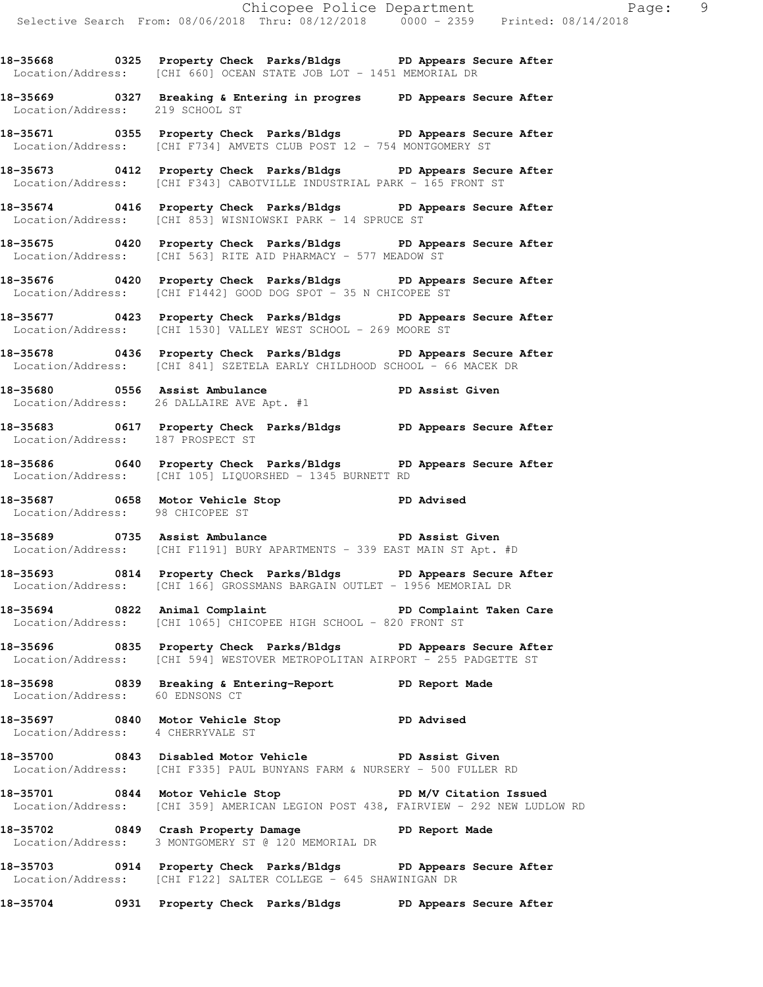**18-35668 0325 Property Check Parks/Bldgs PD Appears Secure After**  Location/Address: [CHI 660] OCEAN STATE JOB LOT - 1451 MEMORIAL DR

**18-35669 0327 Breaking & Entering in progres PD Appears Secure After**  Location/Address: 219 SCHOOL ST

**18-35671 0355 Property Check Parks/Bldgs PD Appears Secure After**  Location/Address: [CHI F734] AMVETS CLUB POST 12 - 754 MONTGOMERY ST

**18-35673 0412 Property Check Parks/Bldgs PD Appears Secure After**  Location/Address: [CHI F343] CABOTVILLE INDUSTRIAL PARK - 165 FRONT ST

**18-35674 0416 Property Check Parks/Bldgs PD Appears Secure After**  Location/Address: [CHI 853] WISNIOWSKI PARK - 14 SPRUCE ST

**18-35675 0420 Property Check Parks/Bldgs PD Appears Secure After**  Location/Address: [CHI 563] RITE AID PHARMACY - 577 MEADOW ST

**18-35676 0420 Property Check Parks/Bldgs PD Appears Secure After**  Location/Address: [CHI F1442] GOOD DOG SPOT - 35 N CHICOPEE ST

**18-35677 0423 Property Check Parks/Bldgs PD Appears Secure After**  Location/Address: [CHI 1530] VALLEY WEST SCHOOL - 269 MOORE ST

**18-35678 0436 Property Check Parks/Bldgs PD Appears Secure After**  Location/Address: [CHI 841] SZETELA EARLY CHILDHOOD SCHOOL - 66 MACEK DR

**18-35680 0556 Assist Ambulance PD Assist Given**  Location/Address: 26 DALLAIRE AVE Apt. #1

**18-35683 0617 Property Check Parks/Bldgs PD Appears Secure After**  Location/Address: 187 PROSPECT ST

**18-35686 0640 Property Check Parks/Bldgs PD Appears Secure After**  Location/Address: [CHI 105] LIQUORSHED - 1345 BURNETT RD

**18-35687 0658 Motor Vehicle Stop PD Advised**  Location/Address: 98 CHICOPEE ST

**18-35689 0735 Assist Ambulance PD Assist Given**  Location/Address: [CHI F1191] BURY APARTMENTS - 339 EAST MAIN ST Apt. #D

**18-35693 0814 Property Check Parks/Bldgs PD Appears Secure After**  Location/Address: [CHI 166] GROSSMANS BARGAIN OUTLET - 1956 MEMORIAL DR

18-35694 0822 Animal Complaint **PD Complaint Taken Care** Location/Address: [CHI 1065] CHICOPEE HIGH SCHOOL - 820 FRONT ST

**18-35696 0835 Property Check Parks/Bldgs PD Appears Secure After**  Location/Address: [CHI 594] WESTOVER METROPOLITAN AIRPORT - 255 PADGETTE ST

**18-35698 0839 Breaking & Entering-Report PD Report Made**  Location/Address: 60 EDNSONS CT

**18-35697 0840 Motor Vehicle Stop PD Advised**  Location/Address: 4 CHERRYVALE ST

**18-35700 0843 Disabled Motor Vehicle PD Assist Given**  Location/Address: [CHI F335] PAUL BUNYANS FARM & NURSERY - 500 FULLER RD

**18-35701 0844 Motor Vehicle Stop PD M/V Citation Issued**  Location/Address: [CHI 359] AMERICAN LEGION POST 438, FAIRVIEW - 292 NEW LUDLOW RD

**18-35702 0849 Crash Property Damage PD Report Made**  Location/Address: 3 MONTGOMERY ST @ 120 MEMORIAL DR

**18-35703 0914 Property Check Parks/Bldgs PD Appears Secure After**  Location/Address: [CHI F122] SALTER COLLEGE - 645 SHAWINIGAN DR

**18-35704 0931 Property Check Parks/Bldgs PD Appears Secure After**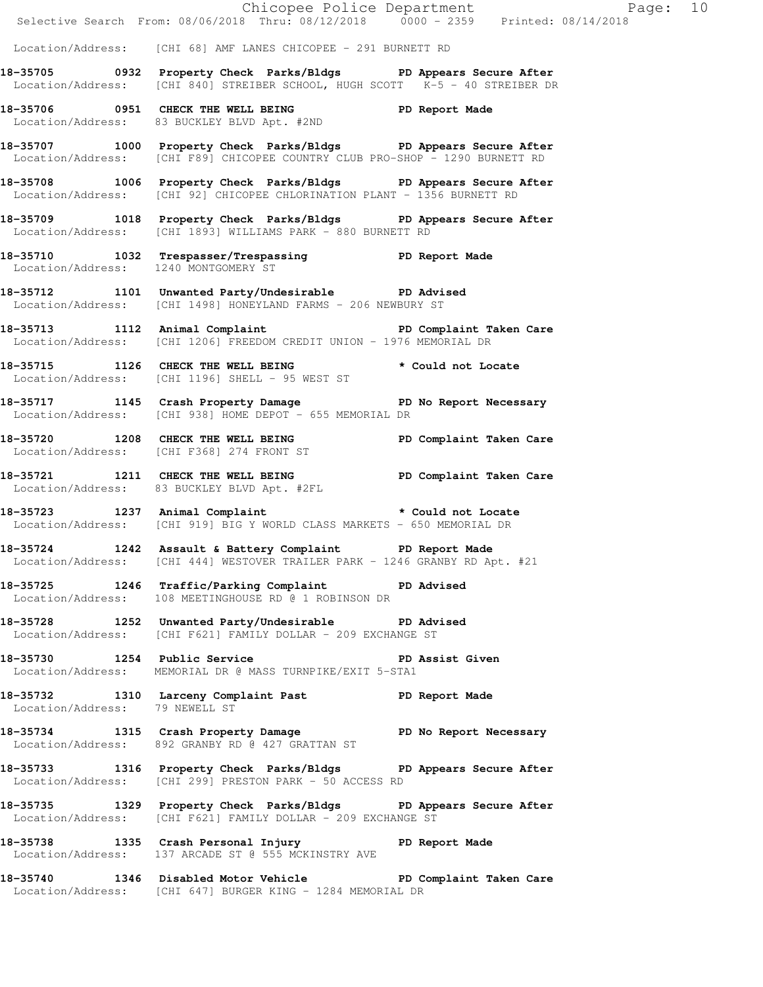|                                |                                                                                                                                                  | Chicopee Police Department<br>Selective Search From: 08/06/2018 Thru: 08/12/2018 0000 - 2359 Printed: 08/14/2018 |
|--------------------------------|--------------------------------------------------------------------------------------------------------------------------------------------------|------------------------------------------------------------------------------------------------------------------|
|                                | Location/Address: [CHI 68] AMF LANES CHICOPEE - 291 BURNETT RD                                                                                   |                                                                                                                  |
|                                | 18-35705 0932 Property Check Parks/Bldgs PD Appears Secure After<br>Location/Address: [CHI 840] STREIBER SCHOOL, HUGH SCOTT K-5 - 40 STREIBER DR |                                                                                                                  |
|                                | 18-35706 0951 CHECK THE WELL BEING PD Report Made<br>Location/Address: 83 BUCKLEY BLVD Apt. #2ND                                                 |                                                                                                                  |
|                                | 18-35707 1000 Property Check Parks/Bldgs PD Appears Secure After<br>Location/Address: [CHI F89] CHICOPEE COUNTRY CLUB PRO-SHOP - 1290 BURNETT RD |                                                                                                                  |
|                                | 18-35708 1006 Property Check Parks/Bldgs PD Appears Secure After<br>Location/Address: [CHI 92] CHICOPEE CHLORINATION PLANT - 1356 BURNETT RD     |                                                                                                                  |
|                                | 18-35709 1018 Property Check Parks/Bldgs PD Appears Secure After<br>Location/Address: [CHI 1893] WILLIAMS PARK - 880 BURNETT RD                  |                                                                                                                  |
|                                | 18-35710 1032 Trespasser/Trespassing PD Report Made Location/Address: 1240 MONTGOMERY ST                                                         |                                                                                                                  |
|                                | 18-35712 1101 Unwanted Party/Undesirable PD Advised<br>Location/Address: [CHI 1498] HONEYLAND FARMS - 206 NEWBURY ST                             |                                                                                                                  |
|                                | 18-35713 1112 Animal Complaint 1998 PD Complaint Taken Care<br>Location/Address: [CHI 1206] FREEDOM CREDIT UNION - 1976 MEMORIAL DR              |                                                                                                                  |
|                                | 18-35715 1126 CHECK THE WELL BEING * Could not Locate<br>Location/Address: [CHI 1196] SHELL - 95 WEST ST                                         |                                                                                                                  |
|                                | 18-35717 1145 Crash Property Damage No Report Necessary<br>Location/Address: [CHI 938] HOME DEPOT - 655 MEMORIAL DR                              |                                                                                                                  |
|                                | 18-35720 1208 CHECK THE WELL BEING PD Complaint Taken Care<br>Location/Address: [CHI F368] 274 FRONT ST                                          |                                                                                                                  |
|                                | 18-35721 1211 CHECK THE WELL BEING PD Complaint Taken Care<br>Location/Address: 83 BUCKLEY BLVD Apt. #2FL                                        |                                                                                                                  |
|                                | 18-35723 1237 Animal Complaint * Could not Locate<br>Location/Address: [CHI 919] BIG Y WORLD CLASS MARKETS - 650 MEMORIAL DR                     |                                                                                                                  |
|                                | 18-35724 1242 Assault & Battery Complaint PD Report Made<br>Location/Address: [CHI 444] WESTOVER TRAILER PARK - 1246 GRANBY RD Apt. #21          |                                                                                                                  |
|                                | 18-35725 1246 Traffic/Parking Complaint PD Advised<br>Location/Address: 108 MEETINGHOUSE RD @ 1 ROBINSON DR                                      |                                                                                                                  |
|                                | 18-35728 1252 Unwanted Party/Undesirable PD Advised<br>Location/Address: [CHI F621] FAMILY DOLLAR - 209 EXCHANGE ST                              |                                                                                                                  |
|                                | 18-35730 1254 Public Service <b>18-35730</b> PD Assist Given<br>Location/Address: MEMORIAL DR @ MASS TURNPIKE/EXIT 5-STA1                        |                                                                                                                  |
| Location/Address: 79 NEWELL ST | 18-35732 1310 Larceny Complaint Past PD Report Made                                                                                              |                                                                                                                  |
|                                | 18-35734 1315 Crash Property Damage No Report Necessary<br>Location/Address: 892 GRANBY RD @ 427 GRATTAN ST                                      |                                                                                                                  |
|                                | 18-35733 1316 Property Check Parks/Bldgs PD Appears Secure After<br>Location/Address: [CHI 299] PRESTON PARK - 50 ACCESS RD                      |                                                                                                                  |
|                                | 18-35735 1329 Property Check Parks/Bldgs PD Appears Secure After<br>Location/Address: [CHI F621] FAMILY DOLLAR - 209 EXCHANGE ST                 |                                                                                                                  |
|                                | 18-35738 1335 Crash Personal Injury 18-35738 PD Report Made<br>Location/Address: 137 ARCADE ST @ 555 MCKINSTRY AVE                               |                                                                                                                  |
|                                | 18-35740 1346 Disabled Motor Vehicle PD Complaint Taken Care<br>Location/Address: [CHI 647] BURGER KING - 1284 MEMORIAL DR                       |                                                                                                                  |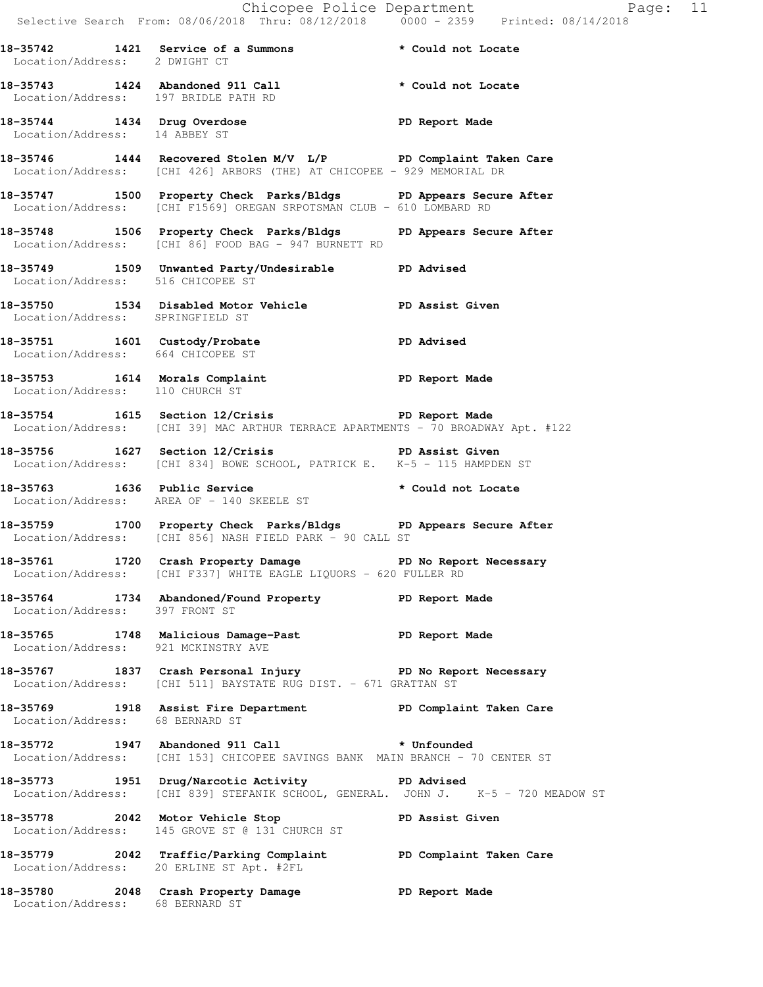|                                      |                                                                                                                                                                  | Chicopee Police Department<br>Selective Search From: 08/06/2018 Thru: 08/12/2018 0000 - 2359 Printed: 08/14/2018 |
|--------------------------------------|------------------------------------------------------------------------------------------------------------------------------------------------------------------|------------------------------------------------------------------------------------------------------------------|
| Location/Address: 2 DWIGHT CT        | 18-35742 1421 Service of a Summons * Could not Locate                                                                                                            |                                                                                                                  |
| Location/Address: 197 BRIDLE PATH RD | 18-35743 1424 Abandoned 911 Call * Could not Locate                                                                                                              |                                                                                                                  |
| Location/Address: 14 ABBEY ST        | 18-35744 1434 Drug Overdose National PD Report Made                                                                                                              |                                                                                                                  |
|                                      | 18-35746 1444 Recovered Stolen M/V L/P PD Complaint Taken Care<br>Location/Address: [CHI 426] ARBORS (THE) AT CHICOPEE - 929 MEMORIAL DR                         |                                                                                                                  |
|                                      | 18-35747 1500 Property Check Parks/Bldgs PD Appears Secure After<br>Location/Address: [CHI F1569] OREGAN SRPOTSMAN CLUB - 610 LOMBARD RD                         |                                                                                                                  |
|                                      | 18-35748 1506 Property Check Parks/Bldgs PD Appears Secure After<br>Location/Address: [CHI 86] FOOD BAG - 947 BURNETT RD                                         |                                                                                                                  |
| Location/Address: 516 CHICOPEE ST    | 18-35749 1509 Unwanted Party/Undesirable PD Advised                                                                                                              |                                                                                                                  |
| Location/Address: SPRINGFIELD ST     | 18-35750 1534 Disabled Motor Vehicle PD Assist Given                                                                                                             |                                                                                                                  |
| Location/Address: 664 CHICOPEE ST    | 18-35751 1601 Custody/Probate PD Advised                                                                                                                         |                                                                                                                  |
| Location/Address: 110 CHURCH ST      | 18-35753 1614 Morals Complaint 18-35753                                                                                                                          |                                                                                                                  |
|                                      | 18-35754 1615 Section 12/Crisis 20 PD Report Made<br>Location/Address: [CHI 39] MAC ARTHUR TERRACE APARTMENTS - 70 BROADWAY Apt. #122                            |                                                                                                                  |
|                                      | 18-35756 1627 Section 12/Crisis 3 PD Assist Given<br>Location/Address: [CHI 834] BOWE SCHOOL, PATRICK E. K-5 - 115 HAMPDEN ST                                    |                                                                                                                  |
| 18-35763 1636 Public Service         | Location/Address: AREA OF - 140 SKEELE ST                                                                                                                        | * Could not Locate                                                                                               |
|                                      | 18-35759 1700 Property Check Parks/Bldgs PD Appears Secure After<br>Location/Address: [CHI 856] NASH FIELD PARK - 90 CALL ST                                     |                                                                                                                  |
|                                      | 18-35761 1720 Crash Property Damage No Report Necessary<br>Location/Address: [CHI F337] WHITE EAGLE LIQUORS - 620 FULLER RD                                      |                                                                                                                  |
| Location/Address: 397 FRONT ST       | 18-35764 1734 Abandoned/Found Property PD Report Made                                                                                                            |                                                                                                                  |
| Location/Address: 921 MCKINSTRY AVE  | 18-35765 1748 Malicious Damage-Past PD Report Made                                                                                                               |                                                                                                                  |
|                                      | 18-35767 1837 Crash Personal Injury No Report Necessary<br>Location/Address: [CHI 511] BAYSTATE RUG DIST. - 671 GRATTAN ST                                       |                                                                                                                  |
| Location/Address: 68 BERNARD ST      | 18-35769 1918 Assist Fire Department PD Complaint Taken Care                                                                                                     |                                                                                                                  |
|                                      | 18-35772 1947 Abandoned 911 Call <b>the absolute of the State of State</b> 35772<br>Location/Address: [CHI 153] CHICOPEE SAVINGS BANK MAIN BRANCH - 70 CENTER ST |                                                                                                                  |
|                                      | 18-35773 1951 Drug/Narcotic Activity 18-35773<br>Location/Address: [CHI 839] STEFANIK SCHOOL, GENERAL. JOHN J. K-5 - 720 MEADOW ST                               |                                                                                                                  |
|                                      | 18-35778 2042 Motor Vehicle Stop New PD Assist Given<br>Location/Address: 145 GROVE ST @ 131 CHURCH ST                                                           |                                                                                                                  |
|                                      | 18-35779 2042 Traffic/Parking Complaint PD Complaint Taken Care<br>Location/Address: 20 ERLINE ST Apt. #2FL                                                      |                                                                                                                  |
| Location/Address: 68 BERNARD ST      | 18-35780 2048 Crash Property Damage 35780 PD Report Made                                                                                                         |                                                                                                                  |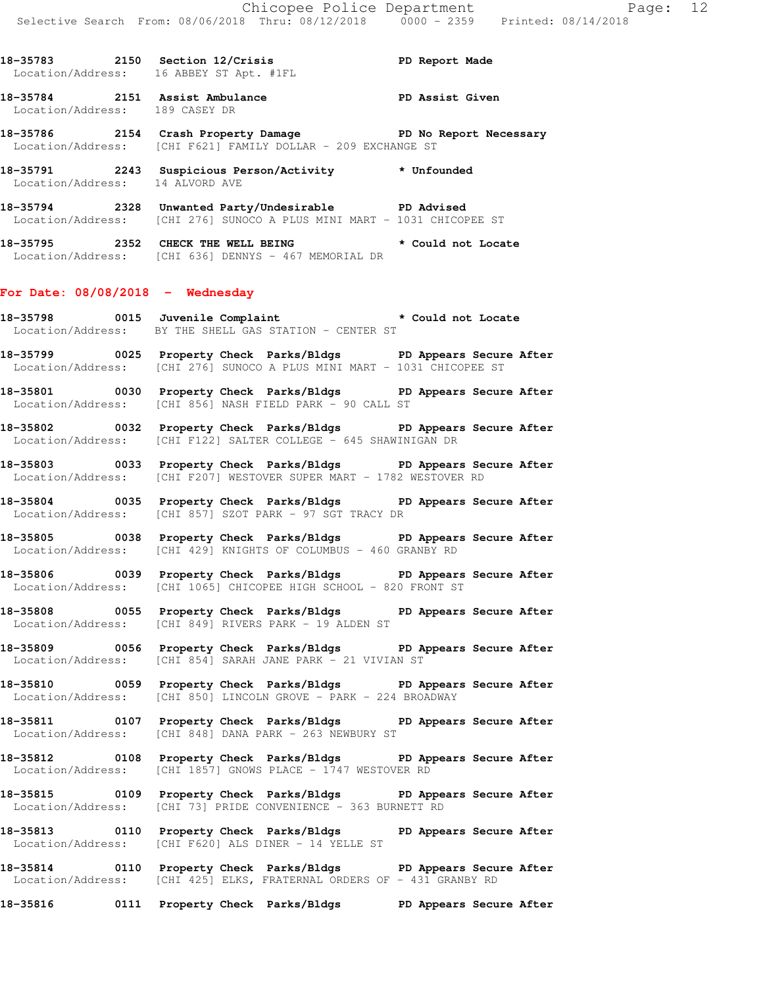**18-35783 2150 Section 12/Crisis PD Report Made**  Location/Address: 16 ABBEY ST Apt. #1FL **18-35784 2151 Assist Ambulance PD Assist Given** 

**18-35786 2154 Crash Property Damage PD No Report Necessary**  Location/Address: [CHI F621] FAMILY DOLLAR - 209 EXCHANGE ST

**18-35791 2243 Suspicious Person/Activity \* Unfounded**  Location/Address: 14 ALVORD AVE

**18-35794 2328 Unwanted Party/Undesirable PD Advised**  Location/Address: [CHI 276] SUNOCO A PLUS MINI MART - 1031 CHICOPEE ST

**18-35795 2352 CHECK THE WELL BEING \* Could not Locate**  Location/Address: [CHI 636] DENNYS - 467 MEMORIAL DR

# **For Date: 08/08/2018 - Wednesday**

Location/Address: 189 CASEY DR

**18-35798 0015 Juvenile Complaint \* Could not Locate**  Location/Address: BY THE SHELL GAS STATION - CENTER ST

**18-35799 0025 Property Check Parks/Bldgs PD Appears Secure After**  Location/Address: [CHI 276] SUNOCO A PLUS MINI MART - 1031 CHICOPEE ST

**18-35801 0030 Property Check Parks/Bldgs PD Appears Secure After**  Location/Address: [CHI 856] NASH FIELD PARK - 90 CALL ST

**18-35802 0032 Property Check Parks/Bldgs PD Appears Secure After**  Location/Address: [CHI F122] SALTER COLLEGE - 645 SHAWINIGAN DR

**18-35803 0033 Property Check Parks/Bldgs PD Appears Secure After**  Location/Address: [CHI F207] WESTOVER SUPER MART - 1782 WESTOVER RD

**18-35804 0035 Property Check Parks/Bldgs PD Appears Secure After**  Location/Address: [CHI 857] SZOT PARK - 97 SGT TRACY DR

**18-35805 0038 Property Check Parks/Bldgs PD Appears Secure After**  Location/Address: [CHI 429] KNIGHTS OF COLUMBUS - 460 GRANBY RD

**18-35806 0039 Property Check Parks/Bldgs PD Appears Secure After**  Location/Address: [CHI 1065] CHICOPEE HIGH SCHOOL - 820 FRONT ST

**18-35808 0055 Property Check Parks/Bldgs PD Appears Secure After**  Location/Address: [CHI 849] RIVERS PARK - 19 ALDEN ST

**18-35809 0056 Property Check Parks/Bldgs PD Appears Secure After**  Location/Address: [CHI 854] SARAH JANE PARK - 21 VIVIAN ST

**18-35810 0059 Property Check Parks/Bldgs PD Appears Secure After**  Location/Address: [CHI 850] LINCOLN GROVE - PARK - 224 BROADWAY

**18-35811 0107 Property Check Parks/Bldgs PD Appears Secure After**  Location/Address: [CHI 848] DANA PARK - 263 NEWBURY ST

**18-35812 0108 Property Check Parks/Bldgs PD Appears Secure After**  Location/Address: [CHI 1857] GNOWS PLACE - 1747 WESTOVER RD

**18-35815 0109 Property Check Parks/Bldgs PD Appears Secure After**  Location/Address: [CHI 73] PRIDE CONVENIENCE - 363 BURNETT RD

**18-35813 0110 Property Check Parks/Bldgs PD Appears Secure After**  Location/Address: [CHI F620] ALS DINER - 14 YELLE ST

**18-35814 0110 Property Check Parks/Bldgs PD Appears Secure After**  Location/Address: [CHI 425] ELKS, FRATERNAL ORDERS OF - 431 GRANBY RD

**18-35816 0111 Property Check Parks/Bldgs PD Appears Secure After**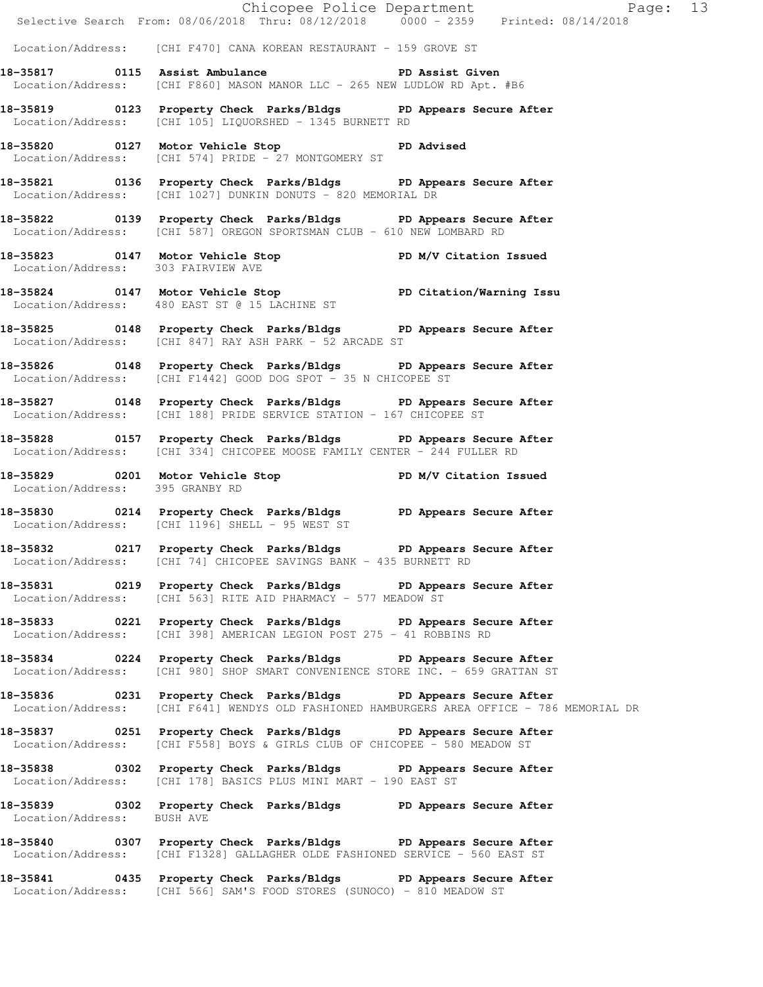|                                 |                                                                                                                                                    | Chicopee Police Department<br>Selective Search From: 08/06/2018 Thru: 08/12/2018 0000 - 2359 Printed: 08/14/2018 |  |
|---------------------------------|----------------------------------------------------------------------------------------------------------------------------------------------------|------------------------------------------------------------------------------------------------------------------|--|
|                                 |                                                                                                                                                    |                                                                                                                  |  |
|                                 | Location/Address: [CHI F470] CANA KOREAN RESTAURANT - 159 GROVE ST                                                                                 |                                                                                                                  |  |
|                                 | 18-35817 0115 Assist Ambulance No PD Assist Given<br>Location/Address: [CHI F860] MASON MANOR LLC - 265 NEW LUDLOW RD Apt. #B6                     |                                                                                                                  |  |
|                                 | 18-35819 0123 Property Check Parks/Bldgs PD Appears Secure After<br>Location/Address: [CHI 105] LIQUORSHED - 1345 BURNETT RD                       |                                                                                                                  |  |
|                                 | 18-35820 0127 Motor Vehicle Stop 50 PD Advised<br>Location/Address: [CHI 574] PRIDE - 27 MONTGOMERY ST                                             |                                                                                                                  |  |
|                                 | 18-35821 0136 Property Check Parks/Bldgs PD Appears Secure After<br>Location/Address: [CHI 1027] DUNKIN DONUTS - 820 MEMORIAL DR                   |                                                                                                                  |  |
|                                 | 18-35822 0139 Property Check Parks/Bldgs PD Appears Secure After<br>Location/Address: [CHI 587] OREGON SPORTSMAN CLUB - 610 NEW LOMBARD RD         |                                                                                                                  |  |
|                                 | 18-35823 0147 Motor Vehicle Stop PD M/V Citation Issued<br>Location/Address: 303 FAIRVIEW AVE                                                      |                                                                                                                  |  |
|                                 | 18-35824 0147 Motor Vehicle Stop PD Citation/Warning Issu<br>Location/Address: 480 EAST ST @ 15 LACHINE ST                                         |                                                                                                                  |  |
|                                 | 18-35825 0148 Property Check Parks/Bldgs PD Appears Secure After<br>Location/Address: [CHI 847] RAY ASH PARK - 52 ARCADE ST                        |                                                                                                                  |  |
|                                 | 18-35826 0148 Property Check Parks/Bldgs PD Appears Secure After<br>Location/Address: [CHI F1442] GOOD DOG SPOT - 35 N CHICOPEE ST                 |                                                                                                                  |  |
|                                 | 18-35827 0148 Property Check Parks/Bldgs PD Appears Secure After<br>Location/Address: [CHI 188] PRIDE SERVICE STATION - 167 CHICOPEE ST            |                                                                                                                  |  |
|                                 | 18-35828 0157 Property Check Parks/Bldgs PD Appears Secure After<br>Location/Address: [CHI 334] CHICOPEE MOOSE FAMILY CENTER - 244 FULLER RD       |                                                                                                                  |  |
| Location/Address: 395 GRANBY RD | 18-35829 0201 Motor Vehicle Stop N/V Citation Issued                                                                                               |                                                                                                                  |  |
|                                 | 18-35830 0214 Property Check Parks/Bldgs PD Appears Secure After<br>Location/Address: [CHI 1196] SHELL - 95 WEST ST                                |                                                                                                                  |  |
|                                 | 18-35832 0217 Property Check Parks/Bldgs PD Appears Secure After<br>Location/Address: [CHI 74] CHICOPEE SAVINGS BANK - 435 BURNETT RD              |                                                                                                                  |  |
|                                 | 18-35831 0219 Property Check Parks/Bldgs PD Appears Secure After<br>Location/Address: [CHI 563] RITE AID PHARMACY - 577 MEADOW ST                  |                                                                                                                  |  |
|                                 | 18-35833 0221 Property Check Parks/Bldgs PD Appears Secure After<br>Location/Address: [CHI 398] AMERICAN LEGION POST 275 - 41 ROBBINS RD           |                                                                                                                  |  |
|                                 | 18-35834 0224 Property Check Parks/Bldgs PD Appears Secure After<br>Location/Address: [CHI 980] SHOP SMART CONVENIENCE STORE INC. - 659 GRATTAN ST |                                                                                                                  |  |
|                                 | 18-35836 0231 Property Check Parks/Bldgs PD Appears Secure After                                                                                   | Location/Address: [CHI F641] WENDYS OLD FASHIONED HAMBURGERS AREA OFFICE - 786 MEMORIAL DR                       |  |
|                                 | 18-35837 0251 Property Check Parks/Bldgs PD Appears Secure After<br>Location/Address: [CHI F558] BOYS & GIRLS CLUB OF CHICOPEE - 580 MEADOW ST     |                                                                                                                  |  |
|                                 | 18-35838 0302 Property Check Parks/Bldgs PD Appears Secure After<br>Location/Address: [CHI 178] BASICS PLUS MINI MART - 190 EAST ST                |                                                                                                                  |  |
| Location/Address: BUSH AVE      | 18-35839 0302 Property Check Parks/Bldgs PD Appears Secure After                                                                                   |                                                                                                                  |  |
|                                 | 18-35840 0307 Property Check Parks/Bldgs PD Appears Secure After<br>Location/Address: [CHI F1328] GALLAGHER OLDE FASHIONED SERVICE - 560 EAST ST   |                                                                                                                  |  |
|                                 | 18-35841 0435 Property Check Parks/Bldgs PD Appears Secure After<br>Location/Address: [CHI 566] SAM'S FOOD STORES (SUNOCO) - 810 MEADOW ST         |                                                                                                                  |  |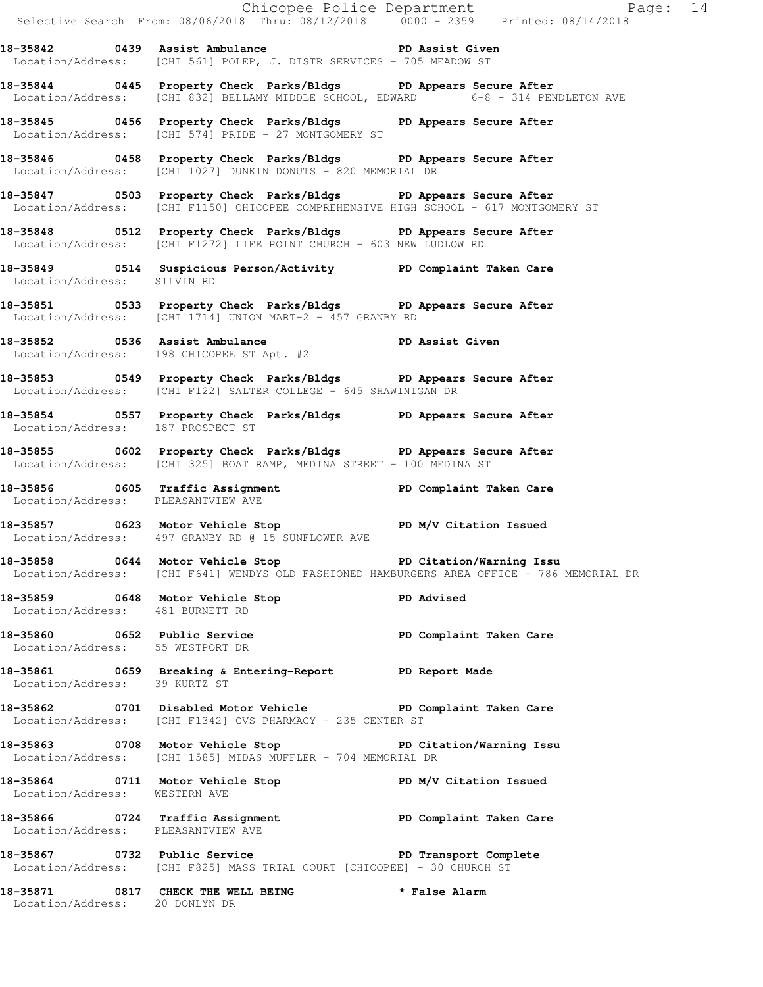|                                    |                                                                                                                                                          | Chicopee Police Department<br>Selective Search From: 08/06/2018 Thru: 08/12/2018 0000 - 2359 Printed: 08/14/2018 |  |
|------------------------------------|----------------------------------------------------------------------------------------------------------------------------------------------------------|------------------------------------------------------------------------------------------------------------------|--|
|                                    | 18-35842 0439 Assist Ambulance New PD Assist Given<br>Location/Address: [CHI 561] POLEP, J. DISTR SERVICES - 705 MEADOW ST                               |                                                                                                                  |  |
|                                    | 18-35844 0445 Property Check Parks/Bldgs PD Appears Secure After                                                                                         | Location/Address: [CHI 832] BELLAMY MIDDLE SCHOOL, EDWARD 6-8 - 314 PENDLETON AVE                                |  |
|                                    | 18-35845 0456 Property Check Parks/Bldgs PD Appears Secure After<br>Location/Address: [CHI 574] PRIDE - 27 MONTGOMERY ST                                 |                                                                                                                  |  |
|                                    | 18-35846 0458 Property Check Parks/Bldgs PD Appears Secure After<br>Location/Address: [CHI 1027] DUNKIN DONUTS - 820 MEMORIAL DR                         |                                                                                                                  |  |
|                                    | 18-35847 0503 Property Check Parks/Bldgs PD Appears Secure After<br>Location/Address: [CHI F1150] CHICOPEE COMPREHENSIVE HIGH SCHOOL - 617 MONTGOMERY ST |                                                                                                                  |  |
|                                    | 18-35848 0512 Property Check Parks/Bldgs PD Appears Secure After<br>Location/Address: [CHI F1272] LIFE POINT CHURCH - 603 NEW LUDLOW RD                  |                                                                                                                  |  |
| Location/Address: SILVIN RD        | 18-35849 		 0514 Suspicious Person/Activity 		 PD Complaint Taken Care                                                                                   |                                                                                                                  |  |
|                                    | 18-35851 0533 Property Check Parks/Bldgs PD Appears Secure After<br>Location/Address: [CHI 1714] UNION MART-2 - 457 GRANBY RD                            |                                                                                                                  |  |
|                                    | 18-35852 0536 Assist Ambulance PD Assist Given<br>Location/Address: 198 CHICOPEE ST Apt. #2                                                              |                                                                                                                  |  |
|                                    | 18-35853 0549 Property Check Parks/Bldgs PD Appears Secure After<br>Location/Address: [CHI F122] SALTER COLLEGE - 645 SHAWINIGAN DR                      |                                                                                                                  |  |
| Location/Address: 187 PROSPECT ST  | 18-35854 0557 Property Check Parks/Bldgs PD Appears Secure After                                                                                         |                                                                                                                  |  |
|                                    | 18-35855 0602 Property Check Parks/Bldgs PD Appears Secure After<br>Location/Address: [CHI 325] BOAT RAMP, MEDINA STREET - 100 MEDINA ST                 |                                                                                                                  |  |
| Location/Address: PLEASANTVIEW AVE | -<br>18-35856              0605    Traffic Assignment                          PD Complaint Taken Care                                                   |                                                                                                                  |  |
|                                    | 18-35857 0623 Motor Vehicle Stop PD M/V Citation Issued<br>Location/Address: 497 GRANBY RD @ 15 SUNFLOWER AVE                                            |                                                                                                                  |  |
|                                    | 18-35858 0644 Motor Vehicle Stop New PD Citation/Warning Issu                                                                                            | Location/Address: [CHI F641] WENDYS OLD FASHIONED HAMBURGERS AREA OFFICE - 786 MEMORIAL DR                       |  |
| Location/Address: 481 BURNETT RD   | 18-35859 0648 Motor Vehicle Stop 35859 PD Advised                                                                                                        |                                                                                                                  |  |
| Location/Address: 55 WESTPORT DR   | 18-35860 0652 Public Service 20 PD Complaint Taken Care                                                                                                  |                                                                                                                  |  |
| Location/Address: 39 KURTZ ST      | 18-35861 0659 Breaking & Entering-Report 10 PD Report Made                                                                                               |                                                                                                                  |  |
|                                    | 18-35862 0701 Disabled Motor Vehicle PD Complaint Taken Care<br>Location/Address: [CHI F1342] CVS PHARMACY - 235 CENTER ST                               |                                                                                                                  |  |
|                                    | 18-35863 0708 Motor Vehicle Stop 5 PD Citation/Warning Issu<br>Location/Address: [CHI 1585] MIDAS MUFFLER - 704 MEMORIAL DR                              |                                                                                                                  |  |
| Location/Address: WESTERN AVE      | 18-35864 0711 Motor Vehicle Stop N/V Citation Issued                                                                                                     |                                                                                                                  |  |
| Location/Address: PLEASANTVIEW AVE | 18-35866 0724 Traffic Assignment New PD Complaint Taken Care                                                                                             |                                                                                                                  |  |
|                                    | 18-35867 0732 Public Service 20 PD Transport Complete<br>Location/Address: [CHI F825] MASS TRIAL COURT [CHICOPEE] - 30 CHURCH ST                         |                                                                                                                  |  |
|                                    | 18-35871 0817 CHECK THE WELL BEING * False Alarm Location/Address: 20 DONLYN DR                                                                          |                                                                                                                  |  |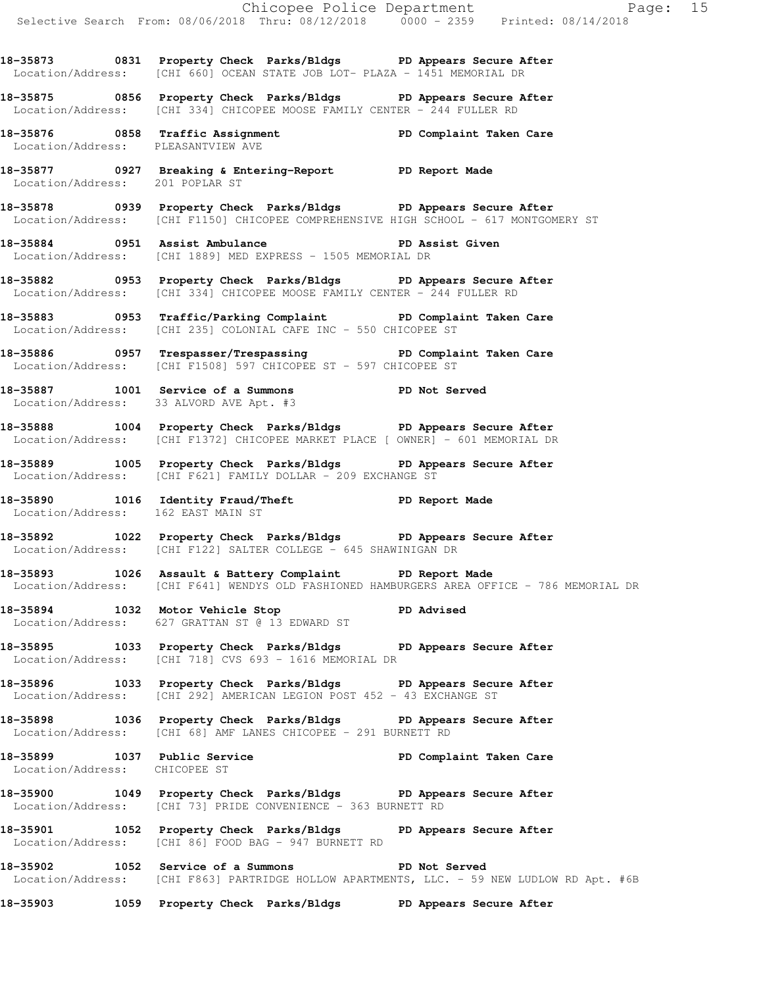**18-35873 0831 Property Check Parks/Bldgs PD Appears Secure After**  Location/Address: [CHI 660] OCEAN STATE JOB LOT- PLAZA - 1451 MEMORIAL DR

**18-35875 0856 Property Check Parks/Bldgs PD Appears Secure After**  Location/Address: [CHI 334] CHICOPEE MOOSE FAMILY CENTER - 244 FULLER RD

**18-35876 0858 Traffic Assignment PD Complaint Taken Care**  Location/Address: PLEASANTVIEW AVE

**18-35877 0927 Breaking & Entering-Report PD Report Made**  Location/Address: 201 POPLAR ST

**18-35878 0939 Property Check Parks/Bldgs PD Appears Secure After**  Location/Address: [CHI F1150] CHICOPEE COMPREHENSIVE HIGH SCHOOL - 617 MONTGOMERY ST

**18-35884 0951 Assist Ambulance PD Assist Given**  Location/Address: [CHI 1889] MED EXPRESS - 1505 MEMORIAL DR

**18-35882 0953 Property Check Parks/Bldgs PD Appears Secure After**  Location/Address: [CHI 334] CHICOPEE MOOSE FAMILY CENTER - 244 FULLER RD

**18-35883 0953 Traffic/Parking Complaint PD Complaint Taken Care**  Location/Address: [CHI 235] COLONIAL CAFE INC - 550 CHICOPEE ST

**18-35886 0957 Trespasser/Trespassing PD Complaint Taken Care**  Location/Address: [CHI F1508] 597 CHICOPEE ST - 597 CHICOPEE ST

**18-35887 1001 Service of a Summons PD Not Served**  Location/Address: 33 ALVORD AVE Apt. #3

**18-35888 1004 Property Check Parks/Bldgs PD Appears Secure After**  Location/Address: [CHI F1372] CHICOPEE MARKET PLACE [ OWNER] - 601 MEMORIAL DR

**18-35889 1005 Property Check Parks/Bldgs PD Appears Secure After**  Location/Address: [CHI F621] FAMILY DOLLAR - 209 EXCHANGE ST

**18-35890 1016 Identity Fraud/Theft PD Report Made**  Location/Address: 162 EAST MAIN ST

**18-35892 1022 Property Check Parks/Bldgs PD Appears Secure After**  Location/Address: [CHI F122] SALTER COLLEGE - 645 SHAWINIGAN DR

**18-35893 1026 Assault & Battery Complaint PD Report Made**  Location/Address: [CHI F641] WENDYS OLD FASHIONED HAMBURGERS AREA OFFICE - 786 MEMORIAL DR

18-35894 1032 Motor Vehicle Stop **PD** Advised Location/Address: 627 GRATTAN ST @ 13 EDWARD ST

**18-35895 1033 Property Check Parks/Bldgs PD Appears Secure After**  Location/Address: [CHI 718] CVS 693 - 1616 MEMORIAL DR

**18-35896 1033 Property Check Parks/Bldgs PD Appears Secure After**  Location/Address: [CHI 292] AMERICAN LEGION POST 452 - 43 EXCHANGE ST

**18-35898 1036 Property Check Parks/Bldgs PD Appears Secure After**  Location/Address: [CHI 68] AMF LANES CHICOPEE - 291 BURNETT RD

**18-35899 1037 Public Service PD Complaint Taken Care**  Location/Address: CHICOPEE ST

**18-35900 1049 Property Check Parks/Bldgs PD Appears Secure After**  Location/Address: [CHI 73] PRIDE CONVENIENCE - 363 BURNETT RD

**18-35901 1052 Property Check Parks/Bldgs PD Appears Secure After**  Location/Address: [CHI 86] FOOD BAG - 947 BURNETT RD

**18-35902 1052 Service of a Summons PD Not Served**  Location/Address: [CHI F863] PARTRIDGE HOLLOW APARTMENTS, LLC. - 59 NEW LUDLOW RD Apt. #6B

**18-35903 1059 Property Check Parks/Bldgs PD Appears Secure After**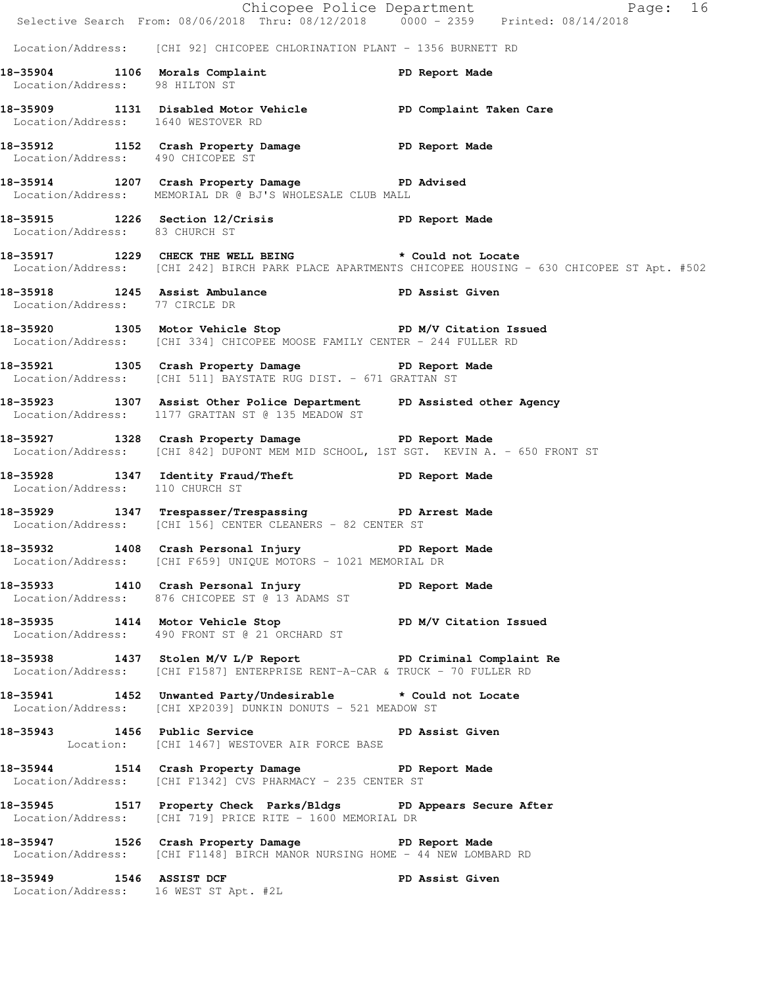|                                       |                                                                                                                                            | Chicopee Police Department<br>Selective Search From: 08/06/2018 Thru: 08/12/2018 0000 - 2359 Printed: 08/14/2018                                              |
|---------------------------------------|--------------------------------------------------------------------------------------------------------------------------------------------|---------------------------------------------------------------------------------------------------------------------------------------------------------------|
|                                       | Location/Address: [CHI 92] CHICOPEE CHLORINATION PLANT - 1356 BURNETT RD                                                                   |                                                                                                                                                               |
| Location/Address: 98 HILTON ST        | 18-35904 1106 Morals Complaint PD Report Made Location/Address: 98 HILTON ST                                                               |                                                                                                                                                               |
| Location/Address: 1640 WESTOVER RD    | 18-35909 1131 Disabled Motor Vehicle PD Complaint Taken Care                                                                               |                                                                                                                                                               |
| Location/Address: 490 CHICOPEE ST     | 18-35912 1152 Crash Property Damage PD Report Made                                                                                         |                                                                                                                                                               |
|                                       | 18-35914 1207 Crash Property Damage PD Advised<br>Location/Address: MEMORIAL DR @ BJ'S WHOLESALE CLUB MALL                                 |                                                                                                                                                               |
| Location/Address: 83 CHURCH ST        | 18-35915 1226 Section 12/Crisis PD Report Made                                                                                             |                                                                                                                                                               |
|                                       |                                                                                                                                            | 18-35917 1229 CHECK THE WELL BEING * Could not Locate<br>Location/Address: [CHI 242] BIRCH PARK PLACE APARTMENTS CHICOPEE HOUSING - 630 CHICOPEE ST Apt. #502 |
| Location/Address: 77 CIRCLE DR        | 18-35918 1245 Assist Ambulance PD Assist Given                                                                                             |                                                                                                                                                               |
|                                       | 18-35920 1305 Motor Vehicle Stop North PD M/V Citation Issued<br>Location/Address: [CHI 334] CHICOPEE MOOSE FAMILY CENTER - 244 FULLER RD  |                                                                                                                                                               |
|                                       | 18-35921 1305 Crash Property Damage PD Report Made<br>Location/Address: [CHI 511] BAYSTATE RUG DIST. - 671 GRATTAN ST                      |                                                                                                                                                               |
|                                       | 18-35923 1307 Assist Other Police Department PD Assisted other Agency<br>Location/Address: 1177 GRATTAN ST @ 135 MEADOW ST                 |                                                                                                                                                               |
|                                       | 18-35927 1328 Crash Property Damage PD Report Made<br>Location/Address: [CHI 842] DUPONT MEM MID SCHOOL, 1ST SGT. KEVIN A. - 650 FRONT ST  |                                                                                                                                                               |
| Location/Address: 110 CHURCH ST       | 18-35928 1347 Identity Fraud/Theft Napple PD Report Made                                                                                   |                                                                                                                                                               |
|                                       | 18-35929 1347 Trespasser/Trespassing PD Arrest Made<br>Location/Address: [CHI 156] CENTER CLEANERS - 82 CENTER ST                          |                                                                                                                                                               |
|                                       | 18-35932 1408 Crash Personal Injury PD Report Made<br>Location/Address: [CHI F659] UNIQUE MOTORS - 1021 MEMORIAL DR                        |                                                                                                                                                               |
|                                       | 18-35933 1410 Crash Personal Injury PD Report Made<br>Location/Address: 876 CHICOPEE ST @ 13 ADAMS ST                                      |                                                                                                                                                               |
|                                       | 18-35935 1414 Motor Vehicle Stop PD M/V Citation Issued<br>Location/Address: 490 FRONT ST @ 21 ORCHARD ST                                  |                                                                                                                                                               |
|                                       | 18-35938 1437 Stolen M/V L/P Report PD Criminal Complaint Re<br>Location/Address: [CHI F1587] ENTERPRISE RENT-A-CAR & TRUCK - 70 FULLER RD |                                                                                                                                                               |
|                                       | 18-35941 1452 Unwanted Party/Undesirable * Could not Locate<br>Location/Address: [CHI XP2039] DUNKIN DONUTS - 521 MEADOW ST                |                                                                                                                                                               |
|                                       | 18-35943 1456 Public Service <b>18-35943</b> PD Assist Given<br>Location: [CHI 1467] WESTOVER AIR FORCE BASE                               |                                                                                                                                                               |
|                                       | 18-35944 1514 Crash Property Damage PD Report Made<br>Location/Address: [CHI F1342] CVS PHARMACY - 235 CENTER ST                           |                                                                                                                                                               |
|                                       | 18-35945 1517 Property Check Parks/Bldgs PD Appears Secure After<br>Location/Address: [CHI 719] PRICE RITE - 1600 MEMORIAL DR              |                                                                                                                                                               |
|                                       | 18-35947 1526 Crash Property Damage PD Report Made<br>Location/Address: [CHI F1148] BIRCH MANOR NURSING HOME - 44 NEW LOMBARD RD           |                                                                                                                                                               |
| Location/Address: 16 WEST ST Apt. #2L | 18-35949 1546 ASSIST DCF 200 PD Assist Given                                                                                               |                                                                                                                                                               |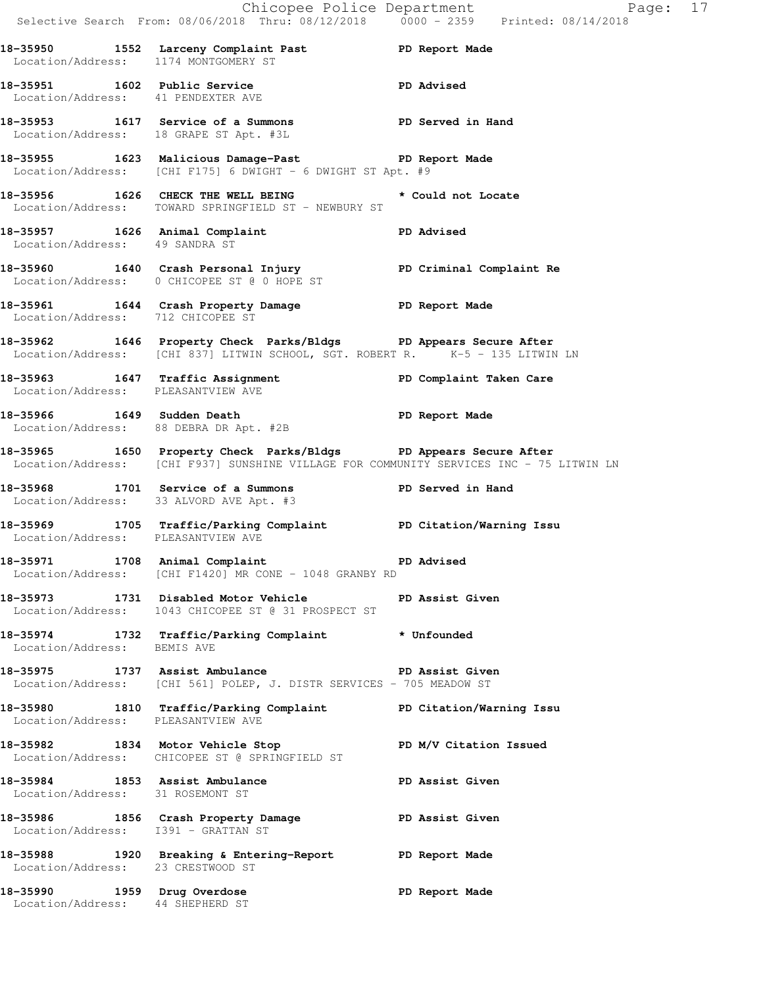|                                                                 | Selective Search From: 08/06/2018 Thru: 08/12/2018 0000 - 2359 Printed: 08/14/2018                                                                          | Chicopee Police Department Fage: 17 |  |
|-----------------------------------------------------------------|-------------------------------------------------------------------------------------------------------------------------------------------------------------|-------------------------------------|--|
| Location/Address: 1174 MONTGOMERY ST                            | 18-35950 1552 Larceny Complaint Past PD Report Made                                                                                                         |                                     |  |
| Location/Address: 41 PENDEXTER AVE                              | 18-35951 1602 Public Service 2012 PD Advised                                                                                                                |                                     |  |
|                                                                 | 18-35953 1617 Service of a Summons 18-35953 PD Served in Hand<br>Location/Address: 18 GRAPE ST Apt. #3L                                                     |                                     |  |
|                                                                 | 18-35955 1623 Malicious Damage-Past PD Report Made<br>Location/Address: [CHI F175] 6 DWIGHT - 6 DWIGHT ST Apt. #9                                           |                                     |  |
|                                                                 | 18-35956 1626 CHECK THE WELL BEING the second to cate<br>Location/Address: TOWARD SPRINGFIELD ST - NEWBURY ST                                               |                                     |  |
| Location/Address: 49 SANDRA ST                                  | 18-35957 1626 Animal Complaint 18-35957                                                                                                                     |                                     |  |
|                                                                 | 18-35960 1640 Crash Personal Injury <b>18-36 PD Criminal Complaint Re</b><br>Location/Address: 0 CHICOPEE ST @ 0 HOPE ST                                    |                                     |  |
| Location/Address: 712 CHICOPEE ST                               | 18-35961 1644 Crash Property Damage Name PD Report Made                                                                                                     |                                     |  |
|                                                                 | 18-35962 1646 Property Check Parks/Bldgs PD Appears Secure After<br>Location/Address: [CHI 837] LITWIN SCHOOL, SGT. ROBERT R. K-5 - 135 LITWIN LN           |                                     |  |
| Location/Address: PLEASANTVIEW AVE                              | 18-35963 1647 Traffic Assignment New PD Complaint Taken Care                                                                                                |                                     |  |
|                                                                 | 18-35966 1649 Sudden Death<br>Location/Address: 88 DEBRA DR Apt. #2B                                                                                        | PD Report Made                      |  |
|                                                                 | 18-35965 1650 Property Check Parks/Bldgs PD Appears Secure After<br>Location/Address: [CHI F937] SUNSHINE VILLAGE FOR COMMUNITY SERVICES INC - 75 LITWIN LN |                                     |  |
|                                                                 | 18-35968 1701 Service of a Summons PD Served in Hand<br>Location/Address: 33 ALVORD AVE Apt. #3                                                             |                                     |  |
|                                                                 | 18-35969 1705 Traffic/Parking Complaint PD Citation/Warning Issu<br>Location/Address: PLEASANTVIEW AVE                                                      |                                     |  |
|                                                                 | 18-35971 1708 Animal Complaint 18-35971<br>Location/Address: [CHI F1420] MR CONE - 1048 GRANBY RD                                                           |                                     |  |
|                                                                 | 18-35973 1731 Disabled Motor Vehicle BD Assist Given<br>Location/Address: 1043 CHICOPEE ST @ 31 PROSPECT ST                                                 |                                     |  |
| Location/Address: BEMIS AVE                                     | 18-35974 1732 Traffic/Parking Complaint * Unfounded                                                                                                         |                                     |  |
|                                                                 | 18-35975 1737 Assist Ambulance New PD Assist Given<br>Location/Address: [CHI 561] POLEP, J. DISTR SERVICES - 705 MEADOW ST                                  |                                     |  |
| Location/Address: PLEASANTVIEW AVE                              | 18-35980 1810 Traffic/Parking Complaint PD Citation/Warning Issu                                                                                            |                                     |  |
|                                                                 | 18-35982 1834 Motor Vehicle Stop N/V Citation Issued<br>Location/Address: CHICOPEE ST @ SPRINGFIELD ST                                                      |                                     |  |
| Location/Address: 31 ROSEMONT ST                                | 18-35984 1853 Assist Ambulance New PD Assist Given                                                                                                          |                                     |  |
| Location/Address: I391 - GRATTAN ST                             | 18-35986 1856 Crash Property Damage Nassist Given                                                                                                           |                                     |  |
| Location/Address: 23 CRESTWOOD ST                               | 18-35988 1920 Breaking & Entering-Report PD Report Made                                                                                                     |                                     |  |
| 18-35990 1959 Drug Overdose<br>Location/Address: 44 SHEPHERD ST |                                                                                                                                                             | PD Report Made                      |  |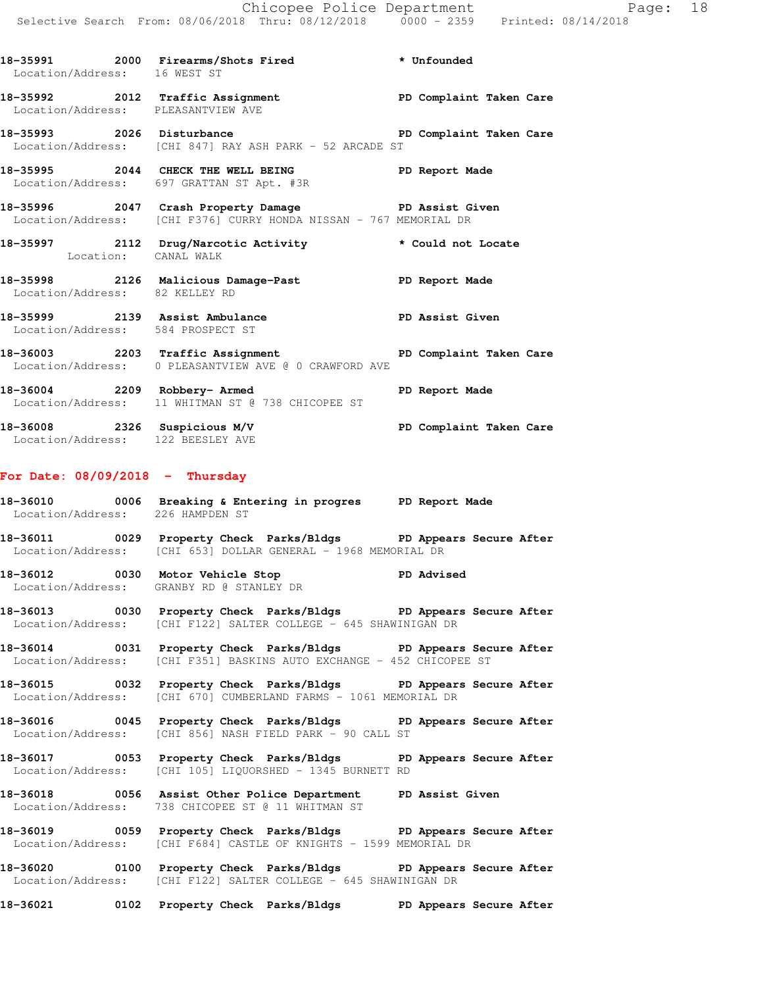Location/Address: 16 WEST ST **18-35992 2012 Traffic Assignment PD Complaint Taken Care**  Location/Address: PLEASANTVIEW AVE **18-35993 2026 Disturbance PD Complaint Taken Care**  Location/Address: [CHI 847] RAY ASH PARK - 52 ARCADE ST **18-35995 2044 CHECK THE WELL BEING PD Report Made**  Location/Address: 697 GRATTAN ST Apt. #3R **18-35996 2047 Crash Property Damage PD Assist Given**  Location/Address: [CHI F376] CURRY HONDA NISSAN - 767 MEMORIAL DR **18-35997 2112 Drug/Narcotic Activity \* Could not Locate**  Location: CANAL WALK **18-35998 2126 Malicious Damage-Past PD Report Made** 

**18-35991 2000 Firearms/Shots Fired \* Unfounded** 

 Location/Address: 82 KELLEY RD **18-35999 2139 Assist Ambulance PD Assist Given**  Location/Address: 584 PROSPECT ST

**18-36003 2203 Traffic Assignment PD Complaint Taken Care**  Location/Address: 0 PLEASANTVIEW AVE @ 0 CRAWFORD AVE

**18-36004 2209 Robbery- Armed PD Report Made**  Location/Address: 11 WHITMAN ST @ 738 CHICOPEE ST

**18-36008 2326 Suspicious M/V PD Complaint Taken Care**  Location/Address: 122 BEESLEY AVE

### **For Date: 08/09/2018 - Thursday**

**18-36010 0006 Breaking & Entering in progres PD Report Made**  Location/Address: 226 HAMPDEN ST

**18-36011 0029 Property Check Parks/Bldgs PD Appears Secure After**  Location/Address: [CHI 653] DOLLAR GENERAL - 1968 MEMORIAL DR

18-36012 0030 Motor Vehicle Stop **PD** Advised Location/Address: GRANBY RD @ STANLEY DR

**18-36013 0030 Property Check Parks/Bldgs PD Appears Secure After**  Location/Address: [CHI F122] SALTER COLLEGE - 645 SHAWINIGAN DR

**18-36014 0031 Property Check Parks/Bldgs PD Appears Secure After**  Location/Address: [CHI F351] BASKINS AUTO EXCHANGE - 452 CHICOPEE ST

**18-36015 0032 Property Check Parks/Bldgs PD Appears Secure After**  Location/Address: [CHI 670] CUMBERLAND FARMS - 1061 MEMORIAL DR

**18-36016 0045 Property Check Parks/Bldgs PD Appears Secure After**  Location/Address: [CHI 856] NASH FIELD PARK - 90 CALL ST

**18-36017 0053 Property Check Parks/Bldgs PD Appears Secure After**  Location/Address: [CHI 105] LIQUORSHED - 1345 BURNETT RD

**18-36018 0056 Assist Other Police Department PD Assist Given**  Location/Address: 738 CHICOPEE ST @ 11 WHITMAN ST

**18-36019 0059 Property Check Parks/Bldgs PD Appears Secure After**  Location/Address: [CHI F684] CASTLE OF KNIGHTS - 1599 MEMORIAL DR

**18-36020 0100 Property Check Parks/Bldgs PD Appears Secure After**  Location/Address: [CHI F122] SALTER COLLEGE - 645 SHAWINIGAN DR

**18-36021 0102 Property Check Parks/Bldgs PD Appears Secure After**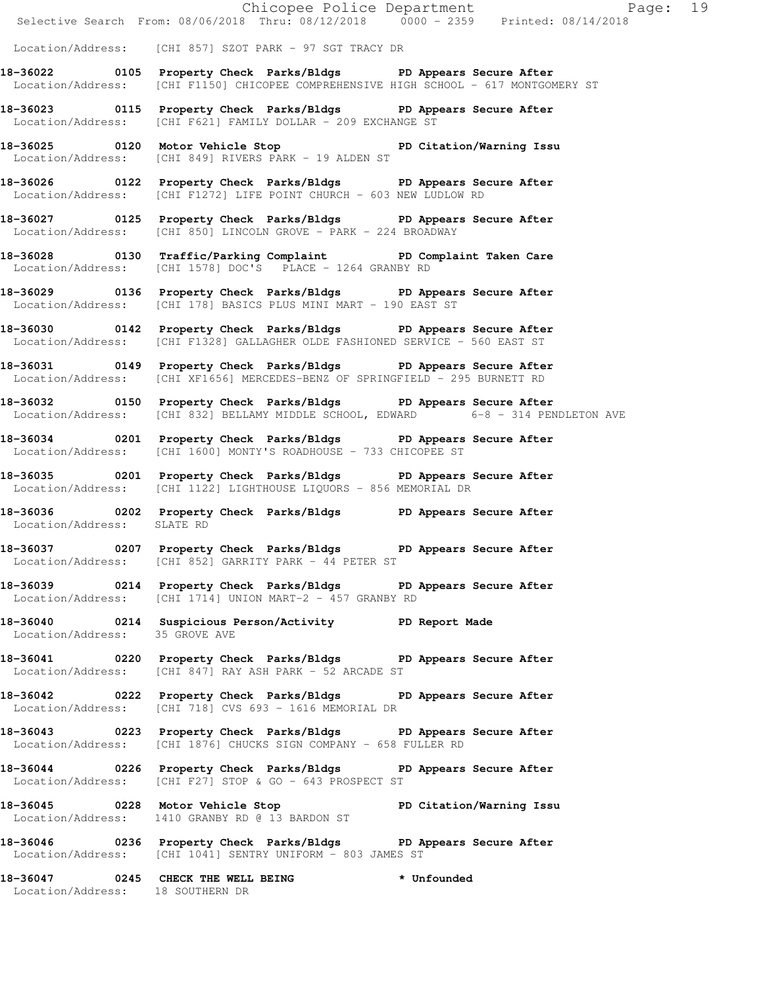|                                  |                                                                                                                                                          | Chicopee Police Department<br>Selective Search From: 08/06/2018 Thru: 08/12/2018 0000 - 2359 Printed: 08/14/2018 |
|----------------------------------|----------------------------------------------------------------------------------------------------------------------------------------------------------|------------------------------------------------------------------------------------------------------------------|
|                                  | Location/Address: [CHI 857] SZOT PARK - 97 SGT TRACY DR                                                                                                  |                                                                                                                  |
|                                  | 18-36022 0105 Property Check Parks/Bldgs PD Appears Secure After<br>Location/Address: [CHI F1150] CHICOPEE COMPREHENSIVE HIGH SCHOOL - 617 MONTGOMERY ST |                                                                                                                  |
|                                  | 18-36023 0115 Property Check Parks/Bldgs PD Appears Secure After<br>Location/Address: [CHI F621] FAMILY DOLLAR - 209 EXCHANGE ST                         |                                                                                                                  |
|                                  | 18-36025 0120 Motor Vehicle Stop 5 PD Citation/Warning Issu<br>Location/Address: [CHI 849] RIVERS PARK - 19 ALDEN ST                                     |                                                                                                                  |
|                                  | 18-36026 0122 Property Check Parks/Bldgs PD Appears Secure After<br>Location/Address: [CHI F1272] LIFE POINT CHURCH - 603 NEW LUDLOW RD                  |                                                                                                                  |
|                                  | 18-36027 0125 Property Check Parks/Bldgs PD Appears Secure After<br>Location/Address: [CHI 850] LINCOLN GROVE - PARK - 224 BROADWAY                      |                                                                                                                  |
|                                  | 18-36028 0130 Traffic/Parking Complaint PD Complaint Taken Care<br>Location/Address: [CHI 1578] DOC'S PLACE - 1264 GRANBY RD                             |                                                                                                                  |
|                                  | 18-36029 0136 Property Check Parks/Bldgs PD Appears Secure After<br>Location/Address: [CHI 178] BASICS PLUS MINI MART - 190 EAST ST                      |                                                                                                                  |
|                                  | 18-36030 0142 Property Check Parks/Bldgs PD Appears Secure After<br>Location/Address: [CHI F1328] GALLAGHER OLDE FASHIONED SERVICE - 560 EAST ST         |                                                                                                                  |
|                                  | 18-36031 0149 Property Check Parks/Bldgs PD Appears Secure After<br>Location/Address: [CHI XF1656] MERCEDES-BENZ OF SPRINGFIELD - 295 BURNETT RD         |                                                                                                                  |
|                                  | 18-36032 0150 Property Check Parks/Bldgs PD Appears Secure After<br>Location/Address: [CHI 832] BELLAMY MIDDLE SCHOOL, EDWARD 6-8 - 314 PENDLETON AVE    |                                                                                                                  |
|                                  | 18-36034 0201 Property Check Parks/Bldgs PD Appears Secure After<br>Location/Address: [CHI 1600] MONTY'S ROADHOUSE - 733 CHICOPEE ST                     |                                                                                                                  |
|                                  | 18-36035 0201 Property Check Parks/Bldgs PD Appears Secure After<br>Location/Address: [CHI 1122] LIGHTHOUSE LIQUORS - 856 MEMORIAL DR                    |                                                                                                                  |
| Location/Address: SLATE RD       | 18-36036 0202 Property Check Parks/Bldgs PD Appears Secure After                                                                                         |                                                                                                                  |
|                                  | 18-36037 0207 Property Check Parks/Bldgs PD Appears Secure After<br>Location/Address: [CHI 852] GARRITY PARK - 44 PETER ST                               |                                                                                                                  |
|                                  | 18-36039 0214 Property Check Parks/Bldgs PD Appears Secure After<br>Location/Address: [CHI 1714] UNION MART-2 - 457 GRANBY RD                            |                                                                                                                  |
|                                  | 18-36040 0214 Suspicious Person/Activity PD Report Made<br>Location/Address: 35 GROVE AVE                                                                |                                                                                                                  |
|                                  | 18-36041 0220 Property Check Parks/Bldgs PD Appears Secure After<br>Location/Address: [CHI 847] RAY ASH PARK - 52 ARCADE ST                              |                                                                                                                  |
|                                  | 18-36042 0222 Property Check Parks/Bldgs PD Appears Secure After<br>Location/Address: [CHI 718] CVS 693 - 1616 MEMORIAL DR                               |                                                                                                                  |
|                                  | 18-36043 0223 Property Check Parks/Bldgs PD Appears Secure After<br>Location/Address: [CHI 1876] CHUCKS SIGN COMPANY - 658 FULLER RD                     |                                                                                                                  |
|                                  | 18-36044 0226 Property Check Parks/Bldgs PD Appears Secure After<br>Location/Address: [CHI F27] STOP & GO - 643 PROSPECT ST                              |                                                                                                                  |
|                                  | 18-36045 0228 Motor Vehicle Stop 5 PD Citation/Warning Issu<br>Location/Address: 1410 GRANBY RD @ 13 BARDON ST                                           |                                                                                                                  |
|                                  | 18-36046 		 0236 Property Check Parks/Bldgs 		 PD Appears Secure After<br>Location/Address: [CHI 1041] SENTRY UNIFORM - 803 JAMES ST                     |                                                                                                                  |
| Location/Address: 18 SOUTHERN DR | 18-36047 0245 CHECK THE WELL BEING * Unfounded                                                                                                           |                                                                                                                  |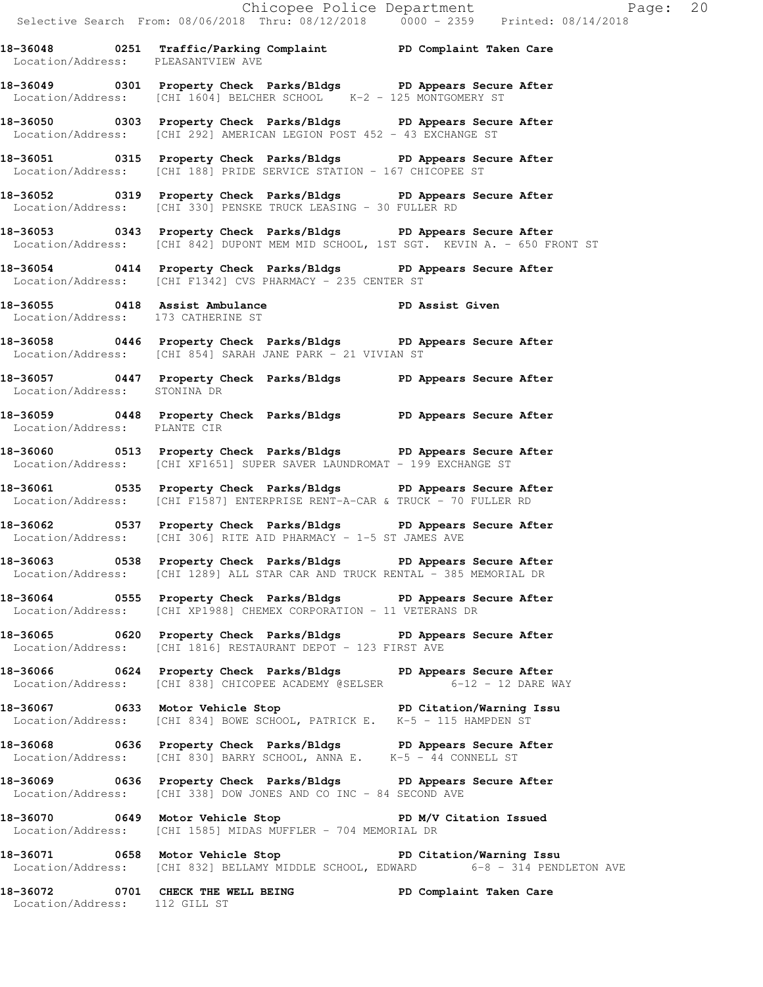Chicopee Police Department Fage: 20 Selective Search From: 08/06/2018 Thru: 08/12/2018 0000 - 2359 Printed: 08/14/2018 **18-36048 0251 Traffic/Parking Complaint PD Complaint Taken Care**  Location/Address: PLEASANTVIEW AVE **18-36049 0301 Property Check Parks/Bldgs PD Appears Secure After**  Location/Address: [CHI 1604] BELCHER SCHOOL K-2 - 125 MONTGOMERY ST **18-36050 0303 Property Check Parks/Bldgs PD Appears Secure After**  Location/Address: [CHI 292] AMERICAN LEGION POST 452 - 43 EXCHANGE ST **18-36051 0315 Property Check Parks/Bldgs PD Appears Secure After**  Location/Address: [CHI 188] PRIDE SERVICE STATION - 167 CHICOPEE ST **18-36052 0319 Property Check Parks/Bldgs PD Appears Secure After**  Location/Address: [CHI 330] PENSKE TRUCK LEASING - 30 FULLER RD **18-36053 0343 Property Check Parks/Bldgs PD Appears Secure After**  Location/Address: [CHI 842] DUPONT MEM MID SCHOOL, 1ST SGT. KEVIN A. - 650 FRONT ST **18-36054 0414 Property Check Parks/Bldgs PD Appears Secure After**  Location/Address: [CHI F1342] CVS PHARMACY - 235 CENTER ST **18-36055 0418 Assist Ambulance PD Assist Given**  Location/Address: 173 CATHERINE ST **18-36058 0446 Property Check Parks/Bldgs PD Appears Secure After**  Location/Address: [CHI 854] SARAH JANE PARK - 21 VIVIAN ST **18-36057 0447 Property Check Parks/Bldgs PD Appears Secure After**  Location/Address: STONINA DR **18-36059 0448 Property Check Parks/Bldgs PD Appears Secure After**  Location/Address: PLANTE CIR **18-36060 0513 Property Check Parks/Bldgs PD Appears Secure After**  Location/Address: [CHI XF1651] SUPER SAVER LAUNDROMAT - 199 EXCHANGE ST **18-36061 0535 Property Check Parks/Bldgs PD Appears Secure After**  Location/Address: [CHI F1587] ENTERPRISE RENT-A-CAR & TRUCK - 70 FULLER RD **18-36062 0537 Property Check Parks/Bldgs PD Appears Secure After**  Location/Address: [CHI 306] RITE AID PHARMACY - 1-5 ST JAMES AVE **18-36063 0538 Property Check Parks/Bldgs PD Appears Secure After**  Location/Address: [CHI 1289] ALL STAR CAR AND TRUCK RENTAL - 385 MEMORIAL DR **18-36064 0555 Property Check Parks/Bldgs PD Appears Secure After**  Location/Address: [CHI XP1988] CHEMEX CORPORATION - 11 VETERANS DR **18-36065 0620 Property Check Parks/Bldgs PD Appears Secure After**  Location/Address: [CHI 1816] RESTAURANT DEPOT - 123 FIRST AVE **18-36066 0624 Property Check Parks/Bldgs PD Appears Secure After**  Location/Address: [CHI 838] CHICOPEE ACADEMY @SELSER 6-12 - 12 DARE WAY **18-36067 0633 Motor Vehicle Stop PD Citation/Warning Issu**  Location/Address: [CHI 834] BOWE SCHOOL, PATRICK E. K-5 - 115 HAMPDEN ST **18-36068 0636 Property Check Parks/Bldgs PD Appears Secure After**  Location/Address: [CHI 830] BARRY SCHOOL, ANNA E. K-5 - 44 CONNELL ST **18-36069 0636 Property Check Parks/Bldgs PD Appears Secure After**  Location/Address: [CHI 338] DOW JONES AND CO INC - 84 SECOND AVE 18-36070 0649 Motor Vehicle Stop **PD M/V Citation Issued** Location/Address: [CHI 1585] MIDAS MUFFLER - 704 MEMORIAL DR **18-36071 0658 Motor Vehicle Stop PD Citation/Warning Issu**  Location/Address: [CHI 832] BELLAMY MIDDLE SCHOOL, EDWARD 6-8 - 314 PENDLETON AVE **18-36072 0701 CHECK THE WELL BEING PD Complaint Taken Care** 

Location/Address: 112 GILL ST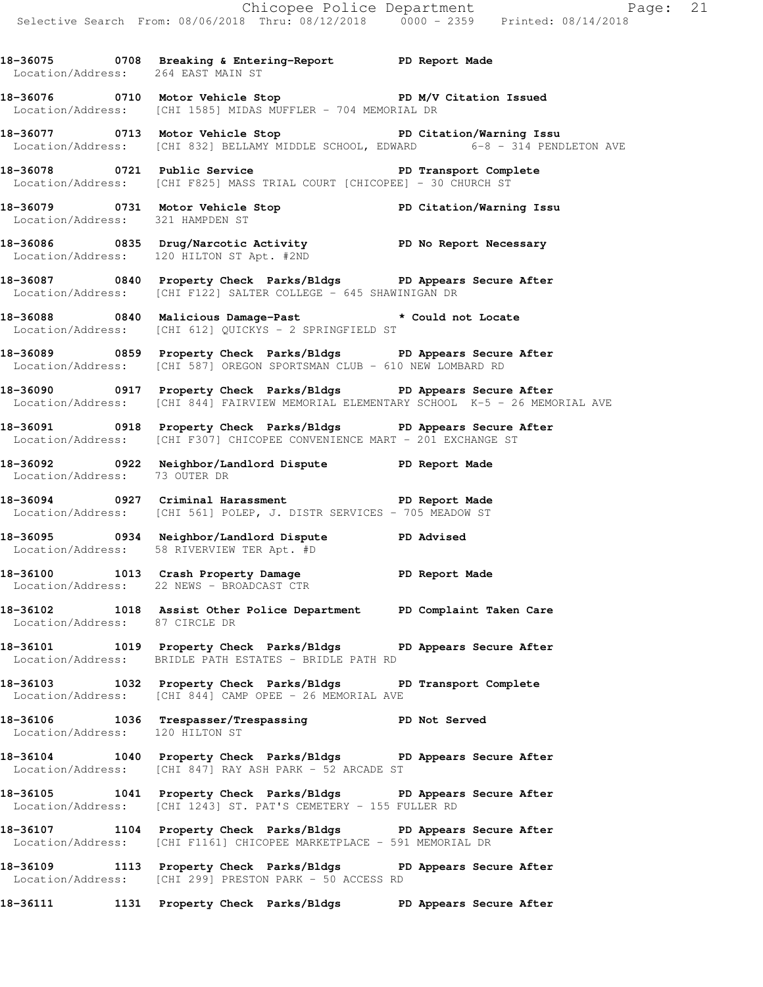Chicopee Police Department Page: 21 Selective Search From: 08/06/2018 Thru: 08/12/2018 0000 - 2359 Printed: 08/14/2018 **18-36075 0708 Breaking & Entering-Report PD Report Made**  Location/Address: 264 EAST MAIN ST 18-36076 0710 Motor Vehicle Stop **PD M/V Citation Issued** Location/Address: [CHI 1585] MIDAS MUFFLER - 704 MEMORIAL DR **18-36077 0713 Motor Vehicle Stop PD Citation/Warning Issu**  Location/Address: [CHI 832] BELLAMY MIDDLE SCHOOL, EDWARD 6-8 - 314 PENDLETON AVE 18-36078 **0721** Public Service **PLAN EXECUTE PD** Transport Complete Location/Address: [CHI F825] MASS TRIAL COURT [CHICOPEE] - 30 CHURCH ST **18-36079 0731 Motor Vehicle Stop PD Citation/Warning Issu**  Location/Address: 321 HAMPDEN ST **18-36086 0835 Drug/Narcotic Activity PD No Report Necessary**  Location/Address: 120 HILTON ST Apt. #2ND **18-36087 0840 Property Check Parks/Bldgs PD Appears Secure After**  Location/Address: [CHI F122] SALTER COLLEGE - 645 SHAWINIGAN DR **18-36088 0840 Malicious Damage-Past \* Could not Locate**  Location/Address: [CHI 612] QUICKYS - 2 SPRINGFIELD ST **18-36089 0859 Property Check Parks/Bldgs PD Appears Secure After**  Location/Address: [CHI 587] OREGON SPORTSMAN CLUB - 610 NEW LOMBARD RD **18-36090 0917 Property Check Parks/Bldgs PD Appears Secure After**  Location/Address: [CHI 844] FAIRVIEW MEMORIAL ELEMENTARY SCHOOL K-5 - 26 MEMORIAL AVE **18-36091 0918 Property Check Parks/Bldgs PD Appears Secure After**  Location/Address: [CHI F307] CHICOPEE CONVENIENCE MART - 201 EXCHANGE ST **18-36092 0922 Neighbor/Landlord Dispute PD Report Made**  Location/Address: 73 OUTER DR **18-36094 0927 Criminal Harassment PD Report Made**  Location/Address: [CHI 561] POLEP, J. DISTR SERVICES - 705 MEADOW ST **18-36095 0934 Neighbor/Landlord Dispute PD Advised**  Location/Address: 58 RIVERVIEW TER Apt. #D **18-36100 1013 Crash Property Damage PD Report Made**  Location/Address: 22 NEWS - BROADCAST CTR **18-36102 1018 Assist Other Police Department PD Complaint Taken Care**  Location/Address: 87 CIRCLE DR **18-36101 1019 Property Check Parks/Bldgs PD Appears Secure After**  Location/Address: BRIDLE PATH ESTATES - BRIDLE PATH RD **18-36103 1032 Property Check Parks/Bldgs PD Transport Complete**  Location/Address: [CHI 844] CAMP OPEE - 26 MEMORIAL AVE **18-36106 1036 Trespasser/Trespassing PD Not Served**  Location/Address: 120 HILTON ST **18-36104 1040 Property Check Parks/Bldgs PD Appears Secure After**  Location/Address: [CHI 847] RAY ASH PARK - 52 ARCADE ST **18-36105 1041 Property Check Parks/Bldgs PD Appears Secure After**  Location/Address: [CHI 1243] ST. PAT'S CEMETERY - 155 FULLER RD **18-36107 1104 Property Check Parks/Bldgs PD Appears Secure After**  Location/Address: [CHI F1161] CHICOPEE MARKETPLACE - 591 MEMORIAL DR **18-36109 1113 Property Check Parks/Bldgs PD Appears Secure After**  Location/Address: [CHI 299] PRESTON PARK - 50 ACCESS RD

**18-36111 1131 Property Check Parks/Bldgs PD Appears Secure After**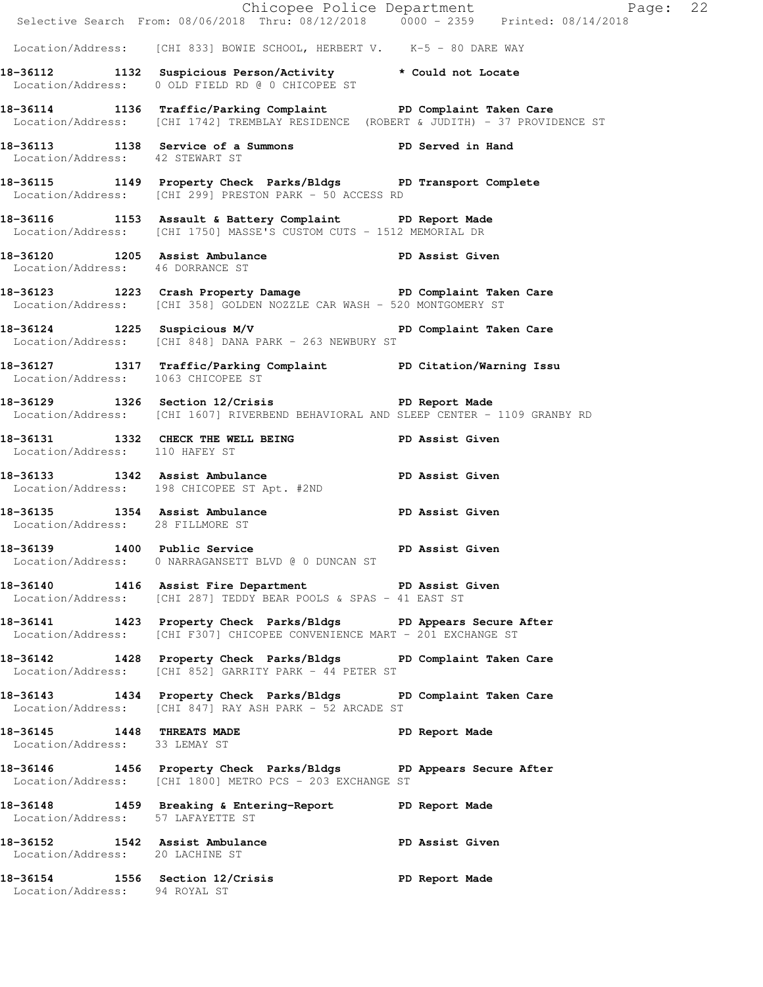|                                                                   |                                                                                                                                                         | Chicopee Police Department<br>Selective Search From: 08/06/2018 Thru: 08/12/2018 0000 - 2359 Printed: 08/14/2018 |  |
|-------------------------------------------------------------------|---------------------------------------------------------------------------------------------------------------------------------------------------------|------------------------------------------------------------------------------------------------------------------|--|
|                                                                   | Location/Address: [CHI 833] BOWIE SCHOOL, HERBERT V. K-5 - 80 DARE WAY                                                                                  |                                                                                                                  |  |
|                                                                   | 18-36112 1132 Suspicious Person/Activity * Could not Locate                                                                                             |                                                                                                                  |  |
|                                                                   | Location/Address: 0 OLD FIELD RD @ 0 CHICOPEE ST                                                                                                        |                                                                                                                  |  |
|                                                                   | 18-36114 1136 Traffic/Parking Complaint PD Complaint Taken Care<br>Location/Address: [CHI 1742] TREMBLAY RESIDENCE (ROBERT & JUDITH) - 37 PROVIDENCE ST |                                                                                                                  |  |
| Location/Address: 42 STEWART ST                                   | 18-36113 1138 Service of a Summons PD Served in Hand                                                                                                    |                                                                                                                  |  |
|                                                                   | 18-36115 1149 Property Check Parks/Bldgs PD Transport Complete<br>Location/Address: [CHI 299] PRESTON PARK - 50 ACCESS RD                               |                                                                                                                  |  |
|                                                                   | 18-36116 1153 Assault & Battery Complaint PD Report Made<br>Location/Address: [CHI 1750] MASSE'S CUSTOM CUTS - 1512 MEMORIAL DR                         |                                                                                                                  |  |
| Location/Address: 46 DORRANCE ST                                  | 18-36120 1205 Assist Ambulance New PD Assist Given                                                                                                      |                                                                                                                  |  |
|                                                                   | 18-36123 1223 Crash Property Damage PD Complaint Taken Care<br>Location/Address: [CHI 358] GOLDEN NOZZLE CAR WASH - 520 MONTGOMERY ST                   |                                                                                                                  |  |
|                                                                   | 18-36124 1225 Suspicious M/V 18-36124 PD Complaint Taken Care<br>Location/Address: [CHI 848] DANA PARK - 263 NEWBURY ST                                 |                                                                                                                  |  |
| Location/Address: 1063 CHICOPEE ST                                | 18-36127 1317 Traffic/Parking Complaint PD Citation/Warning Issu                                                                                        |                                                                                                                  |  |
|                                                                   | 18-36129 1326 Section 12/Crisis Neprember 20 PD Report Made<br>Location/Address: [CHI 1607] RIVERBEND BEHAVIORAL AND SLEEP CENTER - 1109 GRANBY RD      |                                                                                                                  |  |
| Location/Address: 110 HAFEY ST                                    | 18-36131 1332 CHECK THE WELL BEING PD Assist Given                                                                                                      |                                                                                                                  |  |
|                                                                   | 18-36133 1342 Assist Ambulance 1988 PD Assist Given<br>Location/Address: 198 CHICOPEE ST Apt. #2ND                                                      |                                                                                                                  |  |
| Location/Address: 28 FILLMORE ST                                  | 18-36135 1354 Assist Ambulance New PD Assist Given                                                                                                      |                                                                                                                  |  |
|                                                                   | 18-36139 1400 Public Service<br>Location/Address: 0 NARRAGANSETT BLVD @ 0 DUNCAN ST                                                                     | PD Assist Given                                                                                                  |  |
|                                                                   | 18-36140 1416 Assist Fire Department PD Assist Given<br>Location/Address: [CHI 287] TEDDY BEAR POOLS & SPAS - 41 EAST ST                                |                                                                                                                  |  |
|                                                                   | 18-36141 1423 Property Check Parks/Bldgs PD Appears Secure After<br>Location/Address: [CHI F307] CHICOPEE CONVENIENCE MART - 201 EXCHANGE ST            |                                                                                                                  |  |
|                                                                   | 18-36142 1428 Property Check Parks/Bldgs PD Complaint Taken Care<br>Location/Address: [CHI 852] GARRITY PARK - 44 PETER ST                              |                                                                                                                  |  |
|                                                                   | 18-36143 1434 Property Check Parks/Bldgs PD Complaint Taken Care<br>Location/Address: [CHI 847] RAY ASH PARK - 52 ARCADE ST                             |                                                                                                                  |  |
| 18-36145 1448 THREATS MADE<br>Location/Address: 33 LEMAY ST       |                                                                                                                                                         | PD Report Made                                                                                                   |  |
|                                                                   | 18-36146 1456 Property Check Parks/Bldgs PD Appears Secure After<br>Location/Address: [CHI 1800] METRO PCS - 203 EXCHANGE ST                            |                                                                                                                  |  |
| Location/Address: 57 LAFAYETTE ST                                 | 18-36148 1459 Breaking & Entering-Report PD Report Made                                                                                                 |                                                                                                                  |  |
| 18-36152 1542 Assist Ambulance<br>Location/Address: 20 LACHINE ST | PD Assist Given                                                                                                                                         |                                                                                                                  |  |
| Location/Address: 94 ROYAL ST                                     | 18-36154 1556 Section 12/Crisis                                                                                                                         | PD Report Made                                                                                                   |  |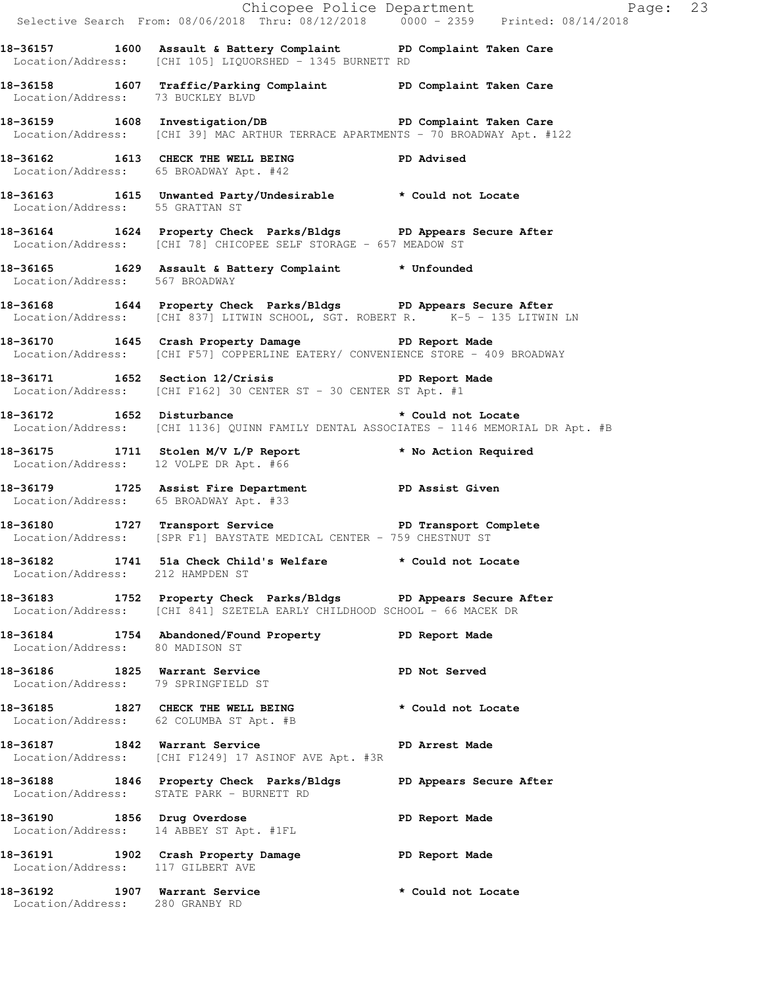|                                                                  |                                                                                                                                                   | Chicopee Police Department<br>Selective Search From: 08/06/2018 Thru: 08/12/2018 0000 - 2359 Printed: 08/14/2018 |
|------------------------------------------------------------------|---------------------------------------------------------------------------------------------------------------------------------------------------|------------------------------------------------------------------------------------------------------------------|
|                                                                  | 18-36157 1600 Assault & Battery Complaint BD Complaint Taken Care<br>Location/Address: [CHI 105] LIQUORSHED - 1345 BURNETT RD                     |                                                                                                                  |
| Location/Address: 73 BUCKLEY BLVD                                | 18-36158 1607 Traffic/Parking Complaint PD Complaint Taken Care                                                                                   |                                                                                                                  |
|                                                                  | 18-36159 1608 Investigation/DB PD Complaint Taken Care<br>Location/Address: [CHI 39] MAC ARTHUR TERRACE APARTMENTS - 70 BROADWAY Apt. #122        |                                                                                                                  |
|                                                                  | 18-36162 1613 CHECK THE WELL BEING PD Advised<br>Location/Address: 65 BROADWAY Apt. #42                                                           |                                                                                                                  |
|                                                                  | 18-36163 1615 Unwanted Party/Undesirable * Could not Locate<br>Location/Address: 55 GRATTAN ST                                                    |                                                                                                                  |
|                                                                  | 18-36164 1624 Property Check Parks/Bldgs PD Appears Secure After<br>Location/Address: [CHI 78] CHICOPEE SELF STORAGE - 657 MEADOW ST              |                                                                                                                  |
| Location/Address: 567 BROADWAY                                   | 18-36165 1629 Assault & Battery Complaint * Unfounded                                                                                             |                                                                                                                  |
|                                                                  | 18-36168 1644 Property Check Parks/Bldgs PD Appears Secure After<br>Location/Address: [CHI 837] LITWIN SCHOOL, SGT. ROBERT R. K-5 - 135 LITWIN LN |                                                                                                                  |
|                                                                  | 18-36170 1645 Crash Property Damage Neport Made<br>Location/Address: [CHI F57] COPPERLINE EATERY/ CONVENIENCE STORE - 409 BROADWAY                |                                                                                                                  |
|                                                                  | 18-36171 1652 Section 12/Crisis PD Report Made<br>Location/Address: [CHI F162] 30 CENTER ST - 30 CENTER ST Apt. #1                                |                                                                                                                  |
|                                                                  | 18-36172 1652 Disturbance<br>Location/Address: [CHI 1136] QUINN FAMILY DENTAL ASSOCIATES - 1146 MEMORIAL DR Apt. #B                               | * Could not Locate                                                                                               |
| Location/Address: 12 VOLPE DR Apt. #66                           | 18-36175 1711 Stolen M/V L/P Report * No Action Required                                                                                          |                                                                                                                  |
| Location/Address: 65 BROADWAY Apt. #33                           | 18-36179 1725 Assist Fire Department PD Assist Given                                                                                              |                                                                                                                  |
|                                                                  | 18-36180 1727 Transport Service PD Transport Complete<br>Location/Address: [SPR F1] BAYSTATE MEDICAL CENTER - 759 CHESTNUT ST                     |                                                                                                                  |
| Location/Address: 212 HAMPDEN ST                                 | 18-36182 1741 51a Check Child's Welfare * Could not Locate                                                                                        |                                                                                                                  |
|                                                                  | 18-36183 1752 Property Check Parks/Bldgs PD Appears Secure After<br>Location/Address: [CHI 841] SZETELA EARLY CHILDHOOD SCHOOL - 66 MACEK DR      |                                                                                                                  |
| Location/Address: 80 MADISON ST                                  | 18-36184 1754 Abandoned/Found Property PD Report Made                                                                                             |                                                                                                                  |
| Location/Address: 79 SPRINGFIELD ST                              | 18-36186 1825 Warrant Service                                                                                                                     | PD Not Served                                                                                                    |
|                                                                  | 18-36185 1827 CHECK THE WELL BEING * Could not Locate<br>Location/Address: 62 COLUMBA ST Apt. #B                                                  |                                                                                                                  |
|                                                                  | 18-36187 1842 Warrant Service<br>Location/Address: [CHI F1249] 17 ASINOF AVE Apt. #3R                                                             | PD Arrest Made                                                                                                   |
|                                                                  | 18-36188 1846 Property Check Parks/Bldgs PD Appears Secure After<br>Location/Address: STATE PARK - BURNETT RD                                     |                                                                                                                  |
|                                                                  | 18-36190 1856 Drug Overdose<br>Location/Address: 14 ABBEY ST Apt. #1FL                                                                            | PD Report Made                                                                                                   |
| Location/Address: 117 GILBERT AVE                                | 18-36191 1902 Crash Property Damage PD Report Made                                                                                                |                                                                                                                  |
| 18-36192 1907 Warrant Service<br>Location/Address: 280 GRANBY RD |                                                                                                                                                   | * Could not Locate                                                                                               |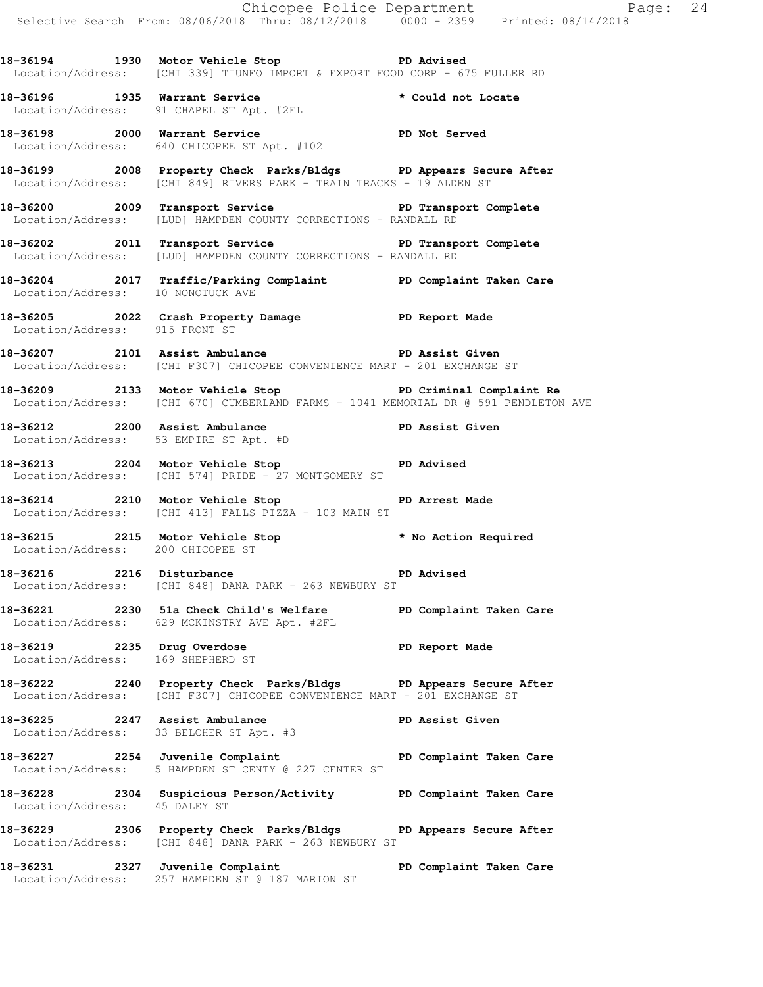**18-36194 1930 Motor Vehicle Stop PD Advised**  Location/Address: [CHI 339] TIUNFO IMPORT & EXPORT FOOD CORP - 675 FULLER RD

**18-36196 1935 Warrant Service \* Could not Locate**  Location/Address: 91 CHAPEL ST Apt. #2FL

**18-36198 2000 Warrant Service PD Not Served**  Location/Address: 640 CHICOPEE ST Apt. #102

**18-36199 2008 Property Check Parks/Bldgs PD Appears Secure After**  Location/Address: [CHI 849] RIVERS PARK - TRAIN TRACKS - 19 ALDEN ST

**18-36200 2009 Transport Service PD Transport Complete**  Location/Address: [LUD] HAMPDEN COUNTY CORRECTIONS - RANDALL RD

18-36202 2011 Transport Service **PD Transport Complete** Location/Address: [LUD] HAMPDEN COUNTY CORRECTIONS - RANDALL RD

**18-36204 2017 Traffic/Parking Complaint PD Complaint Taken Care**  Location/Address: 10 NONOTUCK AVE

**18-36205 2022 Crash Property Damage PD Report Made**  Location/Address: 915 FRONT ST

**18-36207 2101 Assist Ambulance PD Assist Given**  Location/Address: [CHI F307] CHICOPEE CONVENIENCE MART - 201 EXCHANGE ST

**18-36209 2133 Motor Vehicle Stop PD Criminal Complaint Re**  Location/Address: [CHI 670] CUMBERLAND FARMS - 1041 MEMORIAL DR @ 591 PENDLETON AVE

**18-36212 2200 Assist Ambulance PD Assist Given**  Location/Address: 53 EMPIRE ST Apt. #D

**18-36213 2204 Motor Vehicle Stop PD Advised**  Location/Address: [CHI 574] PRIDE - 27 MONTGOMERY ST

**18-36214 2210 Motor Vehicle Stop PD Arrest Made**  Location/Address: [CHI 413] FALLS PIZZA - 103 MAIN ST

**18-36215 2215 Motor Vehicle Stop \* No Action Required**  Location/Address: 200 CHICOPEE ST

**18-36216 2216 Disturbance PD Advised**  Location/Address: [CHI 848] DANA PARK - 263 NEWBURY ST

**18-36221 2230 51a Check Child's Welfare PD Complaint Taken Care**  Location/Address: 629 MCKINSTRY AVE Apt. #2FL

**18-36219 2235 Drug Overdose PD Report Made**  Location/Address: 169 SHEPHERD ST

**18-36222 2240 Property Check Parks/Bldgs PD Appears Secure After**  Location/Address: [CHI F307] CHICOPEE CONVENIENCE MART - 201 EXCHANGE ST

**18-36225 2247 Assist Ambulance PD Assist Given**  Location/Address: 33 BELCHER ST Apt. #3

**18-36227 2254 Juvenile Complaint PD Complaint Taken Care**  Location/Address: 5 HAMPDEN ST CENTY @ 227 CENTER ST

**18-36228 2304 Suspicious Person/Activity PD Complaint Taken Care**  Location/Address: 45 DALEY ST

**18-36229 2306 Property Check Parks/Bldgs PD Appears Secure After**  Location/Address: [CHI 848] DANA PARK - 263 NEWBURY ST

**18-36231 2327 Juvenile Complaint PD Complaint Taken Care**  Location/Address: 257 HAMPDEN ST @ 187 MARION ST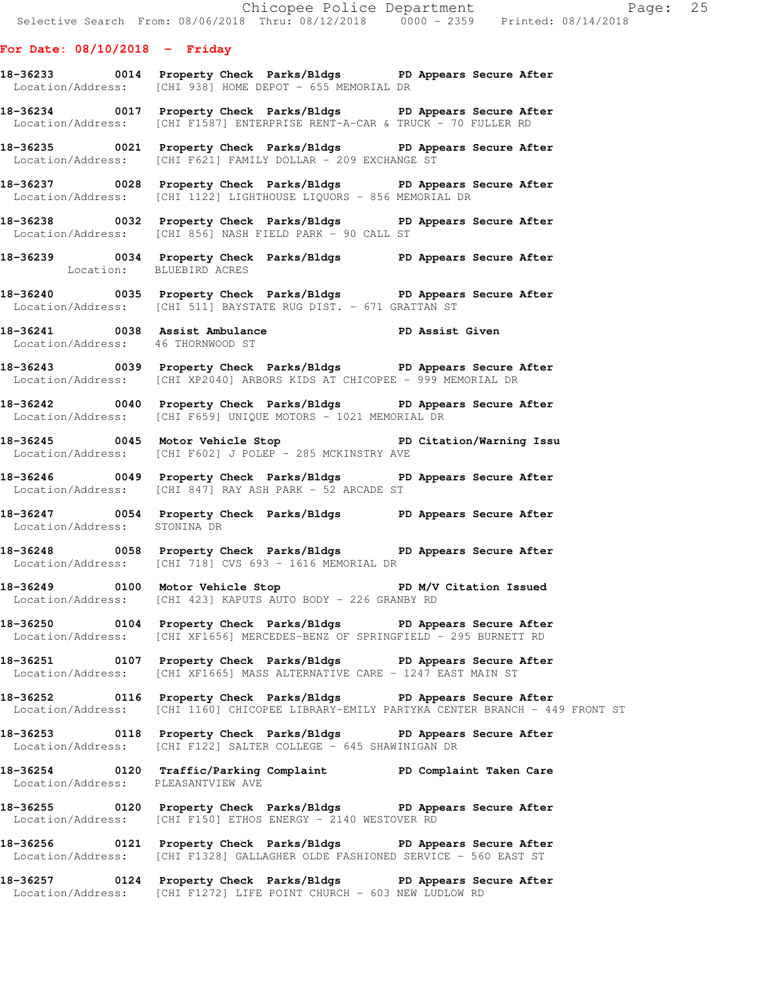#### **For Date: 08/10/2018 - Friday**

- **18-36233 0014 Property Check Parks/Bldgs PD Appears Secure After**  Location/Address: [CHI 938] HOME DEPOT - 655 MEMORIAL DR
- **18-36234 0017 Property Check Parks/Bldgs PD Appears Secure After**  Location/Address: [CHI F1587] ENTERPRISE RENT-A-CAR & TRUCK - 70 FULLER RD
- **18-36235 0021 Property Check Parks/Bldgs PD Appears Secure After**  Location/Address: [CHI F621] FAMILY DOLLAR - 209 EXCHANGE ST
- **18-36237 0028 Property Check Parks/Bldgs PD Appears Secure After**  Location/Address: [CHI 1122] LIGHTHOUSE LIQUORS - 856 MEMORIAL DR
- **18-36238 0032 Property Check Parks/Bldgs PD Appears Secure After**  Location/Address: [CHI 856] NASH FIELD PARK - 90 CALL ST
- **18-36239 0034 Property Check Parks/Bldgs PD Appears Secure After**  Location: BLUEBIRD ACRES
- **18-36240 0035 Property Check Parks/Bldgs PD Appears Secure After**  Location/Address: [CHI 511] BAYSTATE RUG DIST. - 671 GRATTAN ST
- **18-36241 0038 Assist Ambulance PD Assist Given**  Location/Address: 46 THORNWOOD ST
- **18-36243 0039 Property Check Parks/Bldgs PD Appears Secure After**  Location/Address: [CHI XP2040] ARBORS KIDS AT CHICOPEE - 999 MEMORIAL DR
- **18-36242 0040 Property Check Parks/Bldgs PD Appears Secure After**  Location/Address: [CHI F659] UNIQUE MOTORS - 1021 MEMORIAL DR
- **18-36245 0045 Motor Vehicle Stop PD Citation/Warning Issu**  Location/Address: [CHI F602] J POLEP - 285 MCKINSTRY AVE
- **18-36246 0049 Property Check Parks/Bldgs PD Appears Secure After**  Location/Address: [CHI 847] RAY ASH PARK - 52 ARCADE ST
- **18-36247 0054 Property Check Parks/Bldgs PD Appears Secure After**  Location/Address: STONINA DR
- **18-36248 0058 Property Check Parks/Bldgs PD Appears Secure After**  Location/Address: [CHI 718] CVS 693 - 1616 MEMORIAL DR
- 18-36249 **0100** Motor Vehicle Stop **PD M/V Citation Issued** Location/Address: [CHI 423] KAPUTS AUTO BODY - 226 GRANBY RD
- **18-36250 0104 Property Check Parks/Bldgs PD Appears Secure After**  Location/Address: [CHI XF1656] MERCEDES-BENZ OF SPRINGFIELD - 295 BURNETT RD
- **18-36251 0107 Property Check Parks/Bldgs PD Appears Secure After**  Location/Address: [CHI XF1665] MASS ALTERNATIVE CARE - 1247 EAST MAIN ST
- **18-36252 0116 Property Check Parks/Bldgs PD Appears Secure After**  Location/Address: [CHI 1160] CHICOPEE LIBRARY-EMILY PARTYKA CENTER BRANCH - 449 FRONT ST
- **18-36253 0118 Property Check Parks/Bldgs PD Appears Secure After**  Location/Address: [CHI F122] SALTER COLLEGE - 645 SHAWINIGAN DR
- **18-36254 0120 Traffic/Parking Complaint PD Complaint Taken Care**  Location/Address: PLEASANTVIEW AVE
- **18-36255 0120 Property Check Parks/Bldgs PD Appears Secure After**  Location/Address: [CHI F150] ETHOS ENERGY - 2140 WESTOVER RD
- **18-36256 0121 Property Check Parks/Bldgs PD Appears Secure After**  Location/Address: [CHI F1328] GALLAGHER OLDE FASHIONED SERVICE - 560 EAST ST
- **18-36257 0124 Property Check Parks/Bldgs PD Appears Secure After**  Location/Address: [CHI F1272] LIFE POINT CHURCH - 603 NEW LUDLOW RD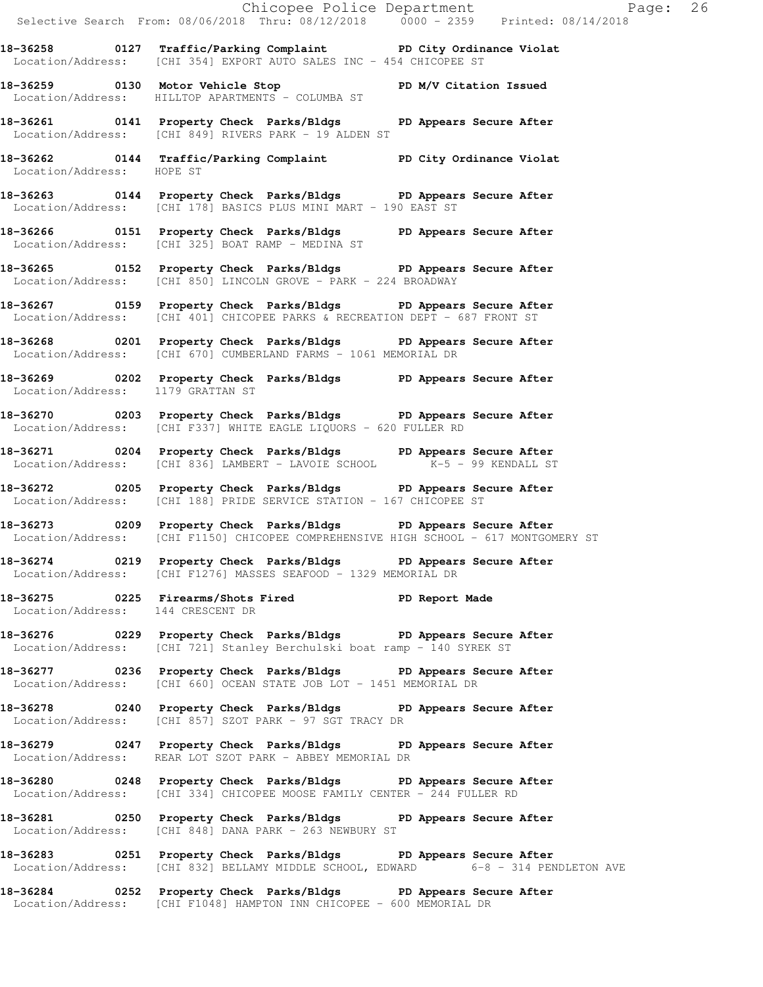Chicopee Police Department Fage: 26 Selective Search From: 08/06/2018 Thru: 08/12/2018 0000 - 2359 Printed: 08/14/2018 **18-36258 0127 Traffic/Parking Complaint PD City Ordinance Violat**  Location/Address: [CHI 354] EXPORT AUTO SALES INC - 454 CHICOPEE ST **18-36259 0130 Motor Vehicle Stop PD M/V Citation Issued**  Location/Address: HILLTOP APARTMENTS - COLUMBA ST **18-36261 0141 Property Check Parks/Bldgs PD Appears Secure After**  Location/Address: [CHI 849] RIVERS PARK - 19 ALDEN ST **18-36262 0144 Traffic/Parking Complaint PD City Ordinance Violat**  Location/Address: HOPE ST **18-36263 0144 Property Check Parks/Bldgs PD Appears Secure After**  Location/Address: [CHI 178] BASICS PLUS MINI MART - 190 EAST ST **18-36266 0151 Property Check Parks/Bldgs PD Appears Secure After**  Location/Address: [CHI 325] BOAT RAMP - MEDINA ST **18-36265 0152 Property Check Parks/Bldgs PD Appears Secure After**  Location/Address: [CHI 850] LINCOLN GROVE - PARK - 224 BROADWAY **18-36267 0159 Property Check Parks/Bldgs PD Appears Secure After**  Location/Address: [CHI 401] CHICOPEE PARKS & RECREATION DEPT - 687 FRONT ST **18-36268 0201 Property Check Parks/Bldgs PD Appears Secure After**  Location/Address: [CHI 670] CUMBERLAND FARMS - 1061 MEMORIAL DR **18-36269 0202 Property Check Parks/Bldgs PD Appears Secure After**  Location/Address: 1179 GRATTAN ST **18-36270 0203 Property Check Parks/Bldgs PD Appears Secure After**  Location/Address: [CHI F337] WHITE EAGLE LIQUORS - 620 FULLER RD **18-36271 0204 Property Check Parks/Bldgs PD Appears Secure After**  Location/Address: [CHI 836] LAMBERT - LAVOIE SCHOOL K-5 - 99 KENDALL ST **18-36272 0205 Property Check Parks/Bldgs PD Appears Secure After**  Location/Address: [CHI 188] PRIDE SERVICE STATION - 167 CHICOPEE ST **18-36273 0209 Property Check Parks/Bldgs PD Appears Secure After**  Location/Address: [CHI F1150] CHICOPEE COMPREHENSIVE HIGH SCHOOL - 617 MONTGOMERY ST **18-36274 0219 Property Check Parks/Bldgs PD Appears Secure After**  Location/Address: [CHI F1276] MASSES SEAFOOD - 1329 MEMORIAL DR **18-36275 0225 Firearms/Shots Fired PD Report Made**  Location/Address: 144 CRESCENT DR **18-36276 0229 Property Check Parks/Bldgs PD Appears Secure After**  Location/Address: [CHI 721] Stanley Berchulski boat ramp - 140 SYREK ST **18-36277 0236 Property Check Parks/Bldgs PD Appears Secure After**  Location/Address: [CHI 660] OCEAN STATE JOB LOT - 1451 MEMORIAL DR **18-36278 0240 Property Check Parks/Bldgs PD Appears Secure After**  Location/Address: [CHI 857] SZOT PARK - 97 SGT TRACY DR **18-36279 0247 Property Check Parks/Bldgs PD Appears Secure After**  Location/Address: REAR LOT SZOT PARK - ABBEY MEMORIAL DR **18-36280 0248 Property Check Parks/Bldgs PD Appears Secure After**  Location/Address: [CHI 334] CHICOPEE MOOSE FAMILY CENTER - 244 FULLER RD **18-36281 0250 Property Check Parks/Bldgs PD Appears Secure After**  Location/Address: [CHI 848] DANA PARK - 263 NEWBURY ST **18-36283 0251 Property Check Parks/Bldgs PD Appears Secure After**  Location/Address: [CHI 832] BELLAMY MIDDLE SCHOOL, EDWARD 6-8 - 314 PENDLETON AVE **18-36284 0252 Property Check Parks/Bldgs PD Appears Secure After** 

Location/Address: [CHI F1048] HAMPTON INN CHICOPEE - 600 MEMORIAL DR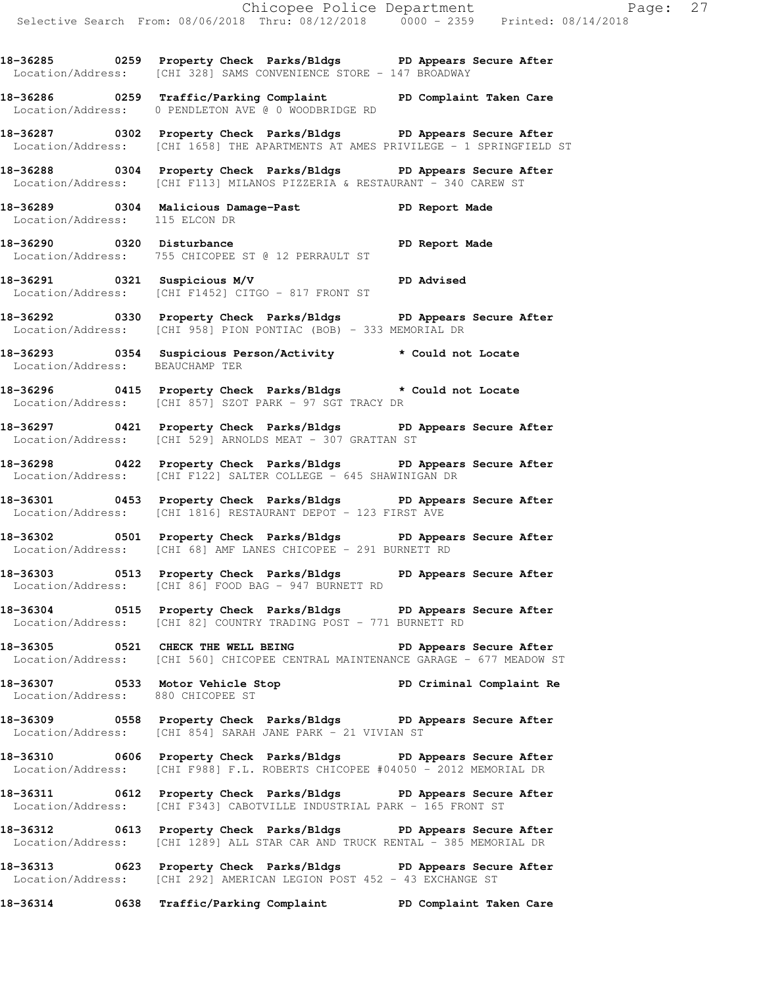**18-36285 0259 Property Check Parks/Bldgs PD Appears Secure After**  Location/Address: [CHI 328] SAMS CONVENIENCE STORE - 147 BROADWAY

**18-36286 0259 Traffic/Parking Complaint PD Complaint Taken Care**  Location/Address: 0 PENDLETON AVE @ 0 WOODBRIDGE RD

**18-36287 0302 Property Check Parks/Bldgs PD Appears Secure After**  Location/Address: [CHI 1658] THE APARTMENTS AT AMES PRIVILEGE - 1 SPRINGFIELD ST

**18-36288 0304 Property Check Parks/Bldgs PD Appears Secure After**  Location/Address: [CHI F113] MILANOS PIZZERIA & RESTAURANT - 340 CAREW ST

**18-36289 0304 Malicious Damage-Past PD Report Made**  Location/Address: 115 ELCON DR

18-36290 0320 Disturbance **PD** Report Made Location/Address: 755 CHICOPEE ST @ 12 PERRAULT ST

**18-36291 0321 Suspicious M/V PD Advised**  Location/Address: [CHI F1452] CITGO - 817 FRONT ST

**18-36292 0330 Property Check Parks/Bldgs PD Appears Secure After**  Location/Address: [CHI 958] PION PONTIAC (BOB) - 333 MEMORIAL DR

**18-36293 0354 Suspicious Person/Activity \* Could not Locate**  Location/Address: BEAUCHAMP TER

**18-36296 0415 Property Check Parks/Bldgs \* Could not Locate**  Location/Address: [CHI 857] SZOT PARK - 97 SGT TRACY DR

**18-36297 0421 Property Check Parks/Bldgs PD Appears Secure After**  Location/Address: [CHI 529] ARNOLDS MEAT - 307 GRATTAN ST

**18-36298 0422 Property Check Parks/Bldgs PD Appears Secure After**  Location/Address: [CHI F122] SALTER COLLEGE - 645 SHAWINIGAN DR

**18-36301 0453 Property Check Parks/Bldgs PD Appears Secure After**  Location/Address: [CHI 1816] RESTAURANT DEPOT - 123 FIRST AVE

**18-36302 0501 Property Check Parks/Bldgs PD Appears Secure After**  Location/Address: [CHI 68] AMF LANES CHICOPEE - 291 BURNETT RD

**18-36303 0513 Property Check Parks/Bldgs PD Appears Secure After**  Location/Address: [CHI 86] FOOD BAG - 947 BURNETT RD

**18-36304 0515 Property Check Parks/Bldgs PD Appears Secure After**  Location/Address: [CHI 82] COUNTRY TRADING POST - 771 BURNETT RD

**18-36305 0521 CHECK THE WELL BEING PD Appears Secure After**  Location/Address: [CHI 560] CHICOPEE CENTRAL MAINTENANCE GARAGE - 677 MEADOW ST

**18-36307 0533 Motor Vehicle Stop PD Criminal Complaint Re**  Location/Address: 880 CHICOPEE ST

**18-36309 0558 Property Check Parks/Bldgs PD Appears Secure After**  Location/Address: [CHI 854] SARAH JANE PARK - 21 VIVIAN ST

**18-36310 0606 Property Check Parks/Bldgs PD Appears Secure After**  Location/Address: [CHI F988] F.L. ROBERTS CHICOPEE #04050 - 2012 MEMORIAL DR

**18-36311 0612 Property Check Parks/Bldgs PD Appears Secure After**  Location/Address: [CHI F343] CABOTVILLE INDUSTRIAL PARK - 165 FRONT ST

**18-36312 0613 Property Check Parks/Bldgs PD Appears Secure After**  Location/Address: [CHI 1289] ALL STAR CAR AND TRUCK RENTAL - 385 MEMORIAL DR

**18-36313 0623 Property Check Parks/Bldgs PD Appears Secure After**  Location/Address: [CHI 292] AMERICAN LEGION POST 452 - 43 EXCHANGE ST

**18-36314 0638 Traffic/Parking Complaint PD Complaint Taken Care**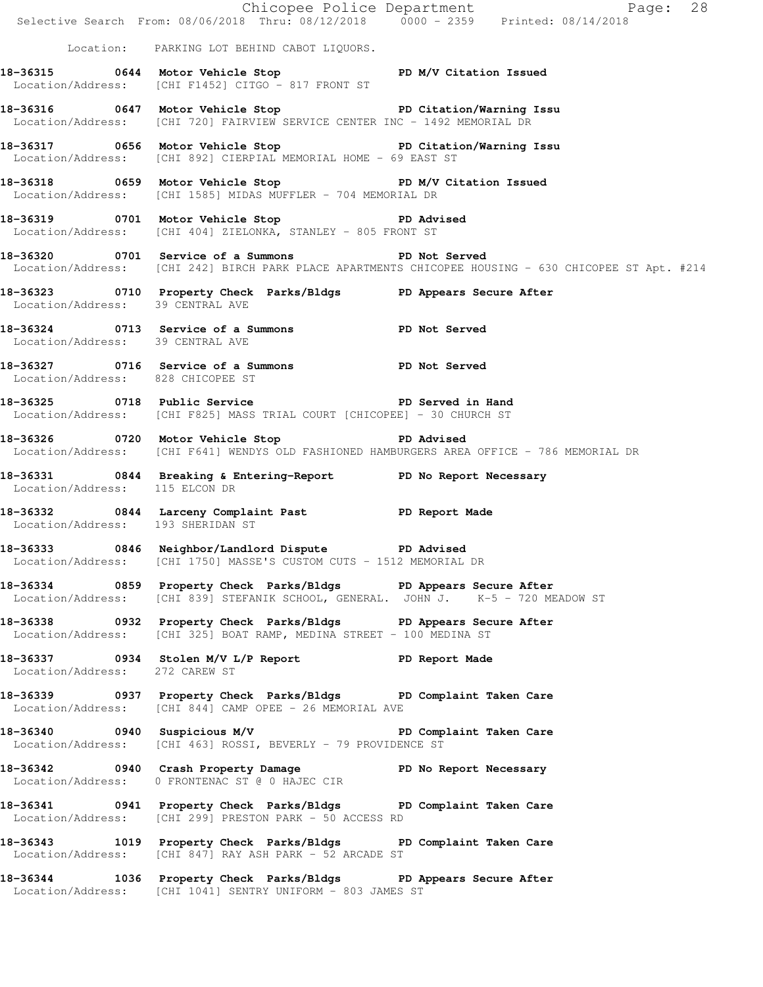|                                   |                                                                                                                                                       | Exage: 28<br>Selective Search From: 08/06/2018 Thru: 08/12/2018 0000 - 2359 Printed: 08/14/2018      |
|-----------------------------------|-------------------------------------------------------------------------------------------------------------------------------------------------------|------------------------------------------------------------------------------------------------------|
|                                   | Location: PARKING LOT BEHIND CABOT LIQUORS.                                                                                                           |                                                                                                      |
|                                   | 18-36315 0644 Motor Vehicle Stop N/V Citation Issued<br>Location/Address: [CHI F1452] CITGO - 817 FRONT ST                                            |                                                                                                      |
|                                   | 18-36316 0647 Motor Vehicle Stop 5 PD Citation/Warning Issu<br>Location/Address: [CHI 720] FAIRVIEW SERVICE CENTER INC - 1492 MEMORIAL DR             |                                                                                                      |
|                                   | 18-36317 0656 Motor Vehicle Stop 50 PD Citation/Warning Issu<br>Location/Address: [CHI 892] CIERPIAL MEMORIAL HOME - 69 EAST ST                       |                                                                                                      |
|                                   | 18-36318 0659 Motor Vehicle Stop North PD M/V Citation Issued<br>Location/Address: [CHI 1585] MIDAS MUFFLER - 704 MEMORIAL DR                         |                                                                                                      |
|                                   | 18-36319 0701 Motor Vehicle Stop 50 PD Advised<br>Location/Address: [CHI 404] ZIELONKA, STANLEY - 805 FRONT ST                                        |                                                                                                      |
|                                   | 18-36320 0701 Service of a Summons PD Not Served                                                                                                      | Location/Address: [CHI 242] BIRCH PARK PLACE APARTMENTS CHICOPEE HOUSING - 630 CHICOPEE ST Apt. #214 |
| Location/Address: 39 CENTRAL AVE  | 18-36323 0710 Property Check Parks/Bldgs PD Appears Secure After                                                                                      |                                                                                                      |
| Location/Address: 39 CENTRAL AVE  | 18-36324 0713 Service of a Summons PD Not Served                                                                                                      |                                                                                                      |
| Location/Address: 828 CHICOPEE ST | 18-36327 0716 Service of a Summons PD Not Served                                                                                                      |                                                                                                      |
|                                   | 18-36325 0718 Public Service New PD Served in Hand<br>Location/Address: [CHI F825] MASS TRIAL COURT [CHICOPEE] - 30 CHURCH ST                         |                                                                                                      |
|                                   | 18-36326 0720 Motor Vehicle Stop 5 18-36326 PD Advised                                                                                                | Location/Address: [CHI F641] WENDYS OLD FASHIONED HAMBURGERS AREA OFFICE - 786 MEMORIAL DR           |
| Location/Address: 115 ELCON DR    | 18-36331 0844 Breaking & Entering-Report PD No Report Necessary                                                                                       |                                                                                                      |
| Location/Address: 193 SHERIDAN ST | 18-36332 0844 Larceny Complaint Past PD Report Made                                                                                                   |                                                                                                      |
|                                   | 18-36333 0846 Neighbor/Landlord Dispute PD Advised<br>Location/Address: [CHI 1750] MASSE'S CUSTOM CUTS - 1512 MEMORIAL DR                             |                                                                                                      |
|                                   | 18-36334 0859 Property Check Parks/Bldgs PD Appears Secure After<br>Location/Address: [CHI 839] STEFANIK SCHOOL, GENERAL. JOHN J. K-5 - 720 MEADOW ST |                                                                                                      |
|                                   | 18-36338 		 0932 Property Check Parks/Bldgs 		 PD Appears Secure After<br>Location/Address: [CHI 325] BOAT RAMP, MEDINA STREET - 100 MEDINA ST        |                                                                                                      |
| Location/Address: 272 CAREW ST    | 18-36337 0934 Stolen M/V L/P Report 18-36337                                                                                                          |                                                                                                      |
|                                   | 18-36339 		 0937 Property Check Parks/Bldgs 		 PD Complaint Taken Care<br>Location/Address: [CHI 844] CAMP OPEE - 26 MEMORIAL AVE                     |                                                                                                      |
|                                   | 18-36340 0940 Suspicious M/V PD Complaint Taken Care<br>Location/Address: [CHI 463] ROSSI, BEVERLY - 79 PROVIDENCE ST                                 |                                                                                                      |
|                                   | 18-36342 0940 Crash Property Damage No PD No Report Necessary<br>Location/Address: 0 FRONTENAC ST @ 0 HAJEC CIR                                       |                                                                                                      |
|                                   | 18-36341 0941 Property Check Parks/Bldgs PD Complaint Taken Care<br>Location/Address: [CHI 299] PRESTON PARK - 50 ACCESS RD                           |                                                                                                      |
|                                   | 18-36343 1019 Property Check Parks/Bldgs PD Complaint Taken Care<br>Location/Address: [CHI 847] RAY ASH PARK - 52 ARCADE ST                           |                                                                                                      |
|                                   | 18-36344 1036 Property Check Parks/Bldgs PD Appears Secure After<br>Location/Address: [CHI 1041] SENTRY UNIFORM - 803 JAMES ST                        |                                                                                                      |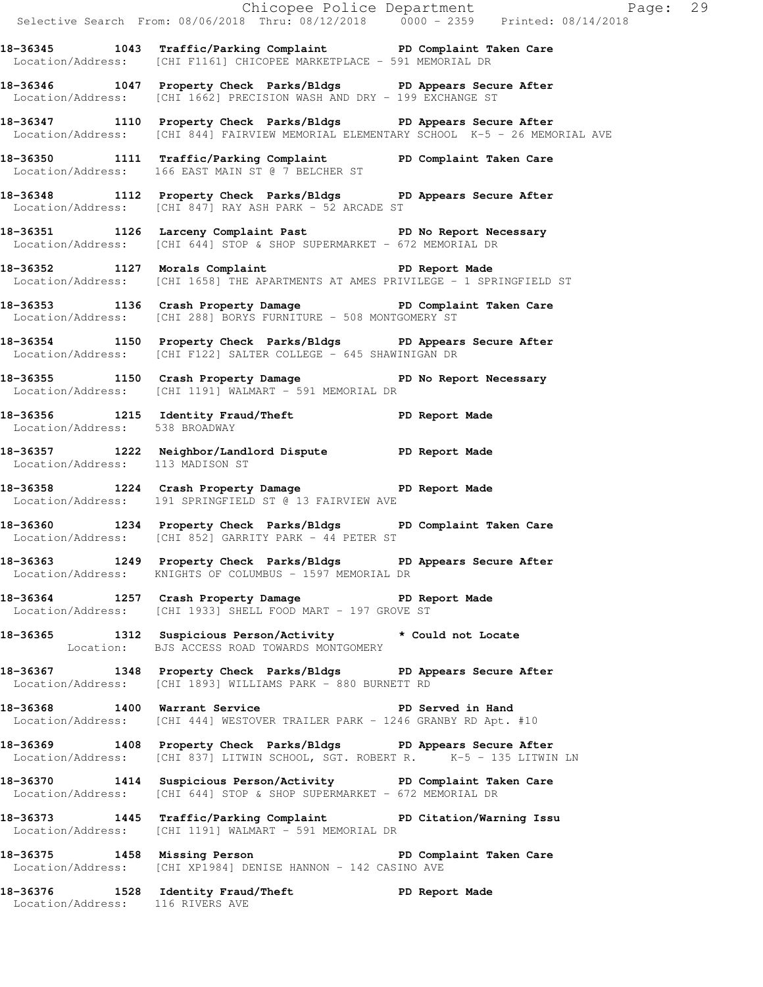|                                  | 18-36345 1043 Traffic/Parking Complaint PD Complaint Taken Care<br>Location/Address: [CHI F1161] CHICOPEE MARKETPLACE - 591 MEMORIAL DR<br>18-36346 1047 Property Check Parks/Bldgs PD Appears Secure After<br>Location/Address: [CHI 1662] PRECISION WASH AND DRY - 199 EXCHANGE ST<br>18-36347 1110 Property Check Parks/Bldgs PD Appears Secure After<br>Location/Address: [CHI 844] FAIRVIEW MEMORIAL ELEMENTARY SCHOOL K-5 - 26 MEMORIAL AVE<br>18-36350 1111 Traffic/Parking Complaint PD Complaint Taken Care<br>Location/Address: 166 EAST MAIN ST @ 7 BELCHER ST |  |
|----------------------------------|---------------------------------------------------------------------------------------------------------------------------------------------------------------------------------------------------------------------------------------------------------------------------------------------------------------------------------------------------------------------------------------------------------------------------------------------------------------------------------------------------------------------------------------------------------------------------|--|
|                                  |                                                                                                                                                                                                                                                                                                                                                                                                                                                                                                                                                                           |  |
|                                  |                                                                                                                                                                                                                                                                                                                                                                                                                                                                                                                                                                           |  |
|                                  |                                                                                                                                                                                                                                                                                                                                                                                                                                                                                                                                                                           |  |
|                                  |                                                                                                                                                                                                                                                                                                                                                                                                                                                                                                                                                                           |  |
|                                  | 18-36348 1112 Property Check Parks/Bldgs PD Appears Secure After<br>Location/Address: [CHI 847] RAY ASH PARK - 52 ARCADE ST                                                                                                                                                                                                                                                                                                                                                                                                                                               |  |
|                                  | 18-36351 1126 Larceny Complaint Past PD No Report Necessary<br>Location/Address: [CHI 644] STOP & SHOP SUPERMARKET - 672 MEMORIAL DR                                                                                                                                                                                                                                                                                                                                                                                                                                      |  |
|                                  | 18-36352 1127 Morals Complaint 18-36352<br>Location/Address: [CHI 1658] THE APARTMENTS AT AMES PRIVILEGE - 1 SPRINGFIELD ST                                                                                                                                                                                                                                                                                                                                                                                                                                               |  |
|                                  | 18-36353 1136 Crash Property Damage PD Complaint Taken Care<br>Location/Address: [CHI 288] BORYS FURNITURE - 508 MONTGOMERY ST                                                                                                                                                                                                                                                                                                                                                                                                                                            |  |
|                                  | 18-36354 1150 Property Check Parks/Bldgs PD Appears Secure After<br>Location/Address: [CHI F122] SALTER COLLEGE - 645 SHAWINIGAN DR                                                                                                                                                                                                                                                                                                                                                                                                                                       |  |
|                                  | 18-36355 1150 Crash Property Damage 5 PD No Report Necessary<br>Location/Address: [CHI 1191] WALMART - 591 MEMORIAL DR                                                                                                                                                                                                                                                                                                                                                                                                                                                    |  |
| Location/Address: 538 BROADWAY   | 18-36356 1215 Identity Fraud/Theft <b>18-36356</b> PD Report Made                                                                                                                                                                                                                                                                                                                                                                                                                                                                                                         |  |
| Location/Address: 113 MADISON ST | 18-36357 1222 Neighbor/Landlord Dispute PD Report Made                                                                                                                                                                                                                                                                                                                                                                                                                                                                                                                    |  |
|                                  | 18-36358 1224 Crash Property Damage PD Report Made<br>Location/Address: 191 SPRINGFIELD ST @ 13 FAIRVIEW AVE                                                                                                                                                                                                                                                                                                                                                                                                                                                              |  |
|                                  | 18-36360 1234 Property Check Parks/Bldgs PD Complaint Taken Care<br>Location/Address: [CHI 852] GARRITY PARK - 44 PETER ST                                                                                                                                                                                                                                                                                                                                                                                                                                                |  |
|                                  | 18-36363 1249 Property Check Parks/Bldgs PD Appears Secure After<br>Location/Address: KNIGHTS OF COLUMBUS - 1597 MEMORIAL DR                                                                                                                                                                                                                                                                                                                                                                                                                                              |  |
|                                  | 18-36364 1257 Crash Property Damage PD Report Made<br>Location/Address: [CHI 1933] SHELL FOOD MART - 197 GROVE ST                                                                                                                                                                                                                                                                                                                                                                                                                                                         |  |
|                                  | 18-36365 1312 Suspicious Person/Activity * Could not Locate<br>Location: BJS ACCESS ROAD TOWARDS MONTGOMERY                                                                                                                                                                                                                                                                                                                                                                                                                                                               |  |
|                                  | 18-36367 1348 Property Check Parks/Bldgs PD Appears Secure After<br>Location/Address: [CHI 1893] WILLIAMS PARK - 880 BURNETT RD                                                                                                                                                                                                                                                                                                                                                                                                                                           |  |
|                                  | 18-36368 1400 Warrant Service New PD Served in Hand<br>Location/Address: [CHI 444] WESTOVER TRAILER PARK - 1246 GRANBY RD Apt. #10                                                                                                                                                                                                                                                                                                                                                                                                                                        |  |
|                                  | 18-36369 1408 Property Check Parks/Bldgs PD Appears Secure After<br>Location/Address: [CHI 837] LITWIN SCHOOL, SGT. ROBERT R. K-5 - 135 LITWIN LN                                                                                                                                                                                                                                                                                                                                                                                                                         |  |
|                                  | 18-36370 1414 Suspicious Person/Activity PD Complaint Taken Care<br>Location/Address: [CHI 644] STOP & SHOP SUPERMARKET - 672 MEMORIAL DR                                                                                                                                                                                                                                                                                                                                                                                                                                 |  |
|                                  | 18-36373 1445 Traffic/Parking Complaint PD Citation/Warning Issu<br>Location/Address: [CHI 1191] WALMART - 591 MEMORIAL DR                                                                                                                                                                                                                                                                                                                                                                                                                                                |  |
|                                  | 18-36375 1458 Missing Person New PD Complaint Taken Care<br>Location/Address: [CHI XP1984] DENISE HANNON - 142 CASINO AVE                                                                                                                                                                                                                                                                                                                                                                                                                                                 |  |
|                                  | 18-36376 1528 Identity Fraud/Theft PD Report Made<br>Location/Address: 116 RIVERS AVE                                                                                                                                                                                                                                                                                                                                                                                                                                                                                     |  |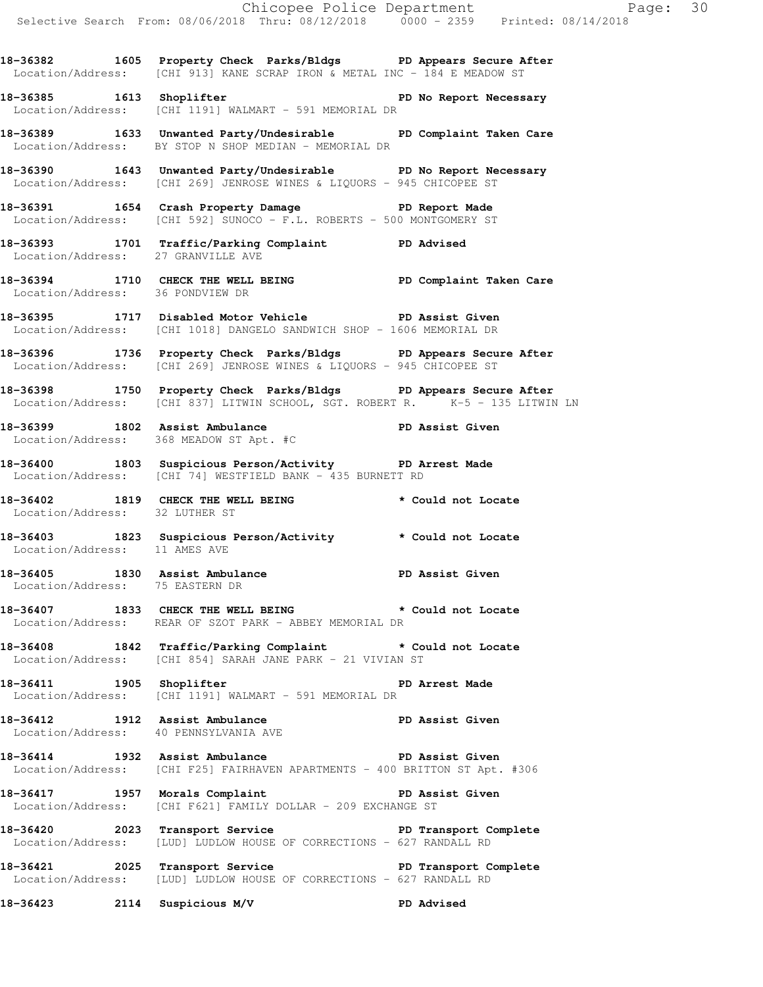**18-36382 1605 Property Check Parks/Bldgs PD Appears Secure After**  Location/Address: [CHI 913] KANE SCRAP IRON & METAL INC - 184 E MEADOW ST

**18-36385 1613 Shoplifter PD No Report Necessary**  Location/Address: [CHI 1191] WALMART - 591 MEMORIAL DR

**18-36389 1633 Unwanted Party/Undesirable PD Complaint Taken Care**  Location/Address: BY STOP N SHOP MEDIAN - MEMORIAL DR

**18-36390 1643 Unwanted Party/Undesirable PD No Report Necessary**  Location/Address: [CHI 269] JENROSE WINES & LIQUORS - 945 CHICOPEE ST

**18-36391 1654 Crash Property Damage PD Report Made**  Location/Address: [CHI 592] SUNOCO - F.L. ROBERTS - 500 MONTGOMERY ST

**18-36393 1701 Traffic/Parking Complaint PD Advised**  Location/Address: 27 GRANVILLE AVE

**18-36394 1710 CHECK THE WELL BEING PD Complaint Taken Care**  Location/Address: 36 PONDVIEW DR

**18-36395 1717 Disabled Motor Vehicle PD Assist Given**  Location/Address: [CHI 1018] DANGELO SANDWICH SHOP - 1606 MEMORIAL DR

**18-36396 1736 Property Check Parks/Bldgs PD Appears Secure After**  Location/Address: [CHI 269] JENROSE WINES & LIQUORS - 945 CHICOPEE ST

**18-36398 1750 Property Check Parks/Bldgs PD Appears Secure After**  Location/Address: [CHI 837] LITWIN SCHOOL, SGT. ROBERT R. K-5 - 135 LITWIN LN

**18-36399 1802 Assist Ambulance PD Assist Given**  Location/Address: 368 MEADOW ST Apt. #C

**18-36400 1803 Suspicious Person/Activity PD Arrest Made**  Location/Address: [CHI 74] WESTFIELD BANK - 435 BURNETT RD

**18-36402 1819 CHECK THE WELL BEING \* Could not Locate**  Location/Address: 32 LUTHER ST

**18-36403 1823 Suspicious Person/Activity \* Could not Locate**  Location/Address: 11 AMES AVE

18-36405 1830 Assist Ambulance **PD Assist Given** Location/Address: 75 EASTERN DR

**18-36407 1833 CHECK THE WELL BEING \* Could not Locate**  Location/Address: REAR OF SZOT PARK - ABBEY MEMORIAL DR

**18-36408 1842 Traffic/Parking Complaint \* Could not Locate**  Location/Address: [CHI 854] SARAH JANE PARK - 21 VIVIAN ST

**18-36411 1905 Shoplifter PD Arrest Made**  Location/Address: [CHI 1191] WALMART - 591 MEMORIAL DR

**18-36412 1912 Assist Ambulance PD Assist Given**  Location/Address: 40 PENNSYLVANIA AVE

**18-36414 1932 Assist Ambulance PD Assist Given**  Location/Address: [CHI F25] FAIRHAVEN APARTMENTS - 400 BRITTON ST Apt. #306

**18-36417 1957 Morals Complaint PD Assist Given**  Location/Address: [CHI F621] FAMILY DOLLAR - 209 EXCHANGE ST

18-36420 2023 Transport Service **PD Transport Complete** Location/Address: [LUD] LUDLOW HOUSE OF CORRECTIONS - 627 RANDALL RD

18-36421 2025 Transport Service **Prince PD Transport Complete** Location/Address: [LUD] LUDLOW HOUSE OF CORRECTIONS - 627 RANDALL RD

**18-36423 2114 Suspicious M/V PD Advised**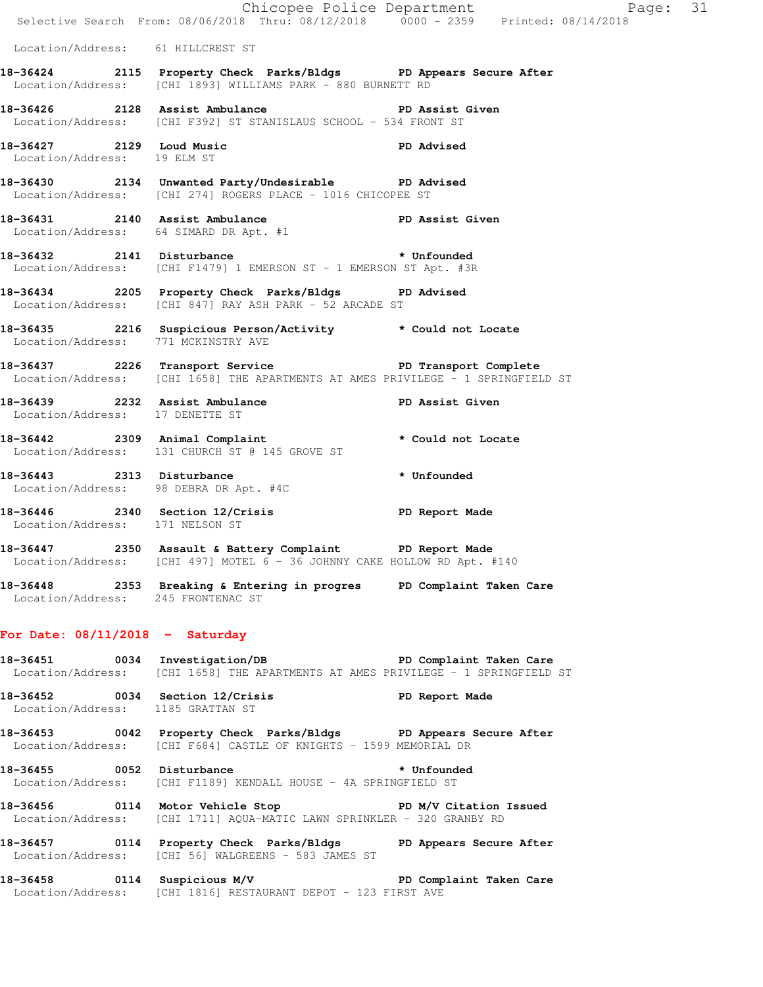|                                     | E Chicopee Police Department<br>Selective Search From: 08/06/2018 Thru: 08/12/2018 0000 - 2359 Printed: 08/14/2018                               | Page: 31    |  |
|-------------------------------------|--------------------------------------------------------------------------------------------------------------------------------------------------|-------------|--|
| Location/Address: 61 HILLCREST ST   |                                                                                                                                                  |             |  |
|                                     | 18-36424 2115 Property Check Parks/Bldgs PD Appears Secure After<br>Location/Address: [CHI 1893] WILLIAMS PARK - 880 BURNETT RD                  |             |  |
|                                     | 18-36426 2128 Assist Ambulance New PD Assist Given<br>Location/Address: [CHI F392] ST STANISLAUS SCHOOL - 534 FRONT ST                           |             |  |
| Location/Address: 19 ELM ST         | 18-36427 2129 Loud Music PD Advised                                                                                                              |             |  |
|                                     | 18-36430 2134 Unwanted Party/Undesirable PD Advised<br>Location/Address: [CHI 274] ROGERS PLACE - 1016 CHICOPEE ST                               |             |  |
| 18-36431 2140 Assist Ambulance      | PD Assist Given<br>Location/Address: 64 SIMARD DR Apt. #1                                                                                        |             |  |
|                                     | 18-36432 2141 Disturbance * * Unfounded<br>Location/Address: [CHI F1479] 1 EMERSON ST - 1 EMERSON ST Apt. #3R                                    |             |  |
|                                     | 18-36434 2205 Property Check Parks/Bldgs PD Advised<br>Location/Address: [CHI 847] RAY ASH PARK - 52 ARCADE ST                                   |             |  |
| Location/Address: 771 MCKINSTRY AVE | 18-36435 2216 Suspicious Person/Activity * Could not Locate                                                                                      |             |  |
|                                     | 18-36437 2226 Transport Service <b>PD</b> Transport Complete<br>Location/Address: [CHI 1658] THE APARTMENTS AT AMES PRIVILEGE - 1 SPRINGFIELD ST |             |  |
| Location/Address: 17 DENETTE ST     | 18-36439 2232 Assist Ambulance (Bassist Given                                                                                                    |             |  |
|                                     | 18-36442 2309 Animal Complaint * Could not Locate<br>Location/Address: 131 CHURCH ST @ 145 GROVE ST                                              |             |  |
|                                     | 18-36443 2313 Disturbance<br>Location/Address: 98 DEBRA DR Apt. #4C                                                                              | * Unfounded |  |
| Location/Address: 171 NELSON ST     | 18-36446 2340 Section 12/Crisis TD Report Made                                                                                                   |             |  |
|                                     | 18-36447 2350 Assault & Battery Complaint PD Report Made<br>Location/Address: [CHI 497] MOTEL 6 - 36 JOHNNY CAKE HOLLOW RD Apt. #140             |             |  |
| Location/Address: 245 FRONTENAC ST  | 18-36448 2353 Breaking & Entering in progres PD Complaint Taken Care                                                                             |             |  |
| For Date: $08/11/2018$ - Saturday   |                                                                                                                                                  |             |  |
|                                     | 18-36451 0034 Investigation/DB PD Complaint Taken Care<br>Location/Address: [CHI 1658] THE APARTMENTS AT AMES PRIVILEGE - 1 SPRINGFIELD ST       |             |  |
| Location/Address: 1185 GRATTAN ST   | 18-36452 0034 Section 12/Crisis PD Report Made                                                                                                   |             |  |
|                                     | 18-36453 0042 Property Check Parks/Bldgs PD Appears Secure After<br>Location/Address: [CHI F684] CASTLE OF KNIGHTS - 1599 MEMORIAL DR            |             |  |
|                                     | 18-36455 0052 Disturbance the top of the Unfounded<br>Location/Address: [CHI F1189] KENDALL HOUSE - 4A SPRINGFIELD ST                            |             |  |
|                                     | 18-36456 0114 Motor Vehicle Stop PD M/V Citation Issued<br>Location/Address: [CHI 1711] AQUA-MATIC LAWN SPRINKLER - 320 GRANBY RD                |             |  |
|                                     | 18-36457 0114 Property Check Parks/Bldgs PD Appears Secure After<br>Location/Address: [CHI 56] WALGREENS - 583 JAMES ST                          |             |  |
|                                     | 18-36458 0114 Suspicious M/V PD Complaint Taken Care<br>Location/Address: [CHI 1816] RESTAURANT DEPOT - 123 FIRST AVE                            |             |  |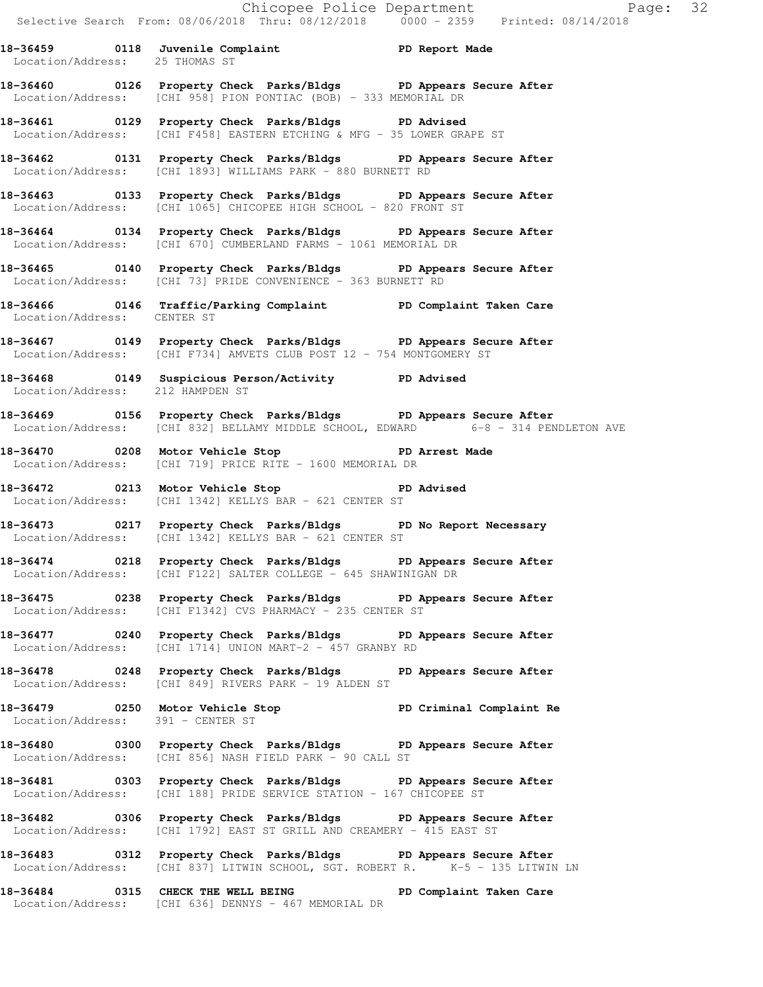**18-36459 0118 Juvenile Complaint PD Report Made**  Location/Address: 25 THOMAS ST **18-36460 0126 Property Check Parks/Bldgs PD Appears Secure After**  Location/Address: [CHI 958] PION PONTIAC (BOB) - 333 MEMORIAL DR

**18-36461 0129 Property Check Parks/Bldgs PD Advised**  Location/Address: [CHI F458] EASTERN ETCHING & MFG - 35 LOWER GRAPE ST

**18-36462 0131 Property Check Parks/Bldgs PD Appears Secure After**  Location/Address: [CHI 1893] WILLIAMS PARK - 880 BURNETT RD

**18-36463 0133 Property Check Parks/Bldgs PD Appears Secure After**  Location/Address: [CHI 1065] CHICOPEE HIGH SCHOOL - 820 FRONT ST

**18-36464 0134 Property Check Parks/Bldgs PD Appears Secure After**  Location/Address: [CHI 670] CUMBERLAND FARMS - 1061 MEMORIAL DR

**18-36465 0140 Property Check Parks/Bldgs PD Appears Secure After**  Location/Address: [CHI 73] PRIDE CONVENIENCE - 363 BURNETT RD

**18-36466 0146 Traffic/Parking Complaint PD Complaint Taken Care**  Location/Address: CENTER ST

**18-36467 0149 Property Check Parks/Bldgs PD Appears Secure After**  Location/Address: [CHI F734] AMVETS CLUB POST 12 - 754 MONTGOMERY ST

**18-36468 0149 Suspicious Person/Activity PD Advised**  Location/Address: 212 HAMPDEN ST

**18-36469 0156 Property Check Parks/Bldgs PD Appears Secure After**  Location/Address: [CHI 832] BELLAMY MIDDLE SCHOOL, EDWARD 6-8 - 314 PENDLETON AVE

18-36470 **0208** Motor Vehicle Stop **PD** Arrest Made Location/Address: [CHI 719] PRICE RITE - 1600 MEMORIAL DR

**18-36472 0213 Motor Vehicle Stop PD Advised**  Location/Address: [CHI 1342] KELLYS BAR - 621 CENTER ST

**18-36473 0217 Property Check Parks/Bldgs PD No Report Necessary**  Location/Address: [CHI 1342] KELLYS BAR - 621 CENTER ST

**18-36474 0218 Property Check Parks/Bldgs PD Appears Secure After**  Location/Address: [CHI F122] SALTER COLLEGE - 645 SHAWINIGAN DR

**18-36475 0238 Property Check Parks/Bldgs PD Appears Secure After**  Location/Address: [CHI F1342] CVS PHARMACY - 235 CENTER ST

**18-36477 0240 Property Check Parks/Bldgs PD Appears Secure After**  Location/Address: [CHI 1714] UNION MART-2 - 457 GRANBY RD

**18-36478 0248 Property Check Parks/Bldgs PD Appears Secure After**  Location/Address: [CHI 849] RIVERS PARK - 19 ALDEN ST

**18-36479 0250 Motor Vehicle Stop PD Criminal Complaint Re**  Location/Address: 391 - CENTER ST

**18-36480 0300 Property Check Parks/Bldgs PD Appears Secure After**  Location/Address: [CHI 856] NASH FIELD PARK - 90 CALL ST

**18-36481 0303 Property Check Parks/Bldgs PD Appears Secure After**  Location/Address: [CHI 188] PRIDE SERVICE STATION - 167 CHICOPEE ST

**18-36482 0306 Property Check Parks/Bldgs PD Appears Secure After**  Location/Address: [CHI 1792] EAST ST GRILL AND CREAMERY - 415 EAST ST

**18-36483 0312 Property Check Parks/Bldgs PD Appears Secure After**  Location/Address: [CHI 837] LITWIN SCHOOL, SGT. ROBERT R. K-5 - 135 LITWIN LN

**18-36484 0315 CHECK THE WELL BEING PD Complaint Taken Care**  Location/Address: [CHI 636] DENNYS - 467 MEMORIAL DR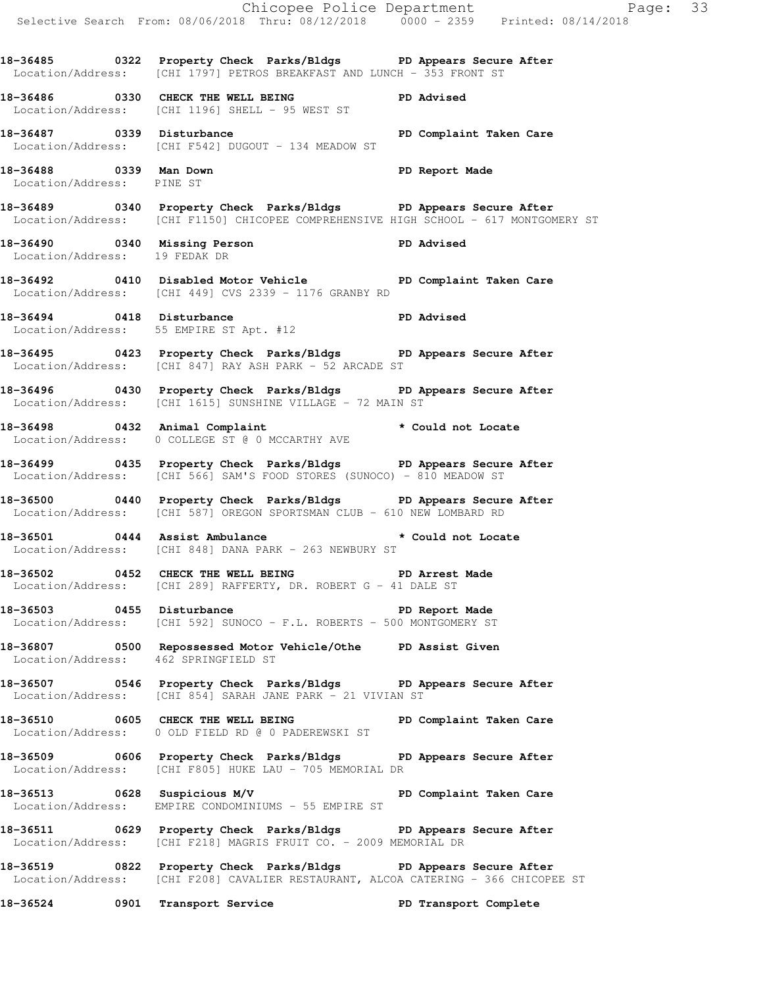Selective Search From: 08/06/2018 Thru: 08/12/2018 0000 - 2359 Printed: 08/14/2018 **18-36485 0322 Property Check Parks/Bldgs PD Appears Secure After**  Location/Address: [CHI 1797] PETROS BREAKFAST AND LUNCH - 353 FRONT ST **18-36486 0330 CHECK THE WELL BEING PD Advised**  Location/Address: [CHI 1196] SHELL - 95 WEST ST **18-36487 0339 Disturbance PD Complaint Taken Care**  Location/Address: [CHI F542] DUGOUT - 134 MEADOW ST **18-36488 0339 Man Down PD Report Made**  Location/Address: PINE ST **18-36489 0340 Property Check Parks/Bldgs PD Appears Secure After**  Location/Address: [CHI F1150] CHICOPEE COMPREHENSIVE HIGH SCHOOL - 617 MONTGOMERY ST **18-36490 0340 Missing Person PD Advised**  Location/Address: 19 FEDAK DR **18-36492 0410 Disabled Motor Vehicle PD Complaint Taken Care**  Location/Address: [CHI 449] CVS 2339 - 1176 GRANBY RD **18-36494 0418 Disturbance PD Advised**  Location/Address: 55 EMPIRE ST Apt. #12 **18-36495 0423 Property Check Parks/Bldgs PD Appears Secure After**  Location/Address: [CHI 847] RAY ASH PARK - 52 ARCADE ST **18-36496 0430 Property Check Parks/Bldgs PD Appears Secure After**  Location/Address: [CHI 1615] SUNSHINE VILLAGE - 72 MAIN ST **18-36498 0432 Animal Complaint \* Could not Locate**  Location/Address: 0 COLLEGE ST @ 0 MCCARTHY AVE **18-36499 0435 Property Check Parks/Bldgs PD Appears Secure After**  Location/Address: [CHI 566] SAM'S FOOD STORES (SUNOCO) - 810 MEADOW ST **18-36500 0440 Property Check Parks/Bldgs PD Appears Secure After**  Location/Address: [CHI 587] OREGON SPORTSMAN CLUB - 610 NEW LOMBARD RD **18-36501 0444 Assist Ambulance \* Could not Locate**  Location/Address: [CHI 848] DANA PARK - 263 NEWBURY ST **18-36502 0452 CHECK THE WELL BEING PD Arrest Made**  Location/Address: [CHI 289] RAFFERTY, DR. ROBERT G - 41 DALE ST **18-36503 0455 Disturbance PD Report Made**  Location/Address: [CHI 592] SUNOCO - F.L. ROBERTS - 500 MONTGOMERY ST **18-36807 0500 Repossessed Motor Vehicle/Othe PD Assist Given**  Location/Address: 462 SPRINGFIELD ST **18-36507 0546 Property Check Parks/Bldgs PD Appears Secure After**  Location/Address: [CHI 854] SARAH JANE PARK - 21 VIVIAN ST **18-36510 0605 CHECK THE WELL BEING PD Complaint Taken Care**  Location/Address: 0 OLD FIELD RD @ 0 PADEREWSKI ST **18-36509 0606 Property Check Parks/Bldgs PD Appears Secure After**  Location/Address: [CHI F805] HUKE LAU - 705 MEMORIAL DR **18-36513 0628 Suspicious M/V PD Complaint Taken Care**  Location/Address: EMPIRE CONDOMINIUMS - 55 EMPIRE ST **18-36511 0629 Property Check Parks/Bldgs PD Appears Secure After**  Location/Address: [CHI F218] MAGRIS FRUIT CO. - 2009 MEMORIAL DR **18-36519 0822 Property Check Parks/Bldgs PD Appears Secure After**  Location/Address: [CHI F208] CAVALIER RESTAURANT, ALCOA CATERING - 366 CHICOPEE ST **18-36524 0901 Transport Service PD Transport Complete** 

Chicopee Police Department Fage: 33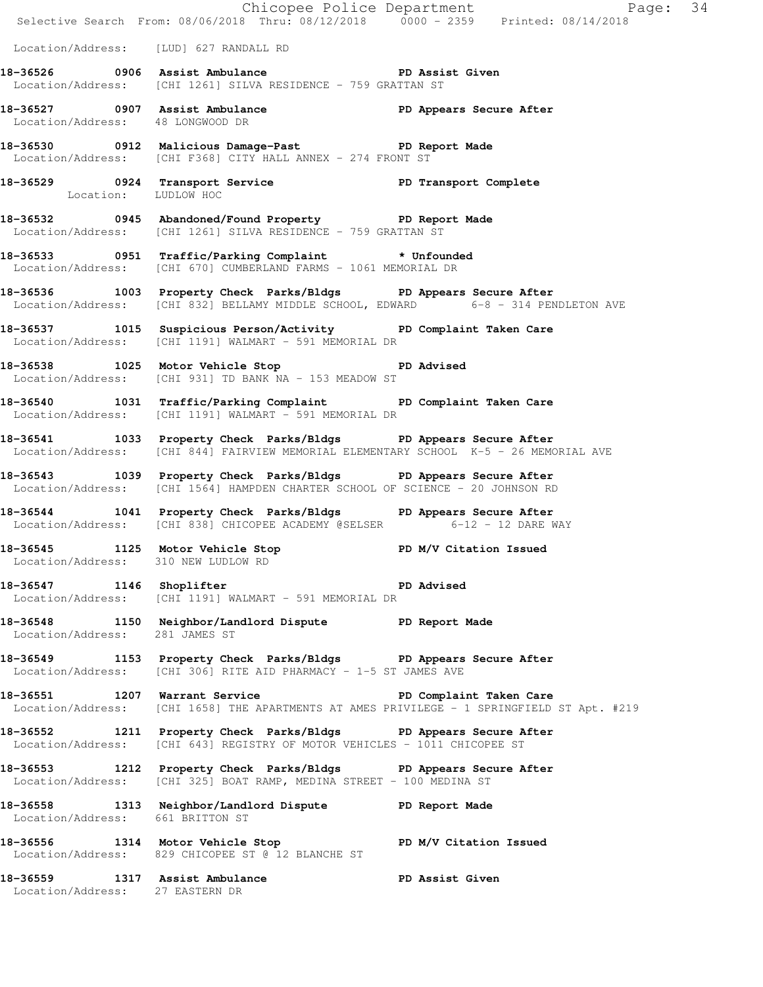|                                        |                                                                                                                                                             | Chicopee Police Department<br>Selective Search From: 08/06/2018 Thru: 08/12/2018 0000 - 2359 Printed: 08/14/2018 |  |
|----------------------------------------|-------------------------------------------------------------------------------------------------------------------------------------------------------------|------------------------------------------------------------------------------------------------------------------|--|
| Location/Address: [LUD] 627 RANDALL RD |                                                                                                                                                             |                                                                                                                  |  |
|                                        | 18-36526 0906 Assist Ambulance New PD Assist Given<br>Location/Address: [CHI 1261] SILVA RESIDENCE - 759 GRATTAN ST                                         |                                                                                                                  |  |
| Location/Address: 48 LONGWOOD DR       | 18-36527 0907 Assist Ambulance New PD Appears Secure After                                                                                                  |                                                                                                                  |  |
|                                        | 18-36530 0912 Malicious Damage-Past PD Report Made<br>Location/Address: [CHI F368] CITY HALL ANNEX - 274 FRONT ST                                           |                                                                                                                  |  |
| Location: LUDLOW HOC                   | 18-36529 0924 Transport Service New PD Transport Complete                                                                                                   |                                                                                                                  |  |
|                                        | 18-36532 0945 Abandoned/Found Property PD Report Made<br>Location/Address: [CHI 1261] SILVA RESIDENCE - 759 GRATTAN ST                                      |                                                                                                                  |  |
|                                        | 18-36533 0951 Traffic/Parking Complaint * Unfounded<br>Location/Address: [CHI 670] CUMBERLAND FARMS - 1061 MEMORIAL DR                                      |                                                                                                                  |  |
|                                        | 18-36536 1003 Property Check Parks/Bldgs PD Appears Secure After<br>Location/Address: [CHI 832] BELLAMY MIDDLE SCHOOL, EDWARD 6-8 - 314 PENDLETON AVE       |                                                                                                                  |  |
|                                        | 18-36537 1015 Suspicious Person/Activity PD Complaint Taken Care<br>Location/Address: [CHI 1191] WALMART - 591 MEMORIAL DR                                  |                                                                                                                  |  |
|                                        | 18-36538 1025 Motor Vehicle Stop 50 PD Advised<br>Location/Address: [CHI 931] TD BANK NA - 153 MEADOW ST                                                    |                                                                                                                  |  |
|                                        | 18-36540 1031 Traffic/Parking Complaint PD Complaint Taken Care<br>Location/Address: [CHI 1191] WALMART - 591 MEMORIAL DR                                   |                                                                                                                  |  |
|                                        | 18-36541 1033 Property Check Parks/Bldgs PD Appears Secure After<br>  Location/Address: [CHI 844] FAIRVIEW MEMORIAL ELEMENTARY SCHOOL K-5 - 26 MEMORIAL AVE |                                                                                                                  |  |
|                                        | 18-36543 1039 Property Check Parks/Bldgs PD Appears Secure After<br>Location/Address: [CHI 1564] HAMPDEN CHARTER SCHOOL OF SCIENCE - 20 JOHNSON RD          |                                                                                                                  |  |
|                                        | 18-36544 1041 Property Check Parks/Bldgs PD Appears Secure After<br>Location/Address: [CHI 838] CHICOPEE ACADEMY @SELSER 6-12 - 12 DARE WAY                 |                                                                                                                  |  |
|                                        | 18-36545 1125 Motor Vehicle Stop PD M/V Citation Issued<br>Location/Address: 310 NEW LUDLOW RD                                                              |                                                                                                                  |  |
| 18-36547 1146 Shoplifter               | <b>PD</b> Advised<br>Location/Address: [CHI 1191] WALMART - 591 MEMORIAL DR                                                                                 |                                                                                                                  |  |
|                                        | 18-36548 1150 Neighbor/Landlord Dispute PD Report Made Location/Address: 281 JAMES ST                                                                       |                                                                                                                  |  |
|                                        | 18-36549 1153 Property Check Parks/Bldgs PD Appears Secure After<br>Location/Address: [CHI 306] RITE AID PHARMACY - 1-5 ST JAMES AVE                        |                                                                                                                  |  |
|                                        | 18-36551 1207 Warrant Service New PD Complaint Taken Care                                                                                                   | Location/Address: [CHI 1658] THE APARTMENTS AT AMES PRIVILEGE - 1 SPRINGFIELD ST Apt. #219                       |  |
|                                        | 18-36552 1211 Property Check Parks/Bldgs PD Appears Secure After<br>Location/Address: [CHI 643] REGISTRY OF MOTOR VEHICLES - 1011 CHICOPEE ST               |                                                                                                                  |  |
|                                        | 18-36553 1212 Property Check Parks/Bldgs PD Appears Secure After<br>Location/Address: [CHI 325] BOAT RAMP, MEDINA STREET - 100 MEDINA ST                    |                                                                                                                  |  |
| Location/Address: 661 BRITTON ST       | 18-36558 1313 Neighbor/Landlord Dispute PD Report Made                                                                                                      |                                                                                                                  |  |
|                                        | 18-36556 1314 Motor Vehicle Stop N/V Citation Issued<br>Location/Address: 829 CHICOPEE ST @ 12 BLANCHE ST                                                   |                                                                                                                  |  |
| Location/Address: 27 EASTERN DR        | 18-36559 1317 Assist Ambulance No PD Assist Given                                                                                                           |                                                                                                                  |  |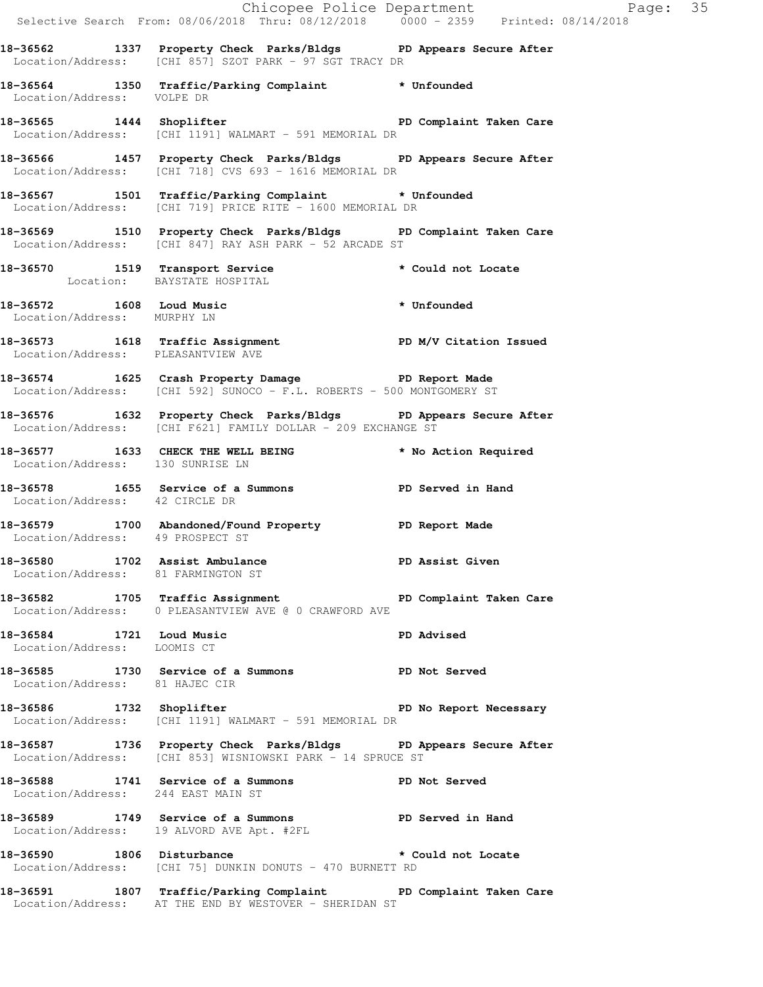|                                                                      | Chicopee Police Department<br>Selective Search From: 08/06/2018 Thru: 08/12/2018 0000 - 2359 Printed: 08/14/2018                 |                    |  |
|----------------------------------------------------------------------|----------------------------------------------------------------------------------------------------------------------------------|--------------------|--|
|                                                                      | 18-36562 1337 Property Check Parks/Bldgs PD Appears Secure After<br>Location/Address: [CHI 857] SZOT PARK - 97 SGT TRACY DR      |                    |  |
| Location/Address: VOLPE DR                                           | 18-36564 1350 Traffic/Parking Complaint * Unfounded                                                                              |                    |  |
|                                                                      | 18-36565 1444 Shoplifter <b>18-36565</b> 1444 PD Complaint Taken Care<br>Location/Address: [CHI 1191] WALMART - 591 MEMORIAL DR  |                    |  |
|                                                                      | 18-36566 1457 Property Check Parks/Bldgs PD Appears Secure After<br>Location/Address: [CHI 718] CVS 693 - 1616 MEMORIAL DR       |                    |  |
|                                                                      | 18-36567 1501 Traffic/Parking Complaint * Unfounded<br>Location/Address: [CHI 719] PRICE RITE - 1600 MEMORIAL DR                 |                    |  |
|                                                                      | 18-36569 1510 Property Check Parks/Bldgs PD Complaint Taken Care<br>Location/Address: [CHI 847] RAY ASH PARK - 52 ARCADE ST      |                    |  |
|                                                                      | 18-36570 1519 Transport Service * Could not Locate<br>Location: BAYSTATE HOSPITAL                                                |                    |  |
| Location/Address: MURPHY LN                                          | 18-36572 1608 Loud Music * Unfounded                                                                                             |                    |  |
| Location/Address: PLEASANTVIEW AVE                                   | 18-36573 1618 Traffic Assignment Nervice PD M/V Citation Issued                                                                  |                    |  |
|                                                                      | 18-36574 1625 Crash Property Damage PD Report Made<br>Location/Address: [CHI 592] SUNOCO - F.L. ROBERTS - 500 MONTGOMERY ST      |                    |  |
|                                                                      | 18-36576 1632 Property Check Parks/Bldgs PD Appears Secure After<br>Location/Address: [CHI F621] FAMILY DOLLAR - 209 EXCHANGE ST |                    |  |
| Location/Address: 130 SUNRISE LN                                     | 18-36577 1633 CHECK THE WELL BEING * No Action Required                                                                          |                    |  |
| Location/Address: 42 CIRCLE DR                                       | 18-36578 1655 Service of a Summons PD Served in Hand                                                                             |                    |  |
|                                                                      | 18-36579 1700 Abandoned/Found Property PD Report Made<br>Location/Address: 49 PROSPECT ST                                        |                    |  |
| 18-36580 1702 Assist Ambulance<br>Location/Address: 81 FARMINGTON ST |                                                                                                                                  | PD Assist Given    |  |
|                                                                      | 18-36582 1705 Traffic Assignment<br>Location/Address: 0 PLEASANTVIEW AVE @ 0 CRAWFORD AVE                                        |                    |  |
| 18-36584 1721 Loud Music<br>Location/Address: LOOMIS CT              |                                                                                                                                  | <b>PD Advised</b>  |  |
| Location/Address: 81 HAJEC CIR                                       | 18-36585 1730 Service of a Summons PD Not Served                                                                                 |                    |  |
|                                                                      | 18-36586 1732 Shoplifter 200 PD No Report Necessary<br>Location/Address: [CHI 1191] WALMART - 591 MEMORIAL DR                    |                    |  |
|                                                                      | 18-36587 1736 Property Check Parks/Bldgs PD Appears Secure After<br>Location/Address: [CHI 853] WISNIOWSKI PARK - 14 SPRUCE ST   |                    |  |
| Location/Address: 244 EAST MAIN ST                                   | 18-36588 1741 Service of a Summons PD Not Served                                                                                 |                    |  |
|                                                                      | 18-36589 1749 Service of a Summons PD Served in Hand<br>Location/Address: 19 ALVORD AVE Apt. #2FL                                |                    |  |
| 18-36590 1806 Disturbance                                            | Location/Address: [CHI 75] DUNKIN DONUTS - 470 BURNETT RD                                                                        | * Could not Locate |  |
|                                                                      | 18-36591 1807 Traffic/Parking Complaint PD Complaint Taken Care<br>Location/Address: AT THE END BY WESTOVER - SHERIDAN ST        |                    |  |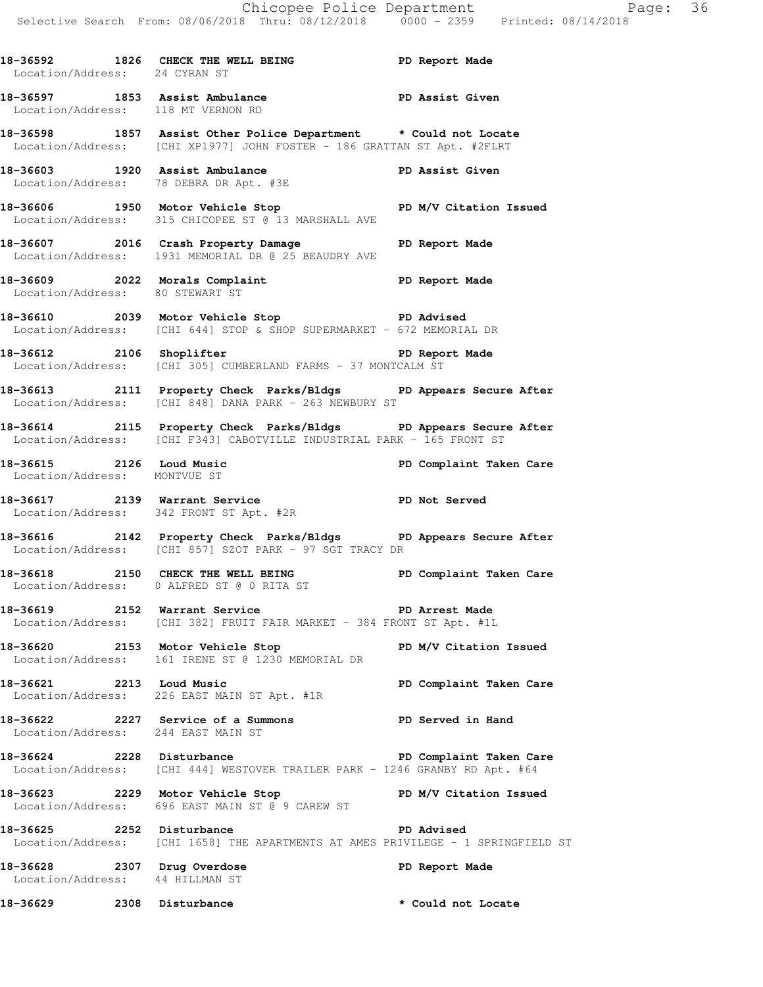18-36592 1826 CHECK THE WELL BEING **PD** Report Made Location/Address: 24 CYRAN ST **18-36597 1853 Assist Ambulance PD Assist Given**  Location/Address: 118 MT VERNON RD **18-36598 1857 Assist Other Police Department \* Could not Locate**  Location/Address: [CHI XP1977] JOHN FOSTER - 186 GRATTAN ST Apt. #2FLRT **18-36603 1920 Assist Ambulance PD Assist Given**  Location/Address: 78 DEBRA DR Apt. #3E **18-36606 1950 Motor Vehicle Stop PD M/V Citation Issued**  Location/Address: 315 CHICOPEE ST @ 13 MARSHALL AVE **18-36607 2016 Crash Property Damage PD Report Made**  Location/Address: 1931 MEMORIAL DR @ 25 BEAUDRY AVE 18-36609 2022 Morals Complaint **PD** Report Made Location/Address: 80 STEWART ST **18-36610 2039 Motor Vehicle Stop PD Advised**  Location/Address: [CHI 644] STOP & SHOP SUPERMARKET - 672 MEMORIAL DR **18-36612 2106 Shoplifter PD Report Made**  Location/Address: [CHI 305] CUMBERLAND FARMS - 37 MONTCALM ST **18-36613 2111 Property Check Parks/Bldgs PD Appears Secure After**  Location/Address: [CHI 848] DANA PARK - 263 NEWBURY ST **18-36614 2115 Property Check Parks/Bldgs PD Appears Secure After**  Location/Address: [CHI F343] CABOTVILLE INDUSTRIAL PARK - 165 FRONT ST **18-36615 2126 Loud Music PD Complaint Taken Care**  Location/Address: MONTVUE ST **18-36617 2139 Warrant Service PD Not Served**  Location/Address: 342 FRONT ST Apt. #2R **18-36616 2142 Property Check Parks/Bldgs PD Appears Secure After**  Location/Address: [CHI 857] SZOT PARK - 97 SGT TRACY DR **18-36618 2150 CHECK THE WELL BEING PD Complaint Taken Care**  Location/Address: 0 ALFRED ST @ 0 RITA ST **18-36619 2152 Warrant Service PD Arrest Made**  Location/Address: [CHI 382] FRUIT FAIR MARKET - 384 FRONT ST Apt. #1L **18-36620 2153 Motor Vehicle Stop PD M/V Citation Issued**  Location/Address: 161 IRENE ST @ 1230 MEMORIAL DR **18-36621 2213 Loud Music PD Complaint Taken Care**  Location/Address: 226 EAST MAIN ST Apt. #1R **18-36622 2227 Service of a Summons PD Served in Hand**  Location/Address: 244 EAST MAIN ST **18-36624 2228 Disturbance PD Complaint Taken Care**  Location/Address: [CHI 444] WESTOVER TRAILER PARK - 1246 GRANBY RD Apt. #64 **18-36623 2229 Motor Vehicle Stop PD M/V Citation Issued**  Location/Address: 696 EAST MAIN ST @ 9 CAREW ST **18-36625 2252 Disturbance PD Advised**  Location/Address: [CHI 1658] THE APARTMENTS AT AMES PRIVILEGE - 1 SPRINGFIELD ST **18-36628 2307 Drug Overdose PD Report Made**  Location/Address: 44 HILLMAN ST **18-36629 2308 Disturbance \* Could not Locate**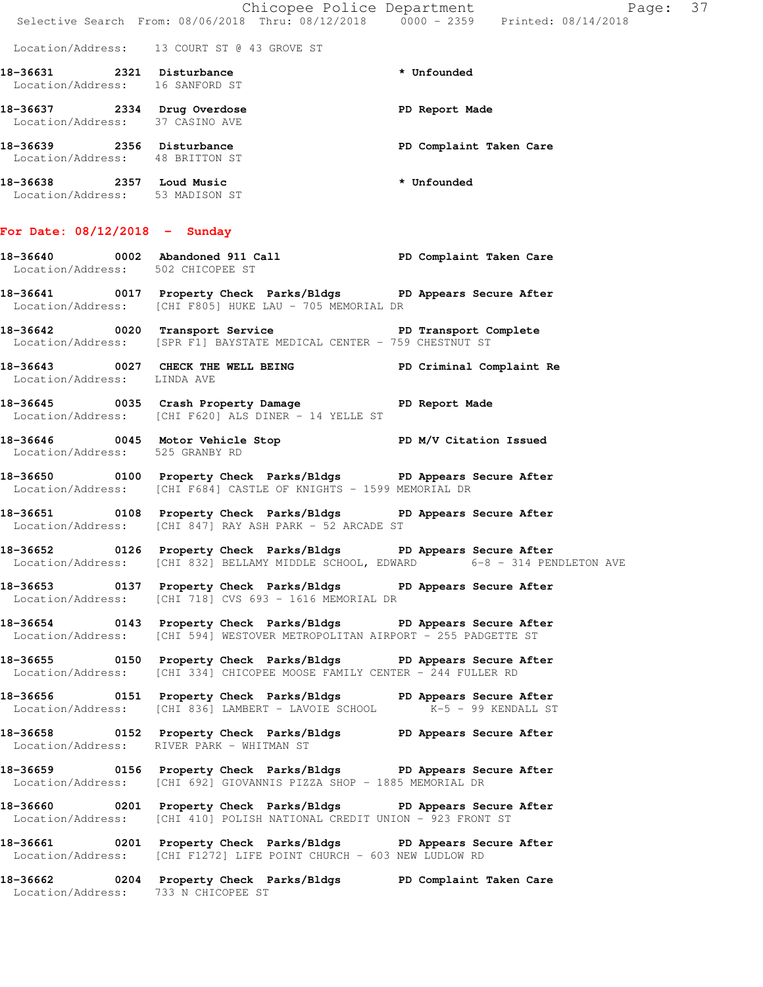Location/Address: 13 COURT ST @ 43 GROVE ST

| 18-36631<br>2321<br>Location/Address: 16 SANFORD ST |      | Disturbance                                      | * Unfounded             |
|-----------------------------------------------------|------|--------------------------------------------------|-------------------------|
| 18-36637                                            | 2334 | Drug Overdose<br>Location/Address: 37 CASINO AVE | PD Report Made          |
| 18-36639                                            | 2356 | Disturbance<br>Location/Address: 48 BRITTON ST   | PD Complaint Taken Care |
| 18-36638<br>Location/Address:                       | 2357 | Loud Music<br>53 MADISON ST                      | * Unfounded             |

**For Date: 08/12/2018 - Sunday**

### **18-36640 0002 Abandoned 911 Call PD Complaint Taken Care**  Location/Address: 502 CHICOPEE ST

**18-36641 0017 Property Check Parks/Bldgs PD Appears Secure After**  Location/Address: [CHI F805] HUKE LAU - 705 MEMORIAL DR

18-36642 **0020** Transport Service **PED Transport Complete** Location/Address: [SPR F1] BAYSTATE MEDICAL CENTER - 759 CHESTNUT ST

**18-36643 0027 CHECK THE WELL BEING PD Criminal Complaint Re**  Location/Address: LINDA AVE

**18-36645 0035 Crash Property Damage PD Report Made**  Location/Address: [CHI F620] ALS DINER - 14 YELLE ST

**18-36646 0045 Motor Vehicle Stop PD M/V Citation Issued**  Location/Address: 525 GRANBY RD

**18-36650 0100 Property Check Parks/Bldgs PD Appears Secure After**  Location/Address: [CHI F684] CASTLE OF KNIGHTS - 1599 MEMORIAL DR

**18-36651 0108 Property Check Parks/Bldgs PD Appears Secure After**  Location/Address: [CHI 847] RAY ASH PARK - 52 ARCADE ST

**18-36652 0126 Property Check Parks/Bldgs PD Appears Secure After**  Location/Address: [CHI 832] BELLAMY MIDDLE SCHOOL, EDWARD 6-8 - 314 PENDLETON AVE

**18-36653 0137 Property Check Parks/Bldgs PD Appears Secure After**  Location/Address: [CHI 718] CVS 693 - 1616 MEMORIAL DR

**18-36654 0143 Property Check Parks/Bldgs PD Appears Secure After**  Location/Address: [CHI 594] WESTOVER METROPOLITAN AIRPORT - 255 PADGETTE ST

**18-36655 0150 Property Check Parks/Bldgs PD Appears Secure After**  Location/Address: [CHI 334] CHICOPEE MOOSE FAMILY CENTER  $-\overline{2}44$  FULLER RD

**18-36656 0151 Property Check Parks/Bldgs PD Appears Secure After**  Location/Address: [CHI 836] LAMBERT - LAVOIE SCHOOL K-5 - 99 KENDALL ST

**18-36658 0152 Property Check Parks/Bldgs PD Appears Secure After**  Location/Address: RIVER PARK - WHITMAN ST

**18-36659 0156 Property Check Parks/Bldgs PD Appears Secure After**  Location/Address: [CHI 692] GIOVANNIS PIZZA SHOP - 1885 MEMORIAL DR

**18-36660 0201 Property Check Parks/Bldgs PD Appears Secure After**  Location/Address: [CHI 410] POLISH NATIONAL CREDIT UNION - 923 FRONT ST

**18-36661 0201 Property Check Parks/Bldgs PD Appears Secure After**  Location/Address: [CHI F1272] LIFE POINT CHURCH - 603 NEW LUDLOW RD

**18-36662 0204 Property Check Parks/Bldgs PD Complaint Taken Care**  Location/Address: 733 N CHICOPEE ST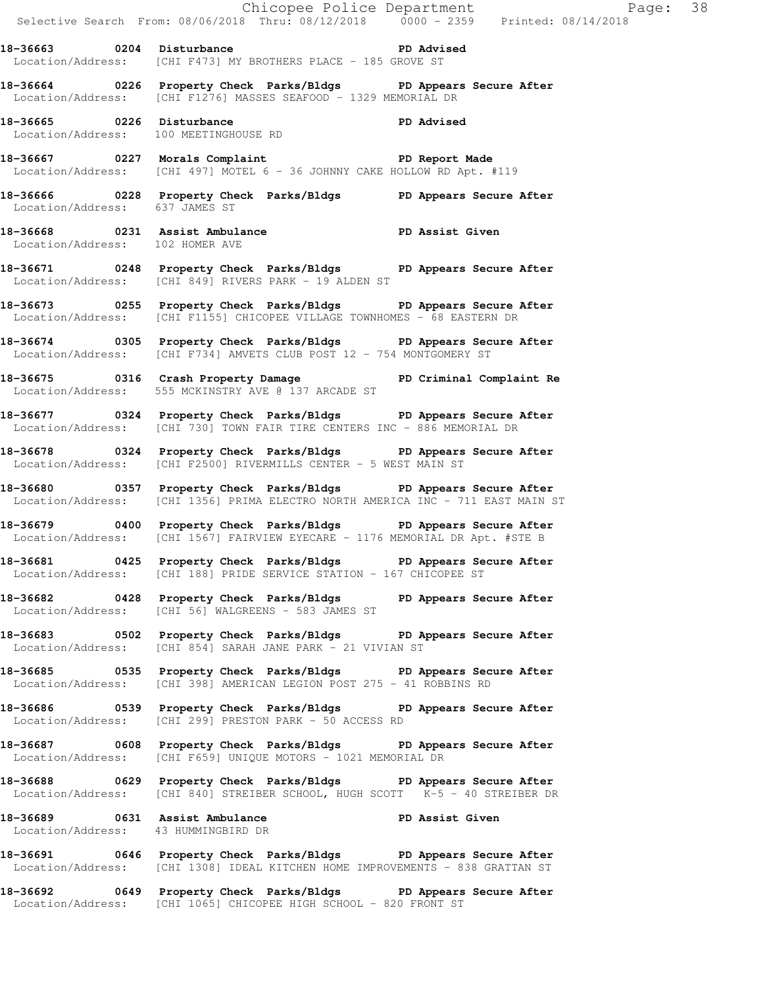|                                     |                                                                                                                                                     | Chicopee Police Department<br>Selective Search From: 08/06/2018 Thru: 08/12/2018 0000 - 2359 Printed: 08/14/2018 |
|-------------------------------------|-----------------------------------------------------------------------------------------------------------------------------------------------------|------------------------------------------------------------------------------------------------------------------|
|                                     | 18-36663 0204 Disturbance PD Advised<br>Location/Address: [CHI F473] MY BROTHERS PLACE - 185 GROVE ST                                               |                                                                                                                  |
|                                     | 18-36664 0226 Property Check Parks/Bldgs PD Appears Secure After<br>Location/Address: [CHI F1276] MASSES SEAFOOD - 1329 MEMORIAL DR                 |                                                                                                                  |
|                                     | 18-36665 0226 Disturbance<br>Location/Address: 100 MEETINGHOUSE RD                                                                                  |                                                                                                                  |
|                                     | 18-36667 0227 Morals Complaint<br>Location/Address: [CHI 497] MOTEL 6 - 36 JOHNNY CAKE HOLLOW RD Apt. #119                                          |                                                                                                                  |
|                                     | 18-36666 0228 Property Check Parks/Bldgs PD Appears Secure After<br>Location/Address: 637 JAMES ST                                                  |                                                                                                                  |
| Location/Address: 102 HOMER AVE     | 18-36668 0231 Assist Ambulance New PD Assist Given                                                                                                  |                                                                                                                  |
|                                     | 18-36671 0248 Property Check Parks/Bldgs PD Appears Secure After<br>Location/Address: [CHI 849] RIVERS PARK - 19 ALDEN ST                           |                                                                                                                  |
|                                     | 18-36673 0255 Property Check Parks/Bldgs PD Appears Secure After<br>Location/Address: [CHI F1155] CHICOPEE VILLAGE TOWNHOMES - 68 EASTERN DR        |                                                                                                                  |
|                                     | 18-36674 0305 Property Check Parks/Bldgs PD Appears Secure After<br>Location/Address: [CHI F734] AMVETS CLUB POST 12 - 754 MONTGOMERY ST            |                                                                                                                  |
|                                     | 18-36675 0316 Crash Property Damage PD Criminal Complaint Re<br>Location/Address: 555 MCKINSTRY AVE @ 137 ARCADE ST                                 |                                                                                                                  |
|                                     | 18-36677 0324 Property Check Parks/Bldgs PD Appears Secure After<br>Location/Address: [CHI 730] TOWN FAIR TIRE CENTERS INC - 886 MEMORIAL DR        |                                                                                                                  |
|                                     | 18-36678 0324 Property Check Parks/Bldgs PD Appears Secure After<br>Location/Address: [CHI F2500] RIVERMILLS CENTER - 5 WEST MAIN ST                |                                                                                                                  |
|                                     | 18-36680 0357 Property Check Parks/Bldgs PD Appears Secure After<br>Location/Address: [CHI 1356] PRIMA ELECTRO NORTH AMERICA INC - 711 EAST MAIN ST |                                                                                                                  |
|                                     | 18-36679 0400 Property Check Parks/Bldgs PD Appears Secure After<br>Location/Address: [CHI 1567] FAIRVIEW EYECARE - 1176 MEMORIAL DR Apt. #STE B    |                                                                                                                  |
|                                     | 18-36681 0425 Property Check Parks/Bldgs PD Appears Secure After<br>Location/Address: [CHI 188] PRIDE SERVICE STATION - 167 CHICOPEE ST             |                                                                                                                  |
|                                     | 18-36682 0428 Property Check Parks/Bldgs PD Appears Secure After<br>Location/Address: [CHI 56] WALGREENS - 583 JAMES ST                             |                                                                                                                  |
|                                     | 18-36683 0502 Property Check Parks/Bldgs PD Appears Secure After<br>Location/Address: [CHI 854] SARAH JANE PARK - 21 VIVIAN ST                      |                                                                                                                  |
|                                     | 18-36685 0535 Property Check Parks/Bldgs PD Appears Secure After<br>Location/Address: [CHI 398] AMERICAN LEGION POST 275 - 41 ROBBINS RD            |                                                                                                                  |
|                                     | 18-36686 		 0539 Property Check Parks/Bldgs 		 PD Appears Secure After<br>Location/Address: [CHI 299] PRESTON PARK - 50 ACCESS RD                   |                                                                                                                  |
|                                     | 18-36687 0608 Property Check Parks/Bldgs PD Appears Secure After<br>Location/Address: [CHI F659] UNIQUE MOTORS - 1021 MEMORIAL DR                   |                                                                                                                  |
|                                     | 18-36688 0629 Property Check Parks/Bldgs PD Appears Secure After<br>Location/Address: [CHI 840] STREIBER SCHOOL, HUGH SCOTT K-5 - 40 STREIBER DR    |                                                                                                                  |
| Location/Address: 43 HUMMINGBIRD DR | 18-36689 0631 Assist Ambulance No PD Assist Given                                                                                                   |                                                                                                                  |
|                                     | 18-36691 0646 Property Check Parks/Bldgs PD Appears Secure After<br>Location/Address: [CHI 1308] IDEAL KITCHEN HOME IMPROVEMENTS - 838 GRATTAN ST   |                                                                                                                  |
|                                     |                                                                                                                                                     |                                                                                                                  |

**18-36692 0649 Property Check Parks/Bldgs PD Appears Secure After**  Location/Address: [CHI 1065] CHICOPEE HIGH SCHOOL - 820 FRONT ST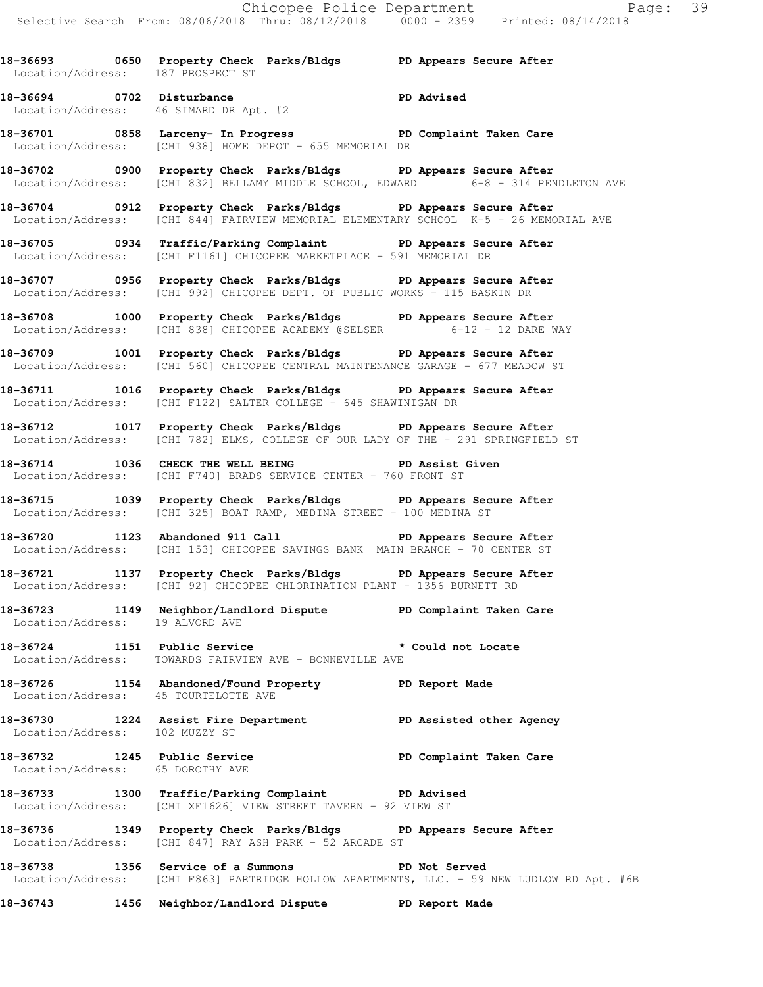|                                                                  |                                                                                                                                                           | Chicopee Police Department<br>Selective Search From: 08/06/2018 Thru: 08/12/2018 0000 - 2359 Printed: 08/14/2018 |
|------------------------------------------------------------------|-----------------------------------------------------------------------------------------------------------------------------------------------------------|------------------------------------------------------------------------------------------------------------------|
| Location/Address: 187 PROSPECT ST                                | 18-36693 0650 Property Check Parks/Bldgs PD Appears Secure After                                                                                          |                                                                                                                  |
|                                                                  | 18-36694 0702 Disturbance<br>Location/Address: 46 SIMARD DR Apt. #2                                                                                       |                                                                                                                  |
|                                                                  | 18-36701 0858 Larceny- In Progress 2D PD Complaint Taken Care<br>Location/Address: [CHI 938] HOME DEPOT - 655 MEMORIAL DR                                 |                                                                                                                  |
|                                                                  | 18-36702 0900 Property Check Parks/Bldgs PD Appears Secure After<br>Location/Address: [CHI 832] BELLAMY MIDDLE SCHOOL, EDWARD 6-8 - 314 PENDLETON AVE     |                                                                                                                  |
|                                                                  | 18-36704 0912 Property Check Parks/Bldgs PD Appears Secure After<br>Location/Address: [CHI 844] FAIRVIEW MEMORIAL ELEMENTARY SCHOOL K-5 - 26 MEMORIAL AVE |                                                                                                                  |
|                                                                  | 18-36705 0934 Traffic/Parking Complaint PD Appears Secure After<br>Location/Address: [CHI F1161] CHICOPEE MARKETPLACE - 591 MEMORIAL DR                   |                                                                                                                  |
|                                                                  | 18-36707 0956 Property Check Parks/Bldgs PD Appears Secure After<br>Location/Address: [CHI 992] CHICOPEE DEPT. OF PUBLIC WORKS - 115 BASKIN DR            |                                                                                                                  |
|                                                                  | 18-36708 1000 Property Check Parks/Bldgs PD Appears Secure After<br>Location/Address: [CHI 838] CHICOPEE ACADEMY @SELSER 6-12 - 12 DARE WAY               |                                                                                                                  |
|                                                                  | 18-36709 1001 Property Check Parks/Bldgs PD Appears Secure After<br>Location/Address: [CHI 560] CHICOPEE CENTRAL MAINTENANCE GARAGE - 677 MEADOW ST       |                                                                                                                  |
|                                                                  | 18-36711 1016 Property Check Parks/Bldgs PD Appears Secure After<br>Location/Address: [CHI F122] SALTER COLLEGE - 645 SHAWINIGAN DR                       |                                                                                                                  |
|                                                                  | 18-36712 1017 Property Check Parks/Bldgs PD Appears Secure After<br>Location/Address: [CHI 782] ELMS, COLLEGE OF OUR LADY OF THE - 291 SPRINGFIELD ST     |                                                                                                                  |
|                                                                  | 18-36714 1036 CHECK THE WELL BEING PD Assist Given<br>Location/Address: [CHI F740] BRADS SERVICE CENTER - 760 FRONT ST                                    |                                                                                                                  |
|                                                                  | 18-36715 1039 Property Check Parks/Bldgs PD Appears Secure After<br>Location/Address: [CHI 325] BOAT RAMP, MEDINA STREET - 100 MEDINA ST                  |                                                                                                                  |
|                                                                  | 18-36720 1123 Abandoned 911 Call No PD Appears Secure After<br>Location/Address: [CHI 153] CHICOPEE SAVINGS BANK MAIN BRANCH - 70 CENTER ST               |                                                                                                                  |
| Location/Address:                                                | 18-36721 1137 Property Check Parks/Bldgs PD Appears Secure After<br>[CHI 92] CHICOPEE CHLORINATION PLANT - 1356 BURNETT RD                                |                                                                                                                  |
| Location/Address: 19 ALVORD AVE                                  | 18-36723 1149 Neighbor/Landlord Dispute PD Complaint Taken Care                                                                                           |                                                                                                                  |
| 18-36724 1151 Public Service<br>Location/Address:                | TOWARDS FAIRVIEW AVE - BONNEVILLE AVE                                                                                                                     | * Could not Locate                                                                                               |
| 18-36726<br>Location/Address: 45 TOURTELOTTE AVE                 | 1154 Abandoned/Found Property FD Report Made                                                                                                              |                                                                                                                  |
| Location/Address: 102 MUZZY ST                                   | 18-36730 1224 Assist Fire Department                                                                                                                      | PD Assisted other Agency                                                                                         |
| 18-36732 1245 Public Service<br>Location/Address: 65 DOROTHY AVE |                                                                                                                                                           | PD Complaint Taken Care                                                                                          |
|                                                                  | 18-36733 1300 Traffic/Parking Complaint PD Advised<br>Location/Address: [CHI XF1626] VIEW STREET TAVERN - 92 VIEW ST                                      |                                                                                                                  |
| 18-36736                                                         | 1349 Property Check Parks/Bldgs PD Appears Secure After<br>Location/Address: [CHI 847] RAY ASH PARK - 52 ARCADE ST                                        |                                                                                                                  |
| 18-36738<br>Location/Address:                                    | 1356 Service of a Summons                                                                                                                                 | PD Not Served<br>[CHI F863] PARTRIDGE HOLLOW APARTMENTS, LLC. - 59 NEW LUDLOW RD Apt. #6B                        |
| 18-36743                                                         | 1456 Neighbor/Landlord Dispute                                                                                                                            | PD Report Made                                                                                                   |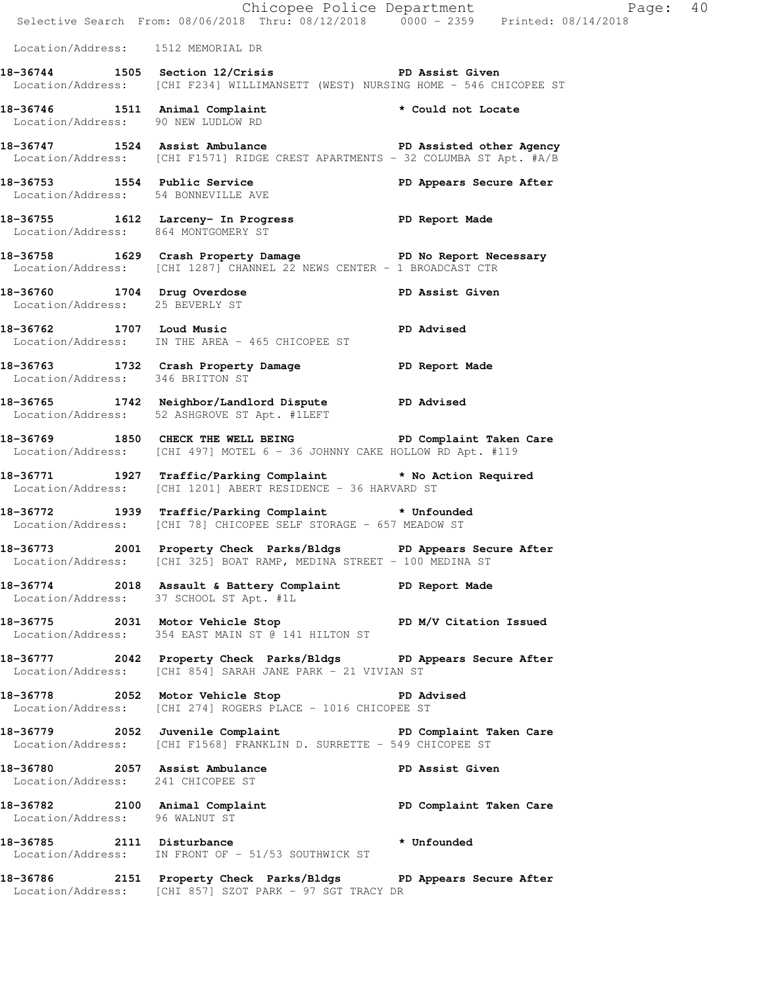|                                                                | E Chicopee Police Department<br>Selective Search From: 08/06/2018 Thru: 08/12/2018 0000 - 2359 Printed: 08/14/2018                                                                                | Page: 40                |  |
|----------------------------------------------------------------|---------------------------------------------------------------------------------------------------------------------------------------------------------------------------------------------------|-------------------------|--|
| Location/Address: 1512 MEMORIAL DR                             |                                                                                                                                                                                                   |                         |  |
|                                                                | 18-36744 1505 Section 12/Crisis TD Assist Given<br>Location/Address: [CHI F234] WILLIMANSETT (WEST) NURSING HOME - 546 CHICOPEE ST                                                                |                         |  |
| Location/Address: 90 NEW LUDLOW RD                             | 18-36746 1511 Animal Complaint the tould not Locate                                                                                                                                               |                         |  |
|                                                                | 18-36747 1524 Assist Ambulance New PD Assisted other Agency<br>Location/Address: [CHI F1571] RIDGE CREST APARTMENTS - 32 COLUMBA ST Apt. #A/B                                                     |                         |  |
| Location/Address: 54 BONNEVILLE AVE                            | 18-36753 1554 Public Service                                                                                                                                                                      | PD Appears Secure After |  |
| Location/Address: 864 MONTGOMERY ST                            | 18-36755 1612 Larceny- In Progress 18-36755 PD Report Made                                                                                                                                        |                         |  |
|                                                                | 18-36758 1629 Crash Property Damage PD No Report Necessary<br>Location/Address: [CHI 1287] CHANNEL 22 NEWS CENTER - 1 BROADCAST CTR                                                               |                         |  |
| 18-36760 1704 Drug Overdose<br>Location/Address: 25 BEVERLY ST | PD Assist Given                                                                                                                                                                                   |                         |  |
|                                                                | 18-36762 1707 Loud Music Number 2016 2016 2021<br>Location/Address: IN THE AREA - 465 CHICOPEE ST                                                                                                 |                         |  |
| Location/Address: 346 BRITTON ST                               | 18-36763 1732 Crash Property Damage PD Report Made                                                                                                                                                |                         |  |
|                                                                | 18-36765 1742 Neighbor/Landlord Dispute PD Advised<br>Location/Address: 52 ASHGROVE ST Apt. #1LEFT                                                                                                |                         |  |
|                                                                | 18-36769 1850 CHECK THE WELL BEING PD Complaint Taken Care<br>Location/Address: [CHI 497] MOTEL 6 - 36 JOHNNY CAKE HOLLOW RD Apt. #119                                                            |                         |  |
|                                                                | 18-36771 1927 Traffic/Parking Complaint * No Action Required<br>Location/Address: [CHI 1201] ABERT RESIDENCE - 36 HARVARD ST                                                                      |                         |  |
|                                                                | 18-36772 1939 Traffic/Parking Complaint * Unfounded<br>Location/Address: [CHI 78] CHICOPEE SELF STORAGE - 657 MEADOW ST                                                                           |                         |  |
|                                                                | 18-36773 2001 Property Check Parks/Bldgs PD Appears Secure After<br>Location/Address: [CHI 325] BOAT RAMP, MEDINA STREET - 100 MEDINA ST                                                          |                         |  |
|                                                                | 18-36774 2018 Assault & Battery Complaint PD Report Made<br>Location/Address: 37 SCHOOL ST Apt. #1L                                                                                               |                         |  |
|                                                                | 18-36775 2031 Motor Vehicle Stop PD M/V Citation Issued<br>Location/Address: 354 EAST MAIN ST @ 141 HILTON ST                                                                                     |                         |  |
|                                                                | 18-36777 2042 Property Check Parks/Bldgs PD Appears Secure After<br>Location/Address: [CHI 854] SARAH JANE PARK - 21 VIVIAN ST                                                                    |                         |  |
|                                                                | 18-36778 2052 Motor Vehicle Stop North PD Advised<br>Location/Address: [CHI 274] ROGERS PLACE - 1016 CHICOPEE ST                                                                                  |                         |  |
|                                                                | 18-36779 2052 Juvenile Complaint <b>18-36779</b> PD Complaint Taken Care<br>Location/Address: [CHI F1568] FRANKLIN D. SURRETTE - 549 CHICOPEE ST                                                  |                         |  |
|                                                                | 18-36780 2057 Assist Ambulance New PD Assist Given<br>Location/Address: 241 CHICOPEE ST                                                                                                           |                         |  |
| Location/Address: 96 WALNUT ST                                 | 18-36782 2100 Animal Complaint 18-36782 PD Complaint Taken Care                                                                                                                                   |                         |  |
|                                                                | 18-36785 2111 Disturbance the settlement of the Magnus of the Magnus of the Magnus of the Magnus of the Magnus<br>18-36785 2111 Disturbance<br>Location/Address: IN FRONT OF - 51/53 SOUTHWICK ST |                         |  |
|                                                                | 18-36786 2151 Property Check Parks/Bldgs PD Appears Secure After<br>Location/Address: [CHI 857] SZOT PARK - 97 SGT TRACY DR                                                                       |                         |  |